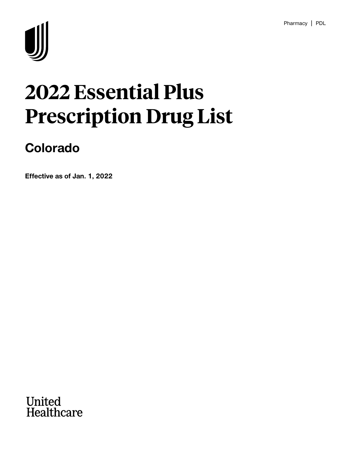

# **2022 Essential Plus Prescription Drug List**

# **Colorado**

**Effective as of Jan. 1, 2022**

**United<br>Healthcare**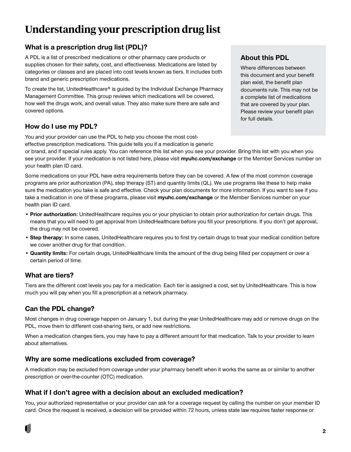## **Understanding your prescription drug list**

#### **What is a prescription drug list (PDL)?**

A PDL is a list of prescribed medications or other pharmacy care products or supplies chosen for their safety, cost, and effectiveness. Medications are listed by categories or classes and are placed into cost levels known as tiers. It includes both brand and generic prescription medications.

To create the list, UnitedHealthcare® is guided by the Individual Exchange Pharmacy Management Committee. This group reviews which medications will be covered, how well the drugs work, and overall value. They also make sure there are safe and covered options.

#### **How do I use my PDL?**

You and your provider can use the PDL to help you choose the most cost-

effective prescription medications. This guide tells you if a medication is generic or brand, and if special rules apply. You can reference this list when you see your provider. Bring this list with you when you see your provider. If your medication is not listed here, please visit **myuhc.com/exchange** or the Member Services number on your health plan ID card.

Some medications on your PDL have extra requirements before they can be covered. A few of the most common coverage programs are prior authorization (PA), step therapy (ST) and quantity limits (QL). We use programs like these to help make sure the medication you take is safe and effective. Check your plan documents for more information. If you want to see if you take a medication in one of these programs, please visit **myuhc.com/exchange** or the Member Services number on your health plan ID card.

- **Prior authorization:** UnitedHealthcare requires you or your physician to obtain prior authorization for certain drugs. This means that you will need to get approval from UnitedHealthcare before you fill your prescriptions. If you don't get approval, the drug may not be covered.
- **Step therapy:** In some cases, UnitedHealthcare requires you to first try certain drugs to treat your medical condition before we cover another drug for that condition.
- **Quantity limits:** For certain drugs, UnitedHealthcare limits the amount of the drug being filled per copayment or over a certain period of time.

#### **What are tiers?**

Tiers are the different cost levels you pay for a medication. Each tier is assigned a cost, set by UnitedHealthcare. This is how much you will pay when you fill a prescription at a network pharmacy.

#### **Can the PDL change?**

Most changes in drug coverage happen on January 1, but during the year UnitedHealthcare may add or remove drugs on the PDL, move them to different cost-sharing tiers, or add new restrictions.

When a medication changes tiers, you may have to pay a different amount for that medication. Talk to your provider to learn about alternatives.

#### **Why are some medications excluded from coverage?**

A medication may be excluded from coverage under your pharmacy benefit when it works the same as or similar to another prescription or over-the-counter (OTC) medication.

#### **What if I don't agree with a decision about an excluded medication?**

You, your authorized representative or your provider can ask for a coverage request by calling the number on your member ID card. Once the request is received, a decision will be provided within 72 hours, unless state law requires faster response or

#### **About this PDL**

Where differences between this document and your benefit plan exist, the benefit plan documents rule. This may not be a complete list of medications that are covered by your plan. Please review your benefit plan for full details.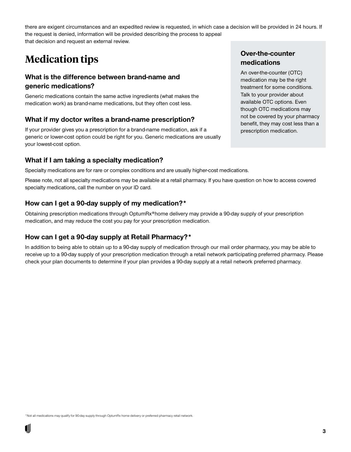there are exigent circumstances and an expedited review is requested, in which case a decision will be provided in 24 hours. If the request is denied, information will be provided describing the process to appeal that decision and request an external review.

### **Medication tips**

#### **What is the difference between brand-name and generic medications?**

Generic medications contain the same active ingredients (what makes the medication work) as brand-name medications, but they often cost less.

#### **What if my doctor writes a brand-name prescription?**

If your provider gives you a prescription for a brand-name medication, ask if a generic or lower-cost option could be right for you. Generic medications are usually your lowest-cost option.

#### **What if I am taking a specialty medication?**

Specialty medications are for rare or complex conditions and are usually higher-cost medications.

Please note, not all specialty medications may be available at a retail pharmacy. If you have question on how to access covered specialty medications, call the number on your ID card.

#### **How can I get a 90-day supply of my medication?\***

Obtaining prescription medications through OptumRx®home delivery may provide a 90-day supply of your prescription medication, and may reduce the cost you pay for your prescription medication.

#### **How can I get a 90-day supply at Retail Pharmacy?\***

In addition to being able to obtain up to a 90-day supply of medication through our mail order pharmacy, you may be able to receive up to a 90-day supply of your prescription medication through a retail network participating preferred pharmacy. Please check your plan documents to determine if your plan provides a 90-day supply at a retail network preferred pharmacy.

#### **Over-the-counter medications**

An over-the-counter (OTC) medication may be the right treatment for some conditions. Talk to your provider about available OTC options. Even though OTC medications may not be covered by your pharmacy benefit, they may cost less than a prescription medication.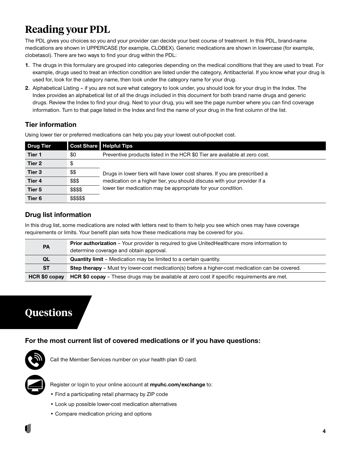# **Reading your PDL**

The PDL gives you choices so you and your provider can decide your best course of treatment. In this PDL, brand-name medications are shown in UPPERCASE (for example, CLOBEX). Generic medications are shown in lowercase (for example, clobetasol). There are two ways to find your drug within the PDL:

- **1.** The drugs in this formulary are grouped into categories depending on the medical conditions that they are used to treat. For example, drugs used to treat an infection condition are listed under the category, Antibacterial. If you know what your drug is used for, look for the category name, then look under the category name for your drug.
- **2.** Alphabetical Listing if you are not sure what category to look under, you should look for your drug in the Index. The Index provides an alphabetical list of all the drugs included in this document for both brand name drugs and generic drugs. Review the Index to find your drug. Next to your drug, you will see the page number where you can find coverage information. Turn to that page listed in the Index and find the name of your drug in the first column of the list.

#### **Tier information**

Using lower tier or preferred medications can help you pay your lowest out-of-pocket cost.

| <b>Drug Tier</b>  |            | <b>Cost Share   Helpful Tips</b>                                           |
|-------------------|------------|----------------------------------------------------------------------------|
| Tier 1            | \$0        | Preventive products listed in the HCR \$0 Tier are available at zero cost. |
| Tier 2            | \$         |                                                                            |
| Tier 3            | \$\$       | Drugs in lower tiers will have lower cost shares. If you are prescribed a  |
| Tier 4            | \$\$\$     | medication on a higher tier, you should discuss with your provider if a    |
| Tier 5            | \$\$\$\$   | lower tier medication may be appropriate for your condition.               |
| Tier <sub>6</sub> | \$\$\$\$\$ |                                                                            |

#### **Drug list information**

In this drug list, some medications are noted with letters next to them to help you see which ones may have coverage requirements or limits. Your benefit plan sets how these medications may be covered for you.

| <b>PA</b>     | <b>Prior authorization</b> - Your provider is required to give UnitedHealthcare more information to<br>determine coverage and obtain approval. |
|---------------|------------------------------------------------------------------------------------------------------------------------------------------------|
| QL            | <b>Quantity limit</b> – Medication may be limited to a certain quantity.                                                                       |
| <b>ST</b>     | <b>Step therapy</b> – Must try lower-cost medication(s) before a higher-cost medication can be covered.                                        |
| HCR \$0 copay | <b>HCR \$0 copay</b> – These drugs may be available at zero cost if specific requirements are met.                                             |

### **Questions**

**For the most current list of covered medications or if you have questions:**



Call the Member Services number on your health plan ID card.



Register or login to your online account at **myuhc.com/exchange** to:

- Find a participating retail pharmacy by ZIP code
- Look up possible lower-cost medication alternatives
- Compare medication pricing and options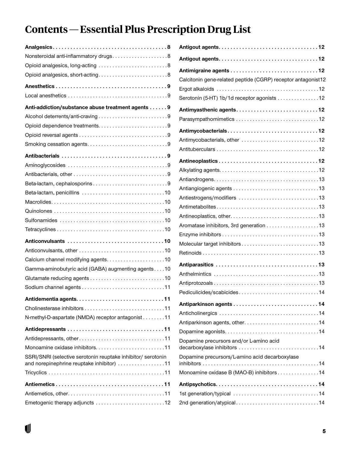# **Contents—Essential Plus Prescription Drug List**

| Nonsteroidal anti-inflammatory drugs8                                                                     |
|-----------------------------------------------------------------------------------------------------------|
|                                                                                                           |
|                                                                                                           |
|                                                                                                           |
|                                                                                                           |
| Anti-addiction/substance abuse treatment agents 9                                                         |
| Alcohol deterrents/anti-craving9                                                                          |
|                                                                                                           |
|                                                                                                           |
|                                                                                                           |
|                                                                                                           |
|                                                                                                           |
|                                                                                                           |
| Beta-lactam, cephalosporins9                                                                              |
|                                                                                                           |
|                                                                                                           |
|                                                                                                           |
|                                                                                                           |
|                                                                                                           |
|                                                                                                           |
|                                                                                                           |
| Calcium channel modifying agents10                                                                        |
| Gamma-aminobutyric acid (GABA) augmenting agents10                                                        |
|                                                                                                           |
|                                                                                                           |
|                                                                                                           |
|                                                                                                           |
| N-methyl-D-aspartate (NMDA) receptor antagonist 11                                                        |
|                                                                                                           |
|                                                                                                           |
|                                                                                                           |
| SSRI/SNRI (selective serotonin reuptake inhibitor/ serotonin<br>and norepinephrine reuptake inhibitor) 11 |
|                                                                                                           |
|                                                                                                           |
|                                                                                                           |
| Emetogenic therapy adjuncts 12                                                                            |

| Calcitonin gene-related peptide (CGRP) receptor antagonist12 |
|--------------------------------------------------------------|
|                                                              |
| Serotonin (5-HT) 1b/1d receptor agonists 12                  |
| Antimyasthenic agents12                                      |
|                                                              |
| Antimycobacterials12                                         |
|                                                              |
|                                                              |
|                                                              |
|                                                              |
|                                                              |
|                                                              |
|                                                              |
|                                                              |
|                                                              |
| Aromatase inhibitors, 3rd generation 13                      |
|                                                              |
|                                                              |
|                                                              |
|                                                              |
|                                                              |
|                                                              |
| Pediculicides/scabicides                                     |
|                                                              |
|                                                              |
| Antiparkinson agents, other14                                |
|                                                              |
| Dopamine precursors and/or L-amino acid                      |
| Dopamine precursors/L-amino acid decarboxylase               |
| Monoamine oxidase B (MAO-B) inhibitors 14                    |
|                                                              |
|                                                              |
|                                                              |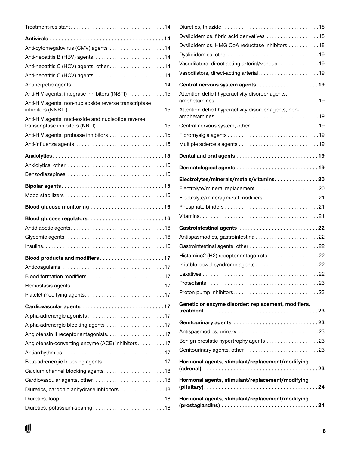| Anti-cytomegalovirus (CMV) agents 14                                    |  |
|-------------------------------------------------------------------------|--|
|                                                                         |  |
|                                                                         |  |
| Anti-hepatitis C (HCV) agents 14                                        |  |
|                                                                         |  |
| Anti-HIV agents, integrase inhibitors (INSTI) 15                        |  |
| Anti-HIV agents, non-nucleoside reverse transcriptase                   |  |
| Anti-HIV agents, nucleoside and nucleotide reverse                      |  |
| Anti-HIV agents, protease inhibitors 15                                 |  |
|                                                                         |  |
|                                                                         |  |
|                                                                         |  |
|                                                                         |  |
|                                                                         |  |
|                                                                         |  |
|                                                                         |  |
| Blood glucose monitoring 16                                             |  |
|                                                                         |  |
| Blood glucose regulators16                                              |  |
|                                                                         |  |
|                                                                         |  |
|                                                                         |  |
| Blood products and modifiers17                                          |  |
|                                                                         |  |
|                                                                         |  |
|                                                                         |  |
| Platelet modifying agents17                                             |  |
| Cardiovascular agents 17                                                |  |
| Alpha-adrenergic agonists17                                             |  |
| Alpha-adrenergic blocking agents 17                                     |  |
|                                                                         |  |
| Angiotensin-converting enzyme (ACE) inhibitors. 17                      |  |
|                                                                         |  |
|                                                                         |  |
| Beta-adrenergic blocking agents 17<br>Calcium channel blocking agents18 |  |
| Cardiovascular agents, other18                                          |  |
|                                                                         |  |
| Diuretics, carbonic anhydrase inhibitors 18                             |  |

| Dyslipidemics, fibric acid derivatives 18                                                          |
|----------------------------------------------------------------------------------------------------|
| Dyslipidemics, HMG CoA reductase inhibitors 18                                                     |
|                                                                                                    |
| Vasodilators, direct-acting arterial/venous19                                                      |
| Vasodilators, direct-acting arterial19                                                             |
| Central nervous system agents19                                                                    |
| Attention deficit hyperactivity disorder agents,                                                   |
| Attention deficit hyperactivity disorder agents, non-                                              |
| Central nervous system, other19                                                                    |
|                                                                                                    |
|                                                                                                    |
|                                                                                                    |
|                                                                                                    |
| Electrolytes/minerals/metals/vitamins20                                                            |
|                                                                                                    |
| Electrolyte/mineral/metal modifiers 21                                                             |
|                                                                                                    |
|                                                                                                    |
| Gastrointestinal agents 22                                                                         |
|                                                                                                    |
|                                                                                                    |
| Histamine2 (H2) receptor antagonists 22                                                            |
| Irritable bowel syndrome agents22                                                                  |
|                                                                                                    |
|                                                                                                    |
|                                                                                                    |
| Genetic or enzyme disorder: replacement, modifiers,                                                |
|                                                                                                    |
|                                                                                                    |
|                                                                                                    |
|                                                                                                    |
| Genitourinary agents, other23                                                                      |
| Hormonal agents, stimulant/replacement/modifying                                                   |
| Hormonal agents, stimulant/replacement/modifying                                                   |
| Hormonal agents, stimulant/replacement/modifying                                                   |
| $(prostaglandins) \ldots \ldots \ldots \ldots \ldots \ldots \ldots \ldots \ldots \ldots \ldots 24$ |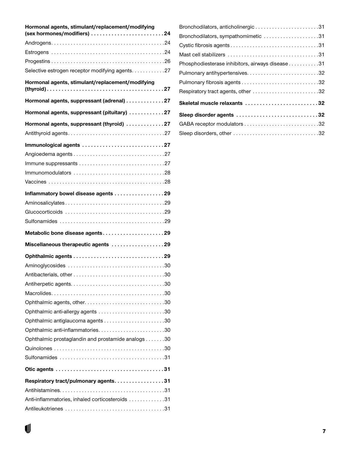| Hormonal agents, stimulant/replacement/modifying<br>(sex hormones/modifiers) 24 |  |
|---------------------------------------------------------------------------------|--|
|                                                                                 |  |
|                                                                                 |  |
|                                                                                 |  |
| Selective estrogen receptor modifying agents. 27                                |  |
| Hormonal agents, stimulant/replacement/modifying                                |  |
| Hormonal agents, suppressant (adrenal) 27                                       |  |
| Hormonal agents, suppressant (pituitary) 27                                     |  |
| Hormonal agents, suppressant (thyroid) 27                                       |  |
|                                                                                 |  |
| Immunological agents 27                                                         |  |
|                                                                                 |  |
|                                                                                 |  |
|                                                                                 |  |
|                                                                                 |  |
| Inflammatory bowel disease agents 29                                            |  |
|                                                                                 |  |
|                                                                                 |  |
|                                                                                 |  |
| Metabolic bone disease agents29                                                 |  |
| Miscellaneous therapeutic agents 29                                             |  |
|                                                                                 |  |
|                                                                                 |  |
|                                                                                 |  |
|                                                                                 |  |
|                                                                                 |  |
|                                                                                 |  |
| Ophthalmic anti-allergy agents 30                                               |  |
|                                                                                 |  |
|                                                                                 |  |
| Ophthalmic prostaglandin and prostamide analogs 30                              |  |
|                                                                                 |  |
|                                                                                 |  |
|                                                                                 |  |
| Respiratory tract/pulmonary agents31                                            |  |
|                                                                                 |  |
| Anti-inflammatories, inhaled corticosteroids 31                                 |  |
|                                                                                 |  |

| Bronchodilators, anticholinergic31               |  |
|--------------------------------------------------|--|
| Bronchodilators, sympathomimetic 31              |  |
|                                                  |  |
|                                                  |  |
| Phosphodiesterase inhibitors, airways disease 31 |  |
|                                                  |  |
|                                                  |  |
| Respiratory tract agents, other 32               |  |
| Skeletal muscle relaxants 32                     |  |
| Sleep disorder agents 32                         |  |
|                                                  |  |
|                                                  |  |
|                                                  |  |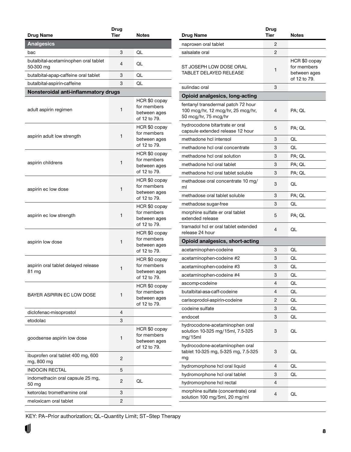<span id="page-7-0"></span>

| Drug Name                                         | Drug<br>Tier | <b>Notes</b>                                                 |
|---------------------------------------------------|--------------|--------------------------------------------------------------|
| <b>Analgesics</b>                                 |              |                                                              |
| bac                                               | 3            | QL                                                           |
|                                                   |              |                                                              |
| butalbital-acetaminophen oral tablet<br>50-300 mg | 4            | QL                                                           |
| butalbital-apap-caffeine oral tablet              | 3            | QL                                                           |
| butalbital-aspirin-caffeine                       | 3            | QL                                                           |
| Nonsteroidal anti-inflammatory drugs              |              |                                                              |
| adult aspirin regimen                             | 1            | HCR \$0 copay<br>for members<br>between ages<br>of 12 to 79. |
| aspirin adult low strength                        | 1            | HCR \$0 copay<br>for members<br>between ages<br>of 12 to 79. |
| aspirin childrens                                 | 1            | HCR \$0 copay<br>for members<br>between ages<br>of 12 to 79. |
| aspirin ec low dose                               | 1            | HCR \$0 copay<br>for members<br>between ages<br>of 12 to 79. |
| aspirin ec low strength                           | 1            | HCR \$0 copay<br>for members<br>between ages<br>of 12 to 79. |
| aspirin low dose                                  | 1            | HCR \$0 copay<br>for members<br>between ages<br>of 12 to 79. |
| aspirin oral tablet delayed release<br>81 mg      | 1            | HCR \$0 copay<br>for members<br>between ages<br>of 12 to 79. |
| BAYER ASPIRIN EC LOW DOSE                         | 1            | HCR \$0 copay<br>for members<br>between ages<br>of 12 to 79. |
| diclofenac-misoprostol                            | 4            |                                                              |
| etodolac                                          | 3            |                                                              |
| goodsense aspirin low dose                        | 1            | HCR \$0 copay<br>for members<br>between ages<br>of 12 to 79. |
| ibuprofen oral tablet 400 mg, 600<br>mg, 800 mg   | 2            |                                                              |
| <b>INDOCIN RECTAL</b>                             | 5            |                                                              |
| indomethacin oral capsule 25 mg,<br>50 mg         | 2            | QL                                                           |
| ketorolac tromethamine oral                       | 3            |                                                              |
| meloxicam oral tablet                             | 2            |                                                              |
|                                                   |              |                                                              |

| Drug Name                                                                                       | <b>Drug</b><br><b>Tier</b> | Notes                                                        |
|-------------------------------------------------------------------------------------------------|----------------------------|--------------------------------------------------------------|
| naproxen oral tablet                                                                            | 2                          |                                                              |
| salsalate oral                                                                                  | 2                          |                                                              |
| ST JOSEPH LOW DOSE ORAL<br>TABLET DELAYED RELEASE                                               | 1                          | HCR \$0 copay<br>for members<br>between ages<br>of 12 to 79. |
| sulindac oral                                                                                   | 3                          |                                                              |
| <b>Opioid analgesics, long-acting</b>                                                           |                            |                                                              |
| fentanyl transdermal patch 72 hour<br>100 mcg/hr, 12 mcg/hr, 25 mcg/hr,<br>50 mcg/hr, 75 mcg/hr | 4                          | PA; QL                                                       |
| hydrocodone bitartrate er oral<br>capsule extended release 12 hour                              | 5                          | PA; QL                                                       |
| methadone hcl intensol                                                                          | 3                          | QL                                                           |
| methadone hcl oral concentrate                                                                  | 3                          | QL                                                           |
| methadone hcl oral solution                                                                     | 3                          | PA; QL                                                       |
| methadone hcl oral tablet                                                                       | 3                          | PA; QL                                                       |
| methadone hcl oral tablet soluble                                                               | 3                          | PA; QL                                                       |
| methadose oral concentrate 10 mg/<br>ml                                                         | 3                          | QL                                                           |
| methadose oral tablet soluble                                                                   | 3                          | PA; QL                                                       |
| methadose sugar-free                                                                            | 3                          | QL                                                           |
| morphine sulfate er oral tablet<br>extended release                                             | 5                          | PA; QL                                                       |
| tramadol hcl er oral tablet extended<br>release 24 hour                                         | 4                          | QL                                                           |
| <b>Opioid analgesics, short-acting</b>                                                          |                            |                                                              |
| acetaminophen-codeine                                                                           | 3                          | QL                                                           |
| acetaminophen-codeine #2                                                                        | 3                          | QL                                                           |
| acetaminophen-codeine #3                                                                        | 3                          | QL                                                           |
| acetaminophen-codeine #4                                                                        | 3                          | QL                                                           |
| ascomp-codeine                                                                                  | 4                          | QL                                                           |
| butalbital-asa-caff-codeine                                                                     | 4                          | QL                                                           |
| carisoprodol-aspirin-codeine                                                                    | 2                          | QL                                                           |
| codeine sulfate                                                                                 | 3                          | QL                                                           |
| endocet                                                                                         | 3                          | QL                                                           |
| hydrocodone-acetaminophen oral<br>solution 10-325 mg/15ml, 7.5-325<br>mg/15ml                   | 3                          | QL                                                           |
| hydrocodone-acetaminophen oral<br>tablet 10-325 mg, 5-325 mg, 7.5-325<br>mg                     | 3                          | QL                                                           |
| hydromorphone hcl oral liquid                                                                   | 4                          | QL                                                           |
| hydromorphone hcl oral tablet                                                                   | 3                          | QL                                                           |
| hydromorphone hcl rectal                                                                        | 4                          |                                                              |
| morphine sulfate (concentrate) oral<br>solution 100 mg/5ml, 20 mg/ml                            | 4                          | QL                                                           |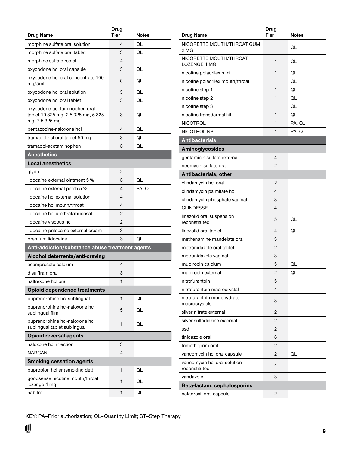<span id="page-8-0"></span>

|                                                                                       | Drug        |        |
|---------------------------------------------------------------------------------------|-------------|--------|
| Drug Name                                                                             | <b>Tier</b> | Notes  |
| morphine sulfate oral solution                                                        | 4           | QL     |
| morphine sulfate oral tablet                                                          | 3           | QL     |
| morphine sulfate rectal                                                               | 4           |        |
| oxycodone hcl oral capsule                                                            | 3           | QL     |
| oxycodone hcl oral concentrate 100<br>mg/5ml                                          | 5           | QL     |
| oxycodone hcl oral solution                                                           | 3           | QL     |
| oxycodone hcl oral tablet                                                             | 3           | QL     |
| oxycodone-acetaminophen oral<br>tablet 10-325 mg, 2.5-325 mg, 5-325<br>mg, 7.5-325 mg | 3           | QL     |
| pentazocine-naloxone hcl                                                              | 4           | QL     |
| tramadol hcl oral tablet 50 mg                                                        | 3           | QL     |
| tramadol-acetaminophen                                                                | 3           | QL     |
| <b>Anesthetics</b>                                                                    |             |        |
| <b>Local anesthetics</b>                                                              |             |        |
| glydo                                                                                 | 2           |        |
| lidocaine external ointment 5 %                                                       | 3           | QL     |
| lidocaine external patch 5 %                                                          | 4           | PA; QL |
| lidocaine hcl external solution                                                       | 4           |        |
| lidocaine hcl mouth/throat                                                            | 4           |        |
| lidocaine hcl urethral/mucosal                                                        | 2           |        |
| lidocaine viscous hcl                                                                 | 2           |        |
| lidocaine-prilocaine external cream                                                   | 3           |        |
| premium lidocaine                                                                     | 3           | QL     |
| Anti-addiction/substance abuse treatment agents                                       |             |        |
| Alcohol deterrents/anti-craving                                                       |             |        |
| acamprosate calcium                                                                   | 4           |        |
| disulfiram oral                                                                       | 3           |        |
| naltrexone hcl oral                                                                   | 1           |        |
| <b>Opioid dependence treatments</b>                                                   |             |        |
| buprenorphine hcl sublingual                                                          | 1           | QL     |
| buprenorphine hcl-naloxone hcl<br>sublingual film                                     | 5           | QL     |
| buprenorphine hcl-naloxone hcl<br>sublingual tablet sublingual                        | 1           | QL     |
| <b>Opioid reversal agents</b>                                                         |             |        |
| naloxone hcl injection                                                                | 3           |        |
| NARCAN                                                                                | 4           |        |
| <b>Smoking cessation agents</b>                                                       |             |        |
| bupropion hcl er (smoking det)                                                        | 1           | QL     |
| goodsense nicotine mouth/throat<br>lozenge 4 mg                                       | 1           | QL     |
| habitrol                                                                              | 1           | QL     |

|                                               | Drug |        |
|-----------------------------------------------|------|--------|
| <b>Drug Name</b>                              | Tier | Notes  |
| NICORETTE MOUTH/THROAT GUM<br>2 MG            | 1    | QL     |
| NICORETTE MOUTH/THROAT<br><b>LOZENGE 4 MG</b> | 1    | QL     |
| nicotine polacrilex mini                      | 1    | QL     |
| nicotine polacrilex mouth/throat              | 1    | QL     |
| nicotine step 1                               | 1    | QL     |
| nicotine step 2                               | 1    | QL     |
| nicotine step 3                               | 1    | QL     |
| nicotine transdermal kit                      | 1    | QL     |
| <b>NICOTROL</b>                               | 1    | PA; QL |
| NICOTROL NS                                   | 1    | PA; QL |
| <b>Antibacterials</b>                         |      |        |
| Aminoglycosides                               |      |        |
| gentamicin sulfate external                   | 4    |        |
| neomycin sulfate oral                         | 2    |        |
| Antibacterials, other                         |      |        |
| clindamycin hcl oral                          | 2    |        |
| clindamycin palmitate hcl                     | 4    |        |
| clindamycin phosphate vaginal                 | 3    |        |
| <b>CLINDESSE</b>                              | 4    |        |
| linezolid oral suspension<br>reconstituted    | 5    | QL     |
| linezolid oral tablet                         | 4    | QL     |
| methenamine mandelate oral                    | 3    |        |
| metronidazole oral tablet                     | 2    |        |
| metronidazole vaginal                         | 3    |        |
| mupirocin calcium                             | 5    | QL     |
| mupirocin external                            | 2    | QL     |
| nitrofurantoin                                | 5    |        |
| nitrofurantoin macrocrystal                   | 4    |        |
| nitrofurantoin monohydrate<br>macrocrystals   | 3    |        |
| silver nitrate external                       | 2    |        |
| silver sulfadiazine external                  | 2    |        |
| ssd                                           | 2    |        |
| tinidazole oral                               | 3    |        |
| trimethoprim oral                             | 2    |        |
| vancomycin hcl oral capsule                   | 2    | QL     |
| vancomycin hcl oral solution<br>reconstituted | 4    |        |
| vandazole                                     | 3    |        |
| Beta-lactam, cephalosporins                   |      |        |
| cefadroxil oral capsule                       | 2    |        |
|                                               |      |        |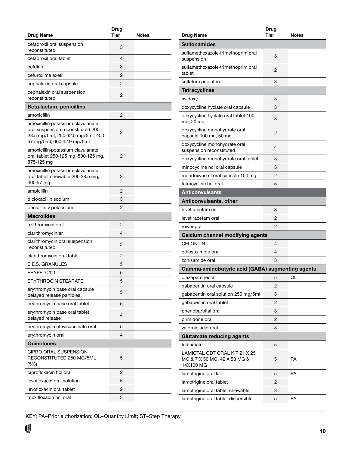<span id="page-9-0"></span>

| Drug Name                                                                                                                                   | <b>Drug</b><br><b>Tier</b> | Notes |
|---------------------------------------------------------------------------------------------------------------------------------------------|----------------------------|-------|
|                                                                                                                                             |                            |       |
| cefadroxil oral suspension<br>reconstituted                                                                                                 | 3                          |       |
| cefadroxil oral tablet                                                                                                                      | 4                          |       |
| cefdinir                                                                                                                                    | 3                          |       |
| cefuroxime axetil                                                                                                                           | 2                          |       |
| cephalexin oral capsule                                                                                                                     | 2                          |       |
| cephalexin oral suspension<br>reconstituted                                                                                                 | 2                          |       |
| Beta-lactam, penicillins                                                                                                                    |                            |       |
| amoxicillin                                                                                                                                 | 2                          |       |
| amoxicillin-potassium clavulanate<br>oral suspension reconstituted 200-<br>28.5 mg/5ml, 250-62.5 mg/5ml, 400-<br>57 mg/5ml, 600-42.9 mg/5ml | 3                          |       |
| amoxicillin-potassium clavulanate<br>oral tablet 250-125 mg, 500-125 mg,<br>875-125 mg                                                      | 2                          |       |
| amoxicillin-potassium clavulanate<br>oral tablet chewable 200-28.5 mg,<br>400-57 mg                                                         | 3                          |       |
| ampicillin                                                                                                                                  | 2                          |       |
| dicloxacillin sodium                                                                                                                        | 3                          |       |
| penicillin v potassium                                                                                                                      | 2                          |       |
| <b>Macrolides</b>                                                                                                                           |                            |       |
| azithromycin oral                                                                                                                           | 2                          |       |
| clarithromycin er                                                                                                                           | 4                          |       |
| clarithromycin oral suspension<br>reconstituted                                                                                             | 5                          |       |
| clarithromycin oral tablet                                                                                                                  | 2                          |       |
| E.E.S. GRANULES                                                                                                                             | 5                          |       |
| ERYPED 200                                                                                                                                  | 5                          |       |
| <b>ERYTHROCIN STEARATE</b>                                                                                                                  | 5                          |       |
| erythromycin base oral capsule<br>delayed release particles                                                                                 | 5                          |       |
| erythromycin base oral tablet                                                                                                               | 5                          |       |
| erythromycin base oral tablet<br>delayed release                                                                                            | 4                          |       |
| erythromycin ethylsuccinate oral                                                                                                            | 5                          |       |
| erythromycin oral                                                                                                                           | 4                          |       |
| Quinolones                                                                                                                                  |                            |       |
| CIPRO ORAL SUSPENSION<br>RECONSTITUTED 250 MG/5ML<br>(5%)                                                                                   | 5                          |       |
| ciprofloxacin hcl oral                                                                                                                      | 2                          |       |
| levofloxacin oral solution                                                                                                                  | 5                          |       |
| levofloxacin oral tablet                                                                                                                    | 2                          |       |
| moxifloxacin hcl oral                                                                                                                       | 3                          |       |

|                                                                            | <b>Drug</b> |       |
|----------------------------------------------------------------------------|-------------|-------|
| Drug Name                                                                  | Tier        | Notes |
| <b>Sulfonamides</b>                                                        |             |       |
| sulfamethoxazole-trimethoprim oral<br>suspension                           | 3           |       |
| sulfamethoxazole-trimethoprim oral<br>tablet                               | 2           |       |
| sulfatrim pediatric                                                        | 3           |       |
| <b>Tetracyclines</b>                                                       |             |       |
| avidoxy                                                                    | 3           |       |
| doxycycline hyclate oral capsule                                           | 3           |       |
| doxycycline hyclate oral tablet 100<br>mg, 20 mg                           | 3           |       |
| doxycycline monohydrate oral<br>capsule 100 mg, 50 mg                      | 2           |       |
| doxycycline monohydrate oral<br>suspension reconstituted                   | 4           |       |
| doxycycline monohydrate oral tablet                                        | 3           |       |
| minocycline hcl oral capsule                                               | 3           |       |
| mondoxyne nl oral capsule 100 mg                                           | 2           |       |
| tetracycline hcl oral                                                      | 5           |       |
| <b>Anticonvulsants</b>                                                     |             |       |
| <b>Anticonvulsants, other</b>                                              |             |       |
| levetiracetam er                                                           | 3           |       |
| levetiracetam oral                                                         | 2           |       |
| roweepra                                                                   | 2           |       |
| Calcium channel modifying agents                                           |             |       |
| <b>CELONTIN</b>                                                            | 4           |       |
| ethosuximide oral                                                          | 4           |       |
| zonisamide oral                                                            | 3           |       |
| Gamma-aminobutyric acid (GABA) augmenting agents                           |             |       |
| diazepam rectal                                                            | 5           | QL    |
| gabapentin oral capsule                                                    | 2           |       |
| gabapentin oral solution 250 mg/5ml                                        | 3           |       |
| gabapentin oral tablet                                                     | 2           |       |
| phenobarbital oral                                                         | 3           |       |
| primidone oral                                                             | 2           |       |
| valproic acid oral                                                         | 3           |       |
| <b>Glutamate reducing agents</b>                                           |             |       |
| felbamate                                                                  | 5           |       |
| LAMICTAL ODT ORAL KIT 21 X 25<br>MG & 7 X 50 MG, 42 X 50 MG &<br>14X100 MG | 5           | PA    |
| lamotrigine oral kit                                                       | 5           | PA    |
| lamotrigine oral tablet                                                    | 2           |       |
| lamotrigine oral tablet chewable                                           | 3           |       |
| lamotrigine oral tablet dispersible                                        | 5           | PA    |
|                                                                            |             |       |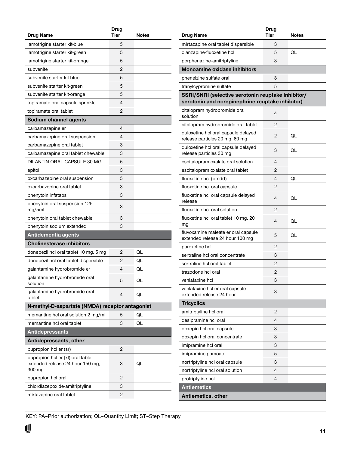<span id="page-10-0"></span>

| <b>Drug Name</b>                                                                | Drug<br><b>Tier</b> | Notes |
|---------------------------------------------------------------------------------|---------------------|-------|
| lamotrigine starter kit-blue                                                    | 5                   |       |
| lamotrigine starter kit-green                                                   | 5                   |       |
| lamotrigine starter kit-orange                                                  | 5                   |       |
| subvenite                                                                       | 2                   |       |
| subvenite starter kit-blue                                                      | 5                   |       |
|                                                                                 | 5                   |       |
| subvenite starter kit-green                                                     |                     |       |
| subvenite starter kit-orange                                                    | 5                   |       |
| topiramate oral capsule sprinkle                                                | 4                   |       |
| topiramate oral tablet                                                          | 2                   |       |
| Sodium channel agents                                                           |                     |       |
| carbamazepine er                                                                | 4                   |       |
| carbamazepine oral suspension                                                   | 4                   |       |
| carbamazepine oral tablet                                                       | 3                   |       |
| carbamazepine oral tablet chewable                                              | 3                   |       |
| DILANTIN ORAL CAPSULE 30 MG                                                     | 5                   |       |
| epitol                                                                          | 3                   |       |
| oxcarbazepine oral suspension                                                   | 5                   |       |
| oxcarbazepine oral tablet                                                       | 3                   |       |
| phenytoin infatabs                                                              | 3                   |       |
| phenytoin oral suspension 125<br>mg/5ml                                         | 3                   |       |
| phenytoin oral tablet chewable                                                  | 3                   |       |
| phenytoin sodium extended                                                       | 3                   |       |
| Antidementia agents                                                             |                     |       |
| <b>Cholinesterase inhibitors</b>                                                |                     |       |
| donepezil hcl oral tablet 10 mg, 5 mg                                           | 2                   | QL    |
| donepezil hcl oral tablet dispersible                                           | 2                   | QL    |
| galantamine hydrobromide er                                                     | 4                   | QL    |
| galantamine hydrobromide oral<br>solution                                       | 5                   | QL    |
| galantamine hydrobromide oral<br>tablet                                         | 4                   | QL    |
| N-methyl-D-aspartate (NMDA) receptor antagonist                                 |                     |       |
| memantine hcl oral solution 2 mg/ml                                             | 5                   | QL    |
| memantine hcl oral tablet                                                       | 3                   | QL    |
| <b>Antidepressants</b>                                                          |                     |       |
| Antidepressants, other                                                          |                     |       |
| bupropion hcl er (sr)                                                           | 2                   |       |
| bupropion hcl er (xl) oral tablet<br>extended release 24 hour 150 mg,<br>300 mg | 3                   | QL    |
| bupropion hcl oral                                                              | 2                   |       |
| chlordiazepoxide-amitriptyline                                                  | 3                   |       |
| mirtazapine oral tablet                                                         | $\overline{c}$      |       |
|                                                                                 |                     |       |

|                                                                                                        | Drug |              |
|--------------------------------------------------------------------------------------------------------|------|--------------|
| Drug Name                                                                                              | Tier | <b>Notes</b> |
| mirtazapine oral tablet dispersible                                                                    | 3    |              |
| olanzapine-fluoxetine hcl                                                                              | 5    | QL           |
| perphenazine-amitriptyline                                                                             | 3    |              |
| <b>Monoamine oxidase inhibitors</b>                                                                    |      |              |
| phenelzine sulfate oral                                                                                | 3    |              |
| tranylcypromine sulfate                                                                                | 5    |              |
| SSRI/SNRI (selective serotonin reuptake inhibitor/<br>serotonin and norepinephrine reuptake inhibitor) |      |              |
| citalopram hydrobromide oral<br>solution                                                               | 4    |              |
| citalopram hydrobromide oral tablet                                                                    | 2    |              |
| duloxetine hcl oral capsule delayed<br>release particles 20 mg, 60 mg                                  | 2    | QL           |
| duloxetine hcl oral capsule delayed<br>release particles 30 mg                                         | 3    | QL           |
| escitalopram oxalate oral solution                                                                     | 4    |              |
| escitalopram oxalate oral tablet                                                                       | 2    |              |
| fluoxetine hcl (pmdd)                                                                                  | 4    | QL           |
| fluoxetine hcl oral capsule                                                                            | 2    |              |
| fluoxetine hcl oral capsule delayed<br>release                                                         | 4    | OL           |
| fluoxetine hcl oral solution                                                                           | 2    |              |
| fluoxetine hcl oral tablet 10 mg, 20<br>mg                                                             | 4    | QL           |
| fluvoxamine maleate er oral capsule<br>extended release 24 hour 100 mg                                 | 5    | QL           |
| paroxetine hcl                                                                                         | 2    |              |
| sertraline hcl oral concentrate                                                                        | 3    |              |
| sertraline hcl oral tablet                                                                             | 2    |              |
| trazodone hcl oral                                                                                     | 2    |              |
| venlafaxine hcl                                                                                        | 3    |              |
| venlafaxine hcl er oral capsule<br>extended release 24 hour                                            | 3    |              |
| <b>Tricyclics</b>                                                                                      |      |              |
| amitriptyline hcl oral                                                                                 | 2    |              |
| desipramine hcl oral                                                                                   | 4    |              |
| doxepin hcl oral capsule                                                                               | 3    |              |
| doxepin hcl oral concentrate                                                                           | 3    |              |
| imipramine hcl oral                                                                                    | 3    |              |
| imipramine pamoate                                                                                     | 5    |              |
| nortriptyline hcl oral capsule                                                                         | 3    |              |
| nortriptyline hcl oral solution                                                                        | 4    |              |
| protriptyline hcl                                                                                      | 4    |              |
| <b>Antiemetics</b>                                                                                     |      |              |
| Antiemetics, other                                                                                     |      |              |
|                                                                                                        |      |              |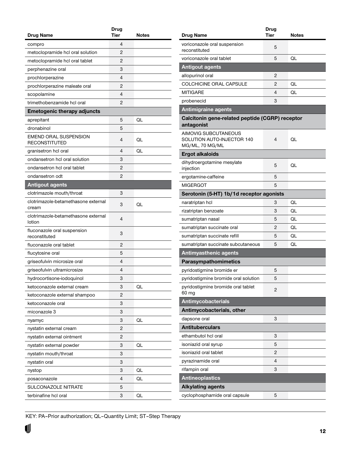<span id="page-11-0"></span>

|                                               | Drug           |       |
|-----------------------------------------------|----------------|-------|
| Drug Name                                     | Tier           | Notes |
| compro                                        | 4              |       |
| metoclopramide hcl oral solution              | 2              |       |
| metoclopramide hcl oral tablet                | 2              |       |
| perphenazine oral                             | 3              |       |
| prochlorperazine                              | $\overline{4}$ |       |
| prochlorperazine maleate oral                 | 2              |       |
| scopolamine                                   | $\overline{4}$ |       |
| trimethobenzamide hcl oral                    | 2              |       |
| <b>Emetogenic therapy adjuncts</b>            |                |       |
| aprepitant                                    | 5              | QL    |
| dronabinol                                    | 5              |       |
| EMEND ORAL SUSPENSION<br><b>RECONSTITUTED</b> | 4              | QL    |
| granisetron hcl oral                          | 4              | QL    |
| ondansetron hcl oral solution                 | 3              |       |
| ondansetron hcl oral tablet                   | 2              |       |
| ondansetron odt                               | 2              |       |
| <b>Antigout agents</b>                        |                |       |
| clotrimazole mouth/throat                     | 3              |       |
| clotrimazole-betamethasone external<br>cream  | 3              | QL    |
| clotrimazole-betamethasone external<br>lotion | 4              |       |
| fluconazole oral suspension<br>reconstituted  | 3              |       |
| fluconazole oral tablet                       | 2              |       |
| flucytosine oral                              | 5              |       |
| griseofulvin microsize oral                   | 4              |       |
| griseofulvin ultramicrosize                   | 4              |       |
| hydrocortisone-iodoquinol                     | 3              |       |
| ketoconazole external cream                   | 3              | QL    |
| ketoconazole external shampoo                 | 2              |       |
| ketoconazole oral                             | 3              |       |
| miconazole 3                                  | 3              |       |
| nyamyc                                        | 3              | QL    |
| nystatin external cream                       | 2              |       |
| nystatin external ointment                    | 2              |       |
| nystatin external powder                      | 3              | QL    |
| nystatin mouth/throat                         | 3              |       |
| nystatin oral                                 | 3              |       |
| nystop                                        | 3              | QL    |
| posaconazole                                  | 4              | QL    |
| SULCONAZOLE NITRATE                           | 5              |       |
|                                               |                |       |
| terbinafine hcl oral                          | 3              | QL    |

| Drug Name                                                             | <b>Drug</b><br><b>Tier</b> | Notes |
|-----------------------------------------------------------------------|----------------------------|-------|
| voriconazole oral suspension                                          |                            |       |
| reconstituted                                                         | 5                          |       |
| voriconazole oral tablet                                              | 5                          | QL    |
| <b>Antigout agents</b>                                                |                            |       |
| allopurinol oral                                                      | 2                          |       |
| COLCHICINE ORAL CAPSULE                                               | 2                          | QL    |
| MITIGARE                                                              | 4                          | QL    |
| probenecid                                                            | 3                          |       |
| <b>Antimigraine agents</b>                                            |                            |       |
| Calcitonin gene-related peptide (CGRP) receptor<br>antagonist         |                            |       |
| AIMOVIG SUBCUTANEOUS<br>SOLUTION AUTO-INJECTOR 140<br>MG/ML, 70 MG/ML | 4                          | QL    |
| <b>Ergot alkaloids</b>                                                |                            |       |
| dihydroergotamine mesylate<br>injection                               | 5                          | QL    |
| ergotamine-caffeine                                                   | 5                          |       |
| MIGERGOT                                                              | 5                          |       |
| Serotonin (5-HT) 1b/1d receptor agonists                              |                            |       |
| naratriptan hol                                                       | 3                          | QL    |
| rizatriptan benzoate                                                  | 3                          | QL    |
| sumatriptan nasal                                                     | 5                          | QL    |
| sumatriptan succinate oral                                            | 2                          | QL    |
| sumatriptan succinate refill                                          | 5                          | QL    |
| sumatriptan succinate subcutaneous                                    | 5                          | QL    |
| <b>Antimyasthenic agents</b>                                          |                            |       |
| Parasympathomimetics                                                  |                            |       |
| pyridostigmine bromide er                                             | 5                          |       |
| pyridostigmine bromide oral solution                                  | 5                          |       |
| pyridostigmine bromide oral tablet<br>60 mg                           | 2                          |       |
| <b>Antimycobacterials</b>                                             |                            |       |
| Antimycobacterials, other                                             |                            |       |
| dapsone oral                                                          | 3                          |       |
| <b>Antituberculars</b>                                                |                            |       |
| ethambutol hcl oral                                                   | 3                          |       |
| isoniazid oral syrup                                                  | 5                          |       |
| isoniazid oral tablet                                                 | 2                          |       |
| pyrazinamide oral                                                     | 4                          |       |
| rifampin oral                                                         | 3                          |       |
| <b>Antineoplastics</b>                                                |                            |       |
| <b>Alkylating agents</b>                                              |                            |       |
| cyclophosphamide oral capsule                                         | 5                          |       |
|                                                                       |                            |       |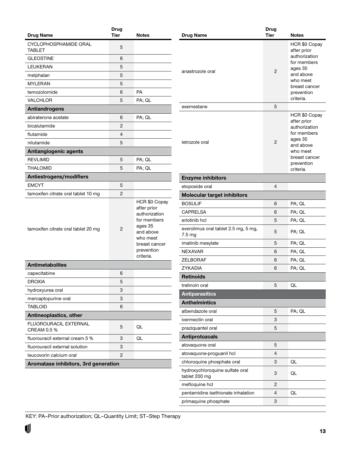<span id="page-12-0"></span>

|                                             | <b>Drug</b> |                                                                                                                                              |
|---------------------------------------------|-------------|----------------------------------------------------------------------------------------------------------------------------------------------|
| <b>Drug Name</b>                            | <b>Tier</b> | <b>Notes</b>                                                                                                                                 |
| CYCLOPHOSPHAMIDE ORAL<br><b>TABLET</b>      | 5           |                                                                                                                                              |
| <b>GLEOSTINE</b>                            | 6           |                                                                                                                                              |
| LEUKERAN                                    | 5           |                                                                                                                                              |
| melphalan                                   | 5           |                                                                                                                                              |
| MYLERAN                                     | 5           |                                                                                                                                              |
| temozolomide                                | 6           | <b>PA</b>                                                                                                                                    |
| <b>VALCHLOR</b>                             | 5           | PA; QL                                                                                                                                       |
| <b>Antiandrogens</b>                        |             |                                                                                                                                              |
| abiraterone acetate                         | 6           | PA; QL                                                                                                                                       |
| bicalutamide                                | 2           |                                                                                                                                              |
| flutamide                                   | 4           |                                                                                                                                              |
| nilutamide                                  | 5           |                                                                                                                                              |
| Antiangiogenic agents                       |             |                                                                                                                                              |
| <b>REVLIMID</b>                             | 5           | PA; QL                                                                                                                                       |
| <b>THALOMID</b>                             | 5           | PA; QL                                                                                                                                       |
| Antiestrogens/modifiers                     |             |                                                                                                                                              |
| <b>EMCYT</b>                                | 5           |                                                                                                                                              |
| tamoxifen citrate oral tablet 10 mg         | 2           |                                                                                                                                              |
| tamoxifen citrate oral tablet 20 mg         | 2           | HCR \$0 Copay<br>after prior<br>authorization<br>for members<br>ages 35<br>and above<br>who meet<br>breast cancer<br>prevention<br>criteria. |
| <b>Antimetabolites</b>                      |             |                                                                                                                                              |
| capecitabine                                | 6           |                                                                                                                                              |
| DROXIA                                      | 5           |                                                                                                                                              |
| hydroxyurea oral                            | 3           |                                                                                                                                              |
| mercaptopurine oral                         | 3           |                                                                                                                                              |
| <b>TABLOID</b>                              | 6           |                                                                                                                                              |
| Antineoplastics, other                      |             |                                                                                                                                              |
| <b>FLUOROURACIL EXTERNAL</b><br>CREAM 0.5 % | 5           | QL                                                                                                                                           |
| fluorouracil external cream 5 %             | 3           | QL                                                                                                                                           |
| fluorouracil external solution              | 3           |                                                                                                                                              |
| leucovorin calcium oral                     | 2           |                                                                                                                                              |
| Aromatase inhibitors, 3rd generation        |             |                                                                                                                                              |

| <b>Drug Name</b>                                            | <b>Drug</b><br><b>Tier</b> | <b>Notes</b>                                                                                                                                 |
|-------------------------------------------------------------|----------------------------|----------------------------------------------------------------------------------------------------------------------------------------------|
|                                                             |                            | HCR \$0 Copay                                                                                                                                |
| anastrozole oral                                            | $\overline{2}$             | after prior<br>authorization<br>for members<br>ages 35<br>and above<br>who meet<br>breast cancer<br>prevention<br>criteria.                  |
| exemestane                                                  | 5                          |                                                                                                                                              |
| letrozole oral                                              | 2                          | HCR \$0 Copay<br>after prior<br>authorization<br>for members<br>ages 35<br>and above<br>who meet<br>breast cancer<br>prevention<br>criteria. |
| <b>Enzyme inhibitors</b>                                    |                            |                                                                                                                                              |
| etoposide oral                                              | 4                          |                                                                                                                                              |
| <b>Molecular target inhibitors</b>                          |                            |                                                                                                                                              |
| <b>BOSULIF</b>                                              | 6                          | PA; QL                                                                                                                                       |
| CAPRELSA                                                    | 6                          | PA; QL                                                                                                                                       |
| erlotinib hcl                                               | 5                          | PA; QL                                                                                                                                       |
| everolimus oral tablet 2.5 mg, 5 mg,<br>$7.5 \,\mathrm{mg}$ | 5                          | PA; QL                                                                                                                                       |
| imatinib mesylate                                           | 5                          | PA; QL                                                                                                                                       |
| <b>NEXAVAR</b>                                              | 6                          | PA; QL                                                                                                                                       |
| <b>ZELBORAF</b>                                             | 6                          | PA; QL                                                                                                                                       |
| <b>ZYKADIA</b>                                              | 6                          | PA; QL                                                                                                                                       |
| Retinoids                                                   |                            |                                                                                                                                              |
| tretinoin oral                                              | 5                          | QL                                                                                                                                           |
| <b>Antiparasitics</b>                                       |                            |                                                                                                                                              |
| <b>Anthelmintics</b>                                        |                            |                                                                                                                                              |
| albendazole oral                                            | 5                          | PA; QL                                                                                                                                       |
| ivermectin oral                                             | 3                          |                                                                                                                                              |
| praziquantel oral                                           | 5                          |                                                                                                                                              |
| Antiprotozoals                                              |                            |                                                                                                                                              |
| atovaquone oral                                             | 5                          |                                                                                                                                              |
| atovaquone-proguanil hcl                                    | 4                          |                                                                                                                                              |
| chloroquine phosphate oral                                  | 3                          | QL                                                                                                                                           |
| hydroxychloroquine sulfate oral<br>tablet 200 mg            | 3                          | QL                                                                                                                                           |
| mefloquine hcl                                              | 2                          |                                                                                                                                              |
| pentamidine isethionate inhalation                          | 4                          | QL                                                                                                                                           |
| primaquine phosphate                                        | 3                          |                                                                                                                                              |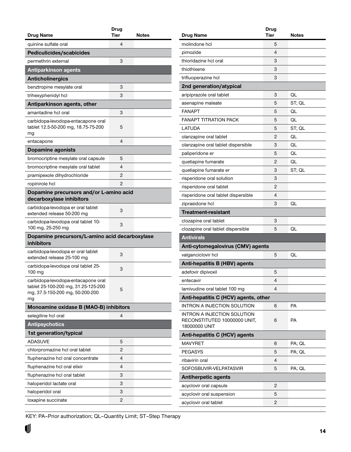<span id="page-13-0"></span>

| Drug Name                                                                                                          | Drug<br>Tier | Notes |
|--------------------------------------------------------------------------------------------------------------------|--------------|-------|
| quinine sulfate oral                                                                                               | 4            |       |
| Pediculicides/scabicides                                                                                           |              |       |
| permethrin external                                                                                                | 3            |       |
| <b>Antiparkinson agents</b>                                                                                        |              |       |
| <b>Anticholinergics</b>                                                                                            |              |       |
| benztropine mesylate oral                                                                                          | 3            |       |
| trihexyphenidyl hcl                                                                                                | 3            |       |
| Antiparkinson agents, other                                                                                        |              |       |
| amantadine hcl oral                                                                                                | 3            |       |
| carbidopa-levodopa-entacapone oral<br>tablet 12.5-50-200 mg, 18.75-75-200<br>mg                                    | 5            |       |
| entacapone                                                                                                         | 4            |       |
| Dopamine agonists                                                                                                  |              |       |
| bromocriptine mesylate oral capsule                                                                                | 5            |       |
| bromocriptine mesylate oral tablet                                                                                 | 4            |       |
| pramipexole dihydrochloride                                                                                        | 2            |       |
| ropinirole hcl                                                                                                     | 2            |       |
| Dopamine precursors and/or L-amino acid<br>decarboxylase inhibitors                                                |              |       |
| carbidopa-levodopa er oral tablet<br>extended release 50-200 mg                                                    | 3            |       |
| carbidopa-levodopa oral tablet 10-<br>100 mg, 25-250 mg                                                            | 3            |       |
| Dopamine precursors/L-amino acid decarboxylase<br>inhibitors                                                       |              |       |
| carbidopa-levodopa er oral tablet<br>extended release 25-100 mg                                                    | 3            |       |
| carbidopa-levodopa oral tablet 25-<br>100 mg                                                                       | 3            |       |
| carbidopa-levodopa-entacapone oral<br>tablet 25-100-200 mg, 31.25-125-200<br>mg, 37.5-150-200 mg, 50-200-200<br>mg | 5            |       |
| Monoamine oxidase B (MAO-B) inhibitors                                                                             |              |       |
| selegiline hcl oral                                                                                                | 4            |       |
| <b>Antipsychotics</b>                                                                                              |              |       |
| 1st generation/typical                                                                                             |              |       |
| <b>ADASUVE</b>                                                                                                     | 5            |       |
| chlorpromazine hcl oral tablet                                                                                     | 2            |       |
| fluphenazine hcl oral concentrate                                                                                  | 4            |       |
| fluphenazine hcl oral elixir                                                                                       | 4            |       |
| fluphenazine hcl oral tablet                                                                                       | 3            |       |
| haloperidol lactate oral                                                                                           | 3            |       |
| haloperidol oral                                                                                                   | 3            |       |
| loxapine succinate                                                                                                 | 2            |       |

| Drug Name                                                          | Drug<br><b>Tier</b> | Notes  |
|--------------------------------------------------------------------|---------------------|--------|
| molindone hcl                                                      | 5                   |        |
| pimozide                                                           | 4                   |        |
| thioridazine hcl oral                                              | 3                   |        |
| thiothixene                                                        | 3                   |        |
| trifluoperazine hcl                                                | 3                   |        |
| 2nd generation/atypical                                            |                     |        |
| aripiprazole oral tablet                                           | 3                   | QL     |
| asenapine maleate                                                  | 5                   | ST; QL |
| <b>FANAPT</b>                                                      | 5                   | QL     |
| <b>FANAPT TITRATION PACK</b>                                       | 5                   | QL     |
| LATUDA                                                             | 5                   | ST; QL |
| olanzapine oral tablet                                             | 2                   | OI.    |
| olanzapine oral tablet dispersible                                 | 3                   | QL     |
| paliperidone er                                                    | 5                   | QL     |
| quetiapine fumarate                                                | 2                   | OI.    |
| quetiapine fumarate er                                             | 3                   | ST; QL |
| risperidone oral solution                                          | 3                   |        |
|                                                                    | 2                   |        |
| risperidone oral tablet                                            | 4                   |        |
| risperidone oral tablet dispersible                                | 3                   | QL     |
| ziprasidone hcl                                                    |                     |        |
| Treatment-resistant                                                |                     |        |
| clozapine oral tablet                                              | 3                   | QL     |
| clozapine oral tablet dispersible                                  | 5                   |        |
| <b>Antivirals</b>                                                  |                     |        |
| Anti-cytomegalovirus (CMV) agents                                  |                     |        |
| valganciclovir hcl                                                 | 5                   | QL     |
| <b>Anti-hepatitis B (HBV) agents</b>                               |                     |        |
| adefovir dipivoxil                                                 | 5                   |        |
| entecavir                                                          | 4                   |        |
| lamivudine oral tablet 100 mg                                      | 4                   |        |
| Anti-hepatitis C (HCV) agents, other                               |                     |        |
| <b>INTRON A INJECTION SOLUTION</b>                                 | 6                   | PA     |
| <b>INTRON A INJECTION SOLUTION</b><br>RECONSTITUTED 10000000 UNIT, | 6                   | PA     |
| 18000000 UNIT                                                      |                     |        |
| Anti-hepatitis C (HCV) agents                                      |                     |        |
| <b>MAVYRET</b>                                                     | 6                   | PA; QL |
| <b>PEGASYS</b>                                                     | 5                   | PA; QL |
| ribavirin oral                                                     | 4                   |        |
| SOFOSBUVIR-VELPATASVIR                                             | 5                   | PA; QL |
| <b>Antiherpetic agents</b>                                         |                     |        |
| acyclovir oral capsule                                             | 2                   |        |
| acyclovir oral suspension                                          | 5                   |        |
| acyclovir oral tablet                                              | 2                   |        |
|                                                                    |                     |        |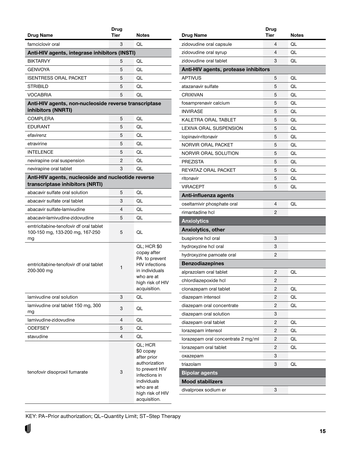<span id="page-14-0"></span>

| Drug Name                                                                             | Drug<br><b>Tier</b> | <b>Notes</b>                                                                                                                                             |
|---------------------------------------------------------------------------------------|---------------------|----------------------------------------------------------------------------------------------------------------------------------------------------------|
| famciclovir oral                                                                      | 3                   | QL                                                                                                                                                       |
| Anti-HIV agents, integrase inhibitors (INSTI)                                         |                     |                                                                                                                                                          |
| <b>BIKTARVY</b>                                                                       | 5                   | QL                                                                                                                                                       |
| <b>GENVOYA</b>                                                                        | 5                   | QL                                                                                                                                                       |
| ISENTRESS ORAL PACKET                                                                 | 5                   | QL                                                                                                                                                       |
| STRIBILD                                                                              | 5                   | QL                                                                                                                                                       |
| VOCABRIA                                                                              | 5                   | QL                                                                                                                                                       |
| Anti-HIV agents, non-nucleoside reverse transcriptase                                 |                     |                                                                                                                                                          |
| inhibitors (NNRTI)                                                                    |                     |                                                                                                                                                          |
| COMPLERA                                                                              | 5                   | QL                                                                                                                                                       |
| EDURANT                                                                               | 5                   | QL                                                                                                                                                       |
| efavirenz                                                                             | 5                   | QL                                                                                                                                                       |
| etravirine                                                                            | 5                   | QL                                                                                                                                                       |
| <b>INTELENCE</b>                                                                      | 5                   | QL                                                                                                                                                       |
| nevirapine oral suspension                                                            | 2                   | QL                                                                                                                                                       |
| nevirapine oral tablet                                                                | 3                   | QL                                                                                                                                                       |
| Anti-HIV agents, nucleoside and nucleotide reverse<br>transcriptase inhibitors (NRTI) |                     |                                                                                                                                                          |
| abacavir sulfate oral solution                                                        | 5                   | QL                                                                                                                                                       |
| abacavir sulfate oral tablet                                                          | 3                   | QL                                                                                                                                                       |
| abacavir sulfate-lamivudine                                                           | 4                   | QL                                                                                                                                                       |
| abacavir-lamivudine-zidovudine                                                        | 5                   | QL                                                                                                                                                       |
| emtricitabine-tenofovir df oral tablet<br>100-150 mg, 133-200 mg, 167-250<br>mg       | 5                   | QL                                                                                                                                                       |
| emtricitabine-tenofovir df oral tablet<br>200-300 mg                                  | 1                   | <b>QL; HCR \$0</b><br>copay after<br>PA to prevent<br><b>HIV</b> infections<br>in individuals<br>who are at<br>high risk of HIV<br>acquisition.          |
| lamivudine oral solution                                                              | 3                   | QL                                                                                                                                                       |
| lamivudine oral tablet 150 mg, 300<br>mg                                              | 3                   | QL                                                                                                                                                       |
| lamivudine-zidovudine                                                                 | 4                   | QL                                                                                                                                                       |
| ODEFSEY                                                                               | 5                   | QL                                                                                                                                                       |
| stavudine                                                                             | 4                   | QL                                                                                                                                                       |
| tenofovir disoproxil fumarate                                                         | 3                   | QL; HCR<br>\$0 copay<br>after prior<br>authorization<br>to prevent HIV<br>infections in<br>individuals<br>who are at<br>high risk of HIV<br>acquisition. |

|                                      | Drug |       |
|--------------------------------------|------|-------|
| <b>Drug Name</b>                     | Tier | Notes |
| zidovudine oral capsule              | 4    | QL    |
| zidovudine oral syrup                | 4    | QL    |
| zidovudine oral tablet               | 3    | QL    |
| Anti-HIV agents, protease inhibitors |      |       |
| <b>APTIVUS</b>                       | 5    | QL    |
| atazanavir sulfate                   | 5    | QL    |
| <b>CRIXIVAN</b>                      | 5    | QL    |
| fosamprenavir calcium                | 5    | QL    |
| <b>INVIRASE</b>                      | 5    | QL    |
| KALETRA ORAL TABLET                  | 5    | QL    |
| LEXIVA ORAL SUSPENSION               | 5    | QL    |
| lopinavir-ritonavir                  | 5    | QL    |
| <b>NORVIR ORAL PACKET</b>            | 5    | QL    |
| NORVIR ORAL SOLUTION                 | 5    | QL    |
| <b>PREZISTA</b>                      | 5    | QL    |
| REYATAZ ORAL PACKET                  | 5    | QL    |
| ritonavir                            | 5    | QL    |
| <b>VIRACEPT</b>                      | 5    | QL    |
| Anti-influenza agents                |      |       |
| oseltamivir phosphate oral           | 4    | QL    |
| rimantadine hcl                      | 2    |       |
| <b>Anxiolytics</b>                   |      |       |
| Anxiolytics, other                   |      |       |
| buspirone hcl oral                   | 3    |       |
| hydroxyzine hcl oral                 | 3    |       |
| hydroxyzine pamoate oral             | 2    |       |
| <b>Benzodiazepines</b>               |      |       |
| alprazolam oral tablet               | 2    | QL    |
| chlordiazepoxide hcl                 | 2    |       |
| clonazepam oral tablet               | 2    | QL    |
| diazepam intensol                    | 2    | QL    |
| diazepam oral concentrate            | 2    | QL    |
| diazepam oral solution               | 3    |       |
| diazepam oral tablet                 | 2    | QL    |
| lorazepam intensol                   | 2    | QL    |
| lorazepam oral concentrate 2 mg/ml   | 2    | QL    |
| lorazepam oral tablet                | 2    | QL    |
| oxazepam                             | 3    |       |
| triazolam                            | 3    | QL    |
| <b>Bipolar agents</b>                |      |       |
|                                      |      |       |
| <b>Mood stabilizers</b>              |      |       |
| divalproex sodium er                 | 3    |       |

U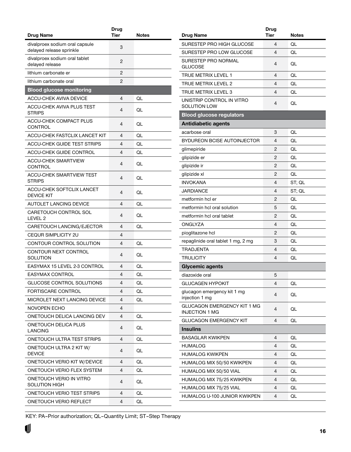<span id="page-15-0"></span>

| <b>Drug Name</b>                                           | Drug<br><b>Tier</b> | <b>Notes</b> |
|------------------------------------------------------------|---------------------|--------------|
|                                                            |                     |              |
| divalproex sodium oral capsule<br>delayed release sprinkle | 3                   |              |
| divalproex sodium oral tablet<br>delayed release           | 2                   |              |
| lithium carbonate er                                       | 2                   |              |
| lithium carbonate oral                                     | 2                   |              |
| <b>Blood glucose monitoring</b>                            |                     |              |
| ACCU-CHEK AVIVA DEVICE                                     | 4                   | QL           |
| ACCU-CHEK AVIVA PLUS TEST<br><b>STRIPS</b>                 | 4                   | QL           |
| ACCU-CHEK COMPACT PLUS<br>CONTROL                          | 4                   | QL           |
| ACCU-CHEK FASTCLIX LANCET KIT                              | 4                   | QL           |
| ACCU-CHEK GUIDE TEST STRIPS                                | 4                   | QL           |
| ACCU-CHEK GUIDE CONTROL                                    | 4                   | QL           |
| <b>ACCU-CHEK SMARTVIEW</b><br>CONTROL                      | 4                   | QL           |
| <b>ACCU-CHEK SMARTVIEW TEST</b><br>STRIPS                  | 4                   | QL           |
| <b>ACCU-CHEK SOFTCLIX LANCET</b><br><b>DEVICE KIT</b>      | 4                   | QL           |
| AUTOLET LANCING DEVICE                                     | 4                   | QL           |
| CARETOUCH CONTROL SOL<br>LEVEL <sub>2</sub>                | 4                   | QL           |
| CARETOUCH LANCING/EJECTOR                                  | 4                   | QL           |
| <b>CEQUR SIMPLICITY 2U</b>                                 | 4                   |              |
| CONTOUR CONTROL SOLUTION                                   | 4                   | QL           |
| CONTOUR NEXT CONTROL<br>SOLUTION                           | 4                   | QL           |
| EASYMAX 15 LEVEL 2-3 CONTROL                               | 4                   | QL           |
| <b>EASYMAX CONTROL</b>                                     | 4                   | QL           |
| <b>GLUCOSE CONTROL SOLUTIONS</b>                           | 4                   | QL           |
| FORTISCARE CONTROL                                         | 4                   | QL           |
| MICROLET NEXT LANCING DEVICE                               | 4                   | QL           |
| NOVOPEN ECHO                                               | 4                   |              |
| ONETOUCH DELICA LANCING DEV                                | 4                   | QL           |
| ONETOUCH DELICA PLUS<br><b>LANCING</b>                     | 4                   | QL           |
| ONETOUCH ULTRA TEST STRIPS                                 | 4                   | QL           |
| ONETOUCH ULTRA 2 KIT W/<br><b>DEVICE</b>                   | 4                   | QL           |
| ONETOUCH VERIO KIT W/DEVICE                                | 4                   | QL           |
| ONETOUCH VERIO FLEX SYSTEM                                 | 4                   | QL           |
| ONETOUCH VERIO IN VITRO<br><b>SOLUTION HIGH</b>            | 4                   | QL           |
| ONETOUCH VERIO TEST STRIPS                                 | 4                   | QL           |
| ONETOUCH VERIO REFLECT                                     | 4                   | QL           |
|                                                            |                     |              |

|                                                             | Drug |              |
|-------------------------------------------------------------|------|--------------|
| Drug Name                                                   | Tier | <b>Notes</b> |
| SURESTEP PRO HIGH GLUCOSE                                   | 4    | QL           |
| SURESTEP PRO LOW GLUCOSE                                    | 4    | QL           |
| SURESTEP PRO NORMAL<br><b>GLUCOSE</b>                       | 4    | QL           |
| <b>TRUE METRIX LEVEL 1</b>                                  | 4    | QL           |
| <b>TRUE METRIX LEVEL 2</b>                                  | 4    | QL           |
| TRUE METRIX LEVEL 3                                         | 4    | QL           |
| UNISTRIP CONTROL IN VITRO<br>SOLUTION LOW                   | 4    | QL           |
| <b>Blood glucose regulators</b>                             |      |              |
| <b>Antidiabetic agents</b>                                  |      |              |
| acarbose oral                                               | 3    | QL           |
| BYDUREON BCISE AUTOINJECTOR                                 | 4    | QL           |
| glimepiride                                                 | 2    | QL           |
| glipizide er                                                | 2    | QL           |
| glipizide ir                                                | 2    | QL           |
| glipizide xl                                                | 2    | QL           |
| <b>INVOKANA</b>                                             | 4    | ST; QL       |
| JARDIANCE                                                   | 4    | ST; QL       |
| metformin hcl er                                            | 2    | QL           |
| metformin hcl oral solution                                 | 5    | QL           |
| metformin hcl oral tablet                                   | 2    | QL           |
| ONGLYZA                                                     | 4    | QL           |
| pioglitazone hcl                                            | 2    | QL           |
| repaglinide oral tablet 1 mg, 2 mg                          | 3    | QL           |
| <b>TRADJENTA</b>                                            | 4    | QL           |
| TRULICITY                                                   | 4    | QL           |
| <b>Glycemic agents</b>                                      |      |              |
| diazoxide oral                                              | 5    |              |
| <b>GLUCAGEN HYPOKIT</b>                                     | 4    | QL           |
| glucagon emergency kit 1 mg<br>injection 1 mg               | 4    | QL           |
| <b>GLUCAGON EMERGENCY KIT 1 MG</b><br><b>INJECTION 1 MG</b> | 4    | QL           |
| <b>GLUCAGON EMERGENCY KIT</b>                               | 4    | QL           |
| <b>Insulins</b>                                             |      |              |
| <b>BASAGLAR KWIKPEN</b>                                     | 4    | QL           |
| <b>HUMALOG</b>                                              | 4    | QL           |
| <b>HUMALOG KWIKPEN</b>                                      | 4    | QL           |
| HUMALOG MIX 50/50 KWIKPEN                                   | 4    | QL           |
| HUMALOG MIX 50/50 VIAL                                      | 4    | QL           |
| HUMALOG MIX 75/25 KWIKPEN                                   | 4    | QL           |
| HUMALOG MIX 75/25 VIAL                                      | 4    | QL           |
| HUMALOG U-100 JUNIOR KWIKPEN                                | 4    | QL           |
|                                                             |      |              |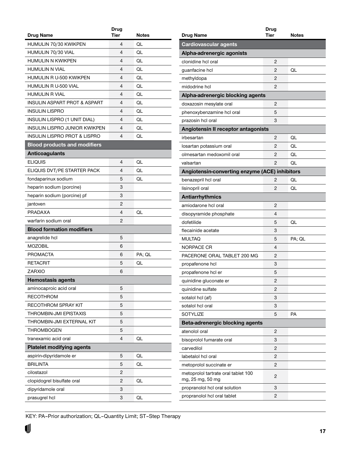<span id="page-16-0"></span>

|                                         | Drug        |        |
|-----------------------------------------|-------------|--------|
| Drug Name                               | <b>Tier</b> | Notes  |
| HUMULIN 70/30 KWIKPEN                   | 4           | QL     |
| HUMULIN 70/30 VIAL                      | 4           | QL     |
| <b>HUMULIN N KWIKPEN</b>                | 4           | QL     |
| <b>HUMULIN N VIAL</b>                   | 4           | QL     |
| HUMULIN R U-500 KWIKPEN                 | 4           | QL     |
| HUMULIN R U-500 VIAL                    | 4           | QL     |
| <b>HUMULIN R VIAL</b>                   | 4           | QL     |
| <b>INSULIN ASPART PROT &amp; ASPART</b> | 4           | QL     |
| <b>INSULIN LISPRO</b>                   | 4           | QL     |
| <b>INSULIN LISPRO (1 UNIT DIAL)</b>     | 4           | QL     |
| INSULIN LISPRO JUNIOR KWIKPEN           | 4           | QL     |
| <b>INSULIN LISPRO PROT &amp; LISPRO</b> | 4           | QL     |
| <b>Blood products and modifiers</b>     |             |        |
| <b>Anticoagulants</b>                   |             |        |
| <b>ELIQUIS</b>                          | 4           | QL     |
| ELIQUIS DVT/PE STARTER PACK             | 4           | QL     |
| fondaparinux sodium                     | 5           | QL     |
| heparin sodium (porcine)                | 3           |        |
| heparin sodium (porcine) pf             | 3           |        |
| jantoven                                | 2           |        |
| PRADAXA                                 | 4           | QL     |
| warfarin sodium oral                    | 2           |        |
| <b>Blood formation modifiers</b>        |             |        |
| anagrelide hcl                          | 5           |        |
| <b>MOZOBIL</b>                          | 6           |        |
| <b>PROMACTA</b>                         | 6           | PA; QL |
| <b>RETACRIT</b>                         | 5           | QL     |
| ZARXIO                                  | 6           |        |
| <b>Hemostasis agents</b>                |             |        |
| aminocaproic acid oral                  | 5           |        |
| <b>RECOTHROM</b>                        | 5           |        |
| <b>RECOTHROM SPRAY KIT</b>              | 5           |        |
| THROMBIN-JMI EPISTAXIS                  | 5           |        |
| THROMBIN-JMI EXTERNAL KIT               | 5           |        |
| <b>THROMBOGEN</b>                       | 5           |        |
| tranexamic acid oral                    | 4           | QL     |
| <b>Platelet modifying agents</b>        |             |        |
| aspirin-dipyridamole er                 | 5           | QL     |
| <b>BRILINTA</b>                         | 5           | QL     |
| cilostazol                              | 2           |        |
| clopidogrel bisulfate oral              | 2           | QL     |
| dipyridamole oral                       | 3           |        |
| prasugrel hcl                           | 3           | QL     |
|                                         |             |        |

| <b>Drug Name</b>                               | Drug<br>Tier | Notes  |
|------------------------------------------------|--------------|--------|
| <b>Cardiovascular agents</b>                   |              |        |
| Alpha-adrenergic agonists                      |              |        |
| clonidine hcl oral                             | 2            |        |
| guanfacine hcl                                 | 2            | QL     |
| methyldopa                                     | 2            |        |
| midodrine hcl                                  | 2            |        |
| Alpha-adrenergic blocking agents               |              |        |
| doxazosin mesylate oral                        | 2            |        |
| phenoxybenzamine hcl oral                      | 5            |        |
| prazosin hcl oral                              | 3            |        |
| Angiotensin II receptor antagonists            |              |        |
| irbesartan                                     | 2            | QL     |
| losartan potassium oral                        | 2            | QL     |
| olmesartan medoxomil oral                      | 2            | QL     |
| valsartan                                      | 2            | QL     |
| Angiotensin-converting enzyme (ACE) inhibitors |              |        |
| benazepril hcl oral                            | 2            | QL     |
| lisinopril oral                                | 2            | QL     |
| <b>Antiarrhythmics</b>                         |              |        |
| amiodarone hcl oral                            | 2            |        |
| disopyramide phosphate                         | 4            |        |
| dofetilide                                     | 5            | QL     |
| flecainide acetate                             | 3            |        |
| <b>MULTAQ</b>                                  | 5            | PA; QL |
| NORPACE CR                                     | 4            |        |
| PACERONE ORAL TABLET 200 MG                    | 2            |        |
| propafenone hcl                                | 3            |        |
| propafenone hcl er                             | 5            |        |
| quinidine gluconate er                         | 2            |        |
| quinidine sulfate                              | 2            |        |
| sotalol hcl (af)                               | 3            |        |
| sotalol hcl oral                               | 3            |        |
| <b>SOTYLIZE</b>                                | 5            | PA     |
| <b>Beta-adrenergic blocking agents</b>         |              |        |
| atenolol oral                                  | 2            |        |
| bisoprolol fumarate oral                       | 3            |        |
| carvedilol                                     | 2            |        |
| labetalol hcl oral                             | 2            |        |
| metoprolol succinate er                        | 2            |        |
| metoprolol tartrate oral tablet 100            |              |        |
| mg, 25 mg, 50 mg                               | 2            |        |
| propranolol hcl oral solution                  | 3            |        |
| propranolol hcl oral tablet                    | 2            |        |
|                                                |              |        |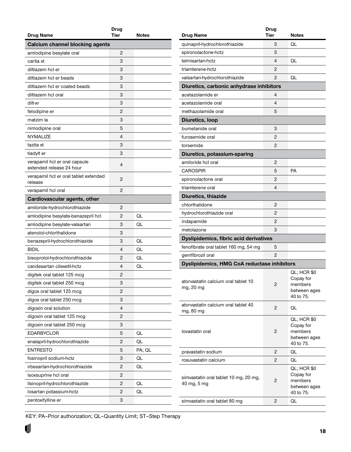<span id="page-17-0"></span>

| Drug Name                                                 | Drug<br><b>Tier</b> | <b>Notes</b> |
|-----------------------------------------------------------|---------------------|--------------|
| <b>Calcium channel blocking agents</b>                    |                     |              |
| amlodipine besylate oral                                  | 2                   |              |
| cartia xt                                                 | 3                   |              |
| diltiazem hcl er                                          | 3                   |              |
| diltiazem hcl er beads                                    | 3                   |              |
| diltiazem hcl er coated beads                             | 3                   |              |
| diltiazem hcl oral                                        | 3                   |              |
| dilt-xr                                                   | 3                   |              |
| felodipine er                                             | 2                   |              |
| matzim la                                                 | 3                   |              |
| nimodipine oral                                           | 5                   |              |
| <b>NYMALIZE</b>                                           | 4                   |              |
| taztia xt                                                 | 3                   |              |
| tiadylt er                                                | 3                   |              |
| verapamil hcl er oral capsule<br>extended release 24 hour | 4                   |              |
| verapamil hcl er oral tablet extended<br>release          | 2                   |              |
| verapamil hcl oral                                        | 2                   |              |
| Cardiovascular agents, other                              |                     |              |
| amiloride-hydrochlorothiazide                             | 2                   |              |
| amlodipine besylate-benazepril hcl                        | 2                   | QL           |
| amlodipine besylate-valsartan                             | 3                   | OL           |
| atenolol-chlorthalidone                                   | 3                   |              |
| benazepril-hydrochlorothiazide                            | 3                   | QL           |
| <b>BIDIL</b>                                              | 4                   | QL           |
| bisoprolol-hydrochlorothiazide                            | 2                   | QL           |
| candesartan cilexetil-hctz                                | 4                   | QL           |
| digitek oral tablet 125 mcg                               | 2                   |              |
| digitek oral tablet 250 mcg                               | 3                   |              |
| digox oral tablet 125 mcg                                 | 2                   |              |
| digox oral tablet 250 mcg                                 | 3                   |              |
| digoxin oral solution                                     | 4                   |              |
| digoxin oral tablet 125 mcg                               | 2                   |              |
| digoxin oral tablet 250 mcg                               | 3                   |              |
| <b>EDARBYCLOR</b>                                         | 5                   | QL           |
| enalapril-hydrochlorothiazide                             | 2                   | QL           |
| <b>ENTRESTO</b>                                           | 5                   | PA; QL       |
| fosinopril sodium-hctz                                    | 3                   | QL           |
| irbesartan-hydrochlorothiazide                            | 2                   | QL           |
| isoxsuprine hcl oral                                      | 2                   |              |
| lisinopril-hydrochlorothiazide                            | 2                   | QL           |
| losartan potassium-hctz                                   | 2                   | QL           |
| pentoxifylline er                                         | 3                   |              |

| <b>Drug Name</b>                                     | Drug<br>Tier | Notes                                                            |
|------------------------------------------------------|--------------|------------------------------------------------------------------|
|                                                      | 3            | QL                                                               |
| quinapril-hydrochlorothiazide                        | 3            |                                                                  |
| spironolactone-hctz<br>telmisartan-hctz              | 4            | QL                                                               |
|                                                      |              |                                                                  |
| triamterene-hctz                                     | 2            |                                                                  |
| valsartan-hydrochlorothiazide                        | 2            | QL                                                               |
| Diuretics, carbonic anhydrase inhibitors             |              |                                                                  |
| acetazolamide er                                     | 4            |                                                                  |
| acetazolamide oral                                   | 4            |                                                                  |
| methazolamide oral                                   | 5            |                                                                  |
| Diuretics, loop                                      |              |                                                                  |
| bumetanide oral                                      | 3            |                                                                  |
| furosemide oral                                      | 2            |                                                                  |
| torsemide                                            | 2            |                                                                  |
| Diuretics, potassium-sparing                         |              |                                                                  |
| amiloride hcl oral                                   | 2            |                                                                  |
| CAROSPIR                                             | 5            | PА                                                               |
| spironolactone oral                                  | 2            |                                                                  |
| triamterene oral                                     | 4            |                                                                  |
| Diuretics, thiazide                                  |              |                                                                  |
| chlorthalidone                                       | 2            |                                                                  |
| hydrochlorothiazide oral                             | 2            |                                                                  |
| indapamide                                           | 2            |                                                                  |
| metolazone                                           | 3            |                                                                  |
| <b>Dyslipidemics, fibric acid derivatives</b>        |              |                                                                  |
| fenofibrate oral tablet 160 mg, 54 mg                | 5            |                                                                  |
| gemfibrozil oral                                     | 2            |                                                                  |
| <b>Dyslipidemics, HMG CoA reductase inhibitors</b>   |              |                                                                  |
| atorvastatin calcium oral tablet 10<br>mg, 20 mg     | 2            | QL; HCR \$0<br>Copay for<br>members<br>between ages<br>40 to 75. |
| atorvastatin calcium oral tablet 40<br>mg, 80 mg     | 2            | QL                                                               |
| lovastatin oral                                      | 2            | QL; HCR \$0<br>Copay for<br>members<br>between ages<br>40 to 75. |
| pravastatin sodium                                   | 2            | QL                                                               |
| rosuvastatin calcium                                 | 2            | QL                                                               |
| simvastatin oral tablet 10 mg, 20 mg,<br>40 mg, 5 mg | 2            | QL; HCR \$0<br>Copay for<br>members<br>between ages<br>40 to 75. |
| simvastatin oral tablet 80 mg                        | 2            | QL                                                               |
|                                                      |              |                                                                  |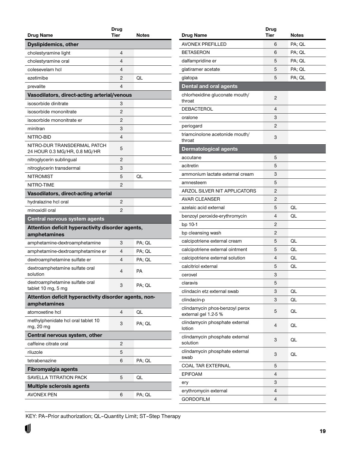<span id="page-18-0"></span>

| <b>Drug Name</b>                                                 | Drug<br>Tier | Notes  |
|------------------------------------------------------------------|--------------|--------|
|                                                                  |              |        |
| <b>Dyslipidemics, other</b>                                      | 4            |        |
| cholestyramine light                                             | 4            |        |
| cholestyramine oral<br>colesevelam hcl                           | 4            |        |
| ezetimibe                                                        | 2            | QL     |
|                                                                  | 4            |        |
| prevalite<br>Vasodilators, direct-acting arterial/venous         |              |        |
| isosorbide dinitrate                                             | 3            |        |
| isosorbide mononitrate                                           | 2            |        |
| isosorbide mononitrate er                                        | 2            |        |
| minitran                                                         | 3            |        |
| NITRO-BID                                                        | 4            |        |
|                                                                  |              |        |
| NITRO-DUR TRANSDERMAL PATCH<br>24 HOUR 0.3 MG/HR, 0.8 MG/HR      | 5            |        |
| nitroglycerin sublingual                                         | 2            |        |
| nitroglycerin transdermal                                        | 3            |        |
| <b>NITROMIST</b>                                                 | 5            | QL     |
| NITRO-TIME                                                       | 2            |        |
| Vasodilators, direct-acting arterial                             |              |        |
| hydralazine hcl oral                                             | 2            |        |
| minoxidil oral                                                   | 2            |        |
| Central nervous system agents                                    |              |        |
| Attention deficit hyperactivity disorder agents,<br>amphetamines |              |        |
| amphetamine-dextroamphetamine                                    | 3            | PA; QL |
| amphetamine-dextroamphetamine er                                 | 4            | PA; QL |
| dextroamphetamine sulfate er                                     | 4            | PA; QL |
| dextroamphetamine sulfate oral<br>solution                       | 4            | PA     |
| dextroamphetamine sulfate oral<br>tablet 10 mg, 5 mg             | 3            | PA; QL |
| Attention deficit hyperactivity disorder agents, non-            |              |        |
| amphetamines                                                     |              |        |
| atomoxetine hcl                                                  | 4            | QL     |
| methylphenidate hcl oral tablet 10<br>mg, 20 mg                  | 3            | PA; QL |
| Central nervous system, other                                    |              |        |
| caffeine citrate oral                                            | 2            |        |
| riluzole                                                         | 5            |        |
| tetrabenazine                                                    | 6            | PA; QL |
| Fibromyalgia agents                                              |              |        |
| SAVELLA TITRATION PACK                                           | 5            | QL     |
| <b>Multiple sclerosis agents</b>                                 |              |        |
|                                                                  |              |        |
| <b>AVONEX PEN</b>                                                | 6            | PA; QL |

|                                                        | Drug |              |
|--------------------------------------------------------|------|--------------|
| Drug Name                                              | Tier | <b>Notes</b> |
| <b>AVONEX PREFILLED</b>                                | 6    | PA; QL       |
| <b>BETASERON</b>                                       | 6    | PA; QL       |
| dalfampridine er                                       | 5    | PA; QL       |
| glatiramer acetate                                     | 5    | PA; QL       |
| glatopa                                                | 5    | PA; QL       |
| <b>Dental and oral agents</b>                          |      |              |
| chlorhexidine gluconate mouth/<br>throat               | 2    |              |
| <b>DEBACTEROL</b>                                      | 4    |              |
| oralone                                                | 3    |              |
| periogard                                              | 2    |              |
| triamcinolone acetonide mouth/<br>throat               | 3    |              |
| <b>Dermatological agents</b>                           |      |              |
| accutane                                               | 5    |              |
| acitretin                                              | 5    |              |
| ammonium lactate external cream                        | 3    |              |
| amnesteem                                              | 5    |              |
| ARZOL SILVER NIT APPLICATORS                           | 2    |              |
| AVAR CLEANSER                                          | 2    |              |
| azelaic acid external                                  | 5    | QL           |
| benzoyl peroxide-erythromycin                          | 4    | QL           |
| bp 10-1                                                | 2    |              |
| bp cleansing wash                                      | 2    |              |
| calcipotriene external cream                           | 5    | QL           |
| calcipotriene external ointment                        | 5    | QL           |
| calcipotriene external solution                        | 4    | QL           |
| calcitriol external                                    | 5    | QL           |
| cerovel                                                | 3    |              |
| claravis                                               | 5    |              |
| clindacin etz external swab                            | 3    | QL           |
| clindacin-p                                            | 3    | QL           |
| clindamycin phos-benzoyl perox<br>external gel 1.2-5 % | 5    | QL           |
| clindamycin phosphate external<br>lotion               | 4    | QL           |
| clindamycin phosphate external<br>solution             | 3    | QL           |
| clindamycin phosphate external<br>swab                 | 3    | QL           |
| COAL TAR EXTERNAL                                      | 5    |              |
| <b>EPIFOAM</b>                                         | 4    |              |
| ery                                                    | 3    |              |
| erythromycin external                                  | 4    |              |
| GORDOFILM                                              | 4    |              |
|                                                        |      |              |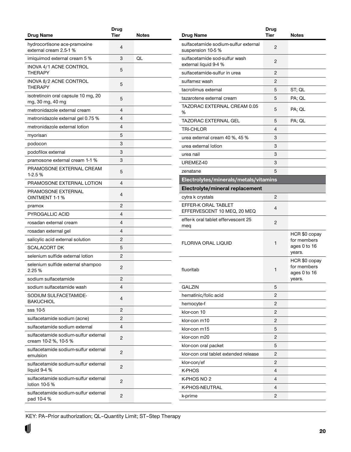<span id="page-19-0"></span>

| Drug Name                                                    | Drug<br><b>Tier</b> | Notes |
|--------------------------------------------------------------|---------------------|-------|
| hydrocortisone ace-pramoxine                                 |                     |       |
| external cream 2.5-1 %                                       | 4                   |       |
| imiguimod external cream 5 %                                 | 3                   | QL    |
| INOVA 4/1 ACNE CONTROL<br><b>THERAPY</b>                     | 5                   |       |
| INOVA 8/2 ACNE CONTROL<br>THERAPY                            | 5                   |       |
| isotretinoin oral capsule 10 mg, 20<br>mg, 30 mg, 40 mg      | 5                   |       |
| metronidazole external cream                                 | 4                   |       |
| metronidazole external gel 0.75 %                            | 4                   |       |
| metronidazole external lotion                                | 4                   |       |
| myorisan                                                     | 5                   |       |
| podocon                                                      | 3                   |       |
| podofilox external                                           | 3                   |       |
| pramosone external cream 1-1 %                               | 3                   |       |
| PRAMOSONE EXTERNAL CREAM<br>$1-2.5%$                         | 5                   |       |
| PRAMOSONE EXTERNAL LOTION                                    | 4                   |       |
| PRAMOSONE EXTERNAL<br>OINTMENT 1-1 %                         | 4                   |       |
| pramox                                                       | 2                   |       |
| <b>PYROGALLIC ACID</b>                                       | 4                   |       |
| rosadan external cream                                       | 4                   |       |
| rosadan external gel                                         | 4                   |       |
| salicylic acid external solution                             | 2                   |       |
| SCALACORT DK                                                 | 5                   |       |
| selenium sulfide external lotion                             | 2                   |       |
| selenium sulfide external shampoo<br>2.25 %                  | 2                   |       |
| sodium sulfacetamide                                         | 2                   |       |
| sodium sulfacetamide wash                                    | 4                   |       |
| SODIUM SULFACETAMIDE-<br><b>BAKUCHIOL</b>                    | 4                   |       |
| sss 10-5                                                     | 2                   |       |
| sulfacetamide sodium (acne)                                  | 2                   |       |
| sulfacetamide sodium external                                | 4                   |       |
| sulfacetamide sodium-sulfur external<br>cream 10-2 %, 10-5 % | 2                   |       |
| sulfacetamide sodium-sulfur external<br>emulsion             | 2                   |       |
| sulfacetamide sodium-sulfur external<br>liquid 9-4 %         | 2                   |       |
| sulfacetamide sodium-sulfur external<br>lotion 10-5 %        | 2                   |       |
| sulfacetamide sodium-sulfur external<br>pad 10-4 %           | 2                   |       |
|                                                              |                     |       |

|                                                           | <b>Drug</b>    |                                                        |
|-----------------------------------------------------------|----------------|--------------------------------------------------------|
| <b>Drug Name</b>                                          | Tier           | Notes                                                  |
| sulfacetamide sodium-sulfur external<br>suspension 10-5 % | 2              |                                                        |
| sulfacetamide sod-sulfur wash<br>external liquid 9-4 %    | 2              |                                                        |
| sulfacetamide-sulfur in urea                              | 2              |                                                        |
| sulfamez wash                                             | 2              |                                                        |
| tacrolimus external                                       | 5              | ST; QL                                                 |
| tazarotene external cream                                 | 5              | PA; QL                                                 |
| TAZORAC EXTERNAL CREAM 0.05<br>%                          | 5              | PA; QL                                                 |
| TAZORAC EXTERNAL GEL                                      | 5              | PA; QL                                                 |
| TRI-CHLOR                                                 | 4              |                                                        |
| urea external cream 40 %, 45 %                            | 3              |                                                        |
| urea external lotion                                      | 3              |                                                        |
| urea nail                                                 | 3              |                                                        |
| UREMEZ-40                                                 | 3              |                                                        |
| zenatane                                                  | 5              |                                                        |
| Electrolytes/minerals/metals/vitamins                     |                |                                                        |
| Electrolyte/mineral replacement                           |                |                                                        |
| cytra k crystals                                          | 2              |                                                        |
| EFFER-K ORAL TABLET<br>EFFERVESCENT 10 MEQ, 20 MEQ        | 4              |                                                        |
| effer-k oral tablet effervescent 25<br>meq                | 2              |                                                        |
| <b>FLORIVA ORAL LIQUID</b>                                | 1              | HCR \$0 copay<br>for members<br>ages 0 to 16<br>years. |
| fluoritab                                                 | 1              | HCR \$0 copay<br>for members<br>ages 0 to 16<br>years. |
| GALZIN                                                    | 5              |                                                        |
| hematinic/folic acid                                      | 2              |                                                        |
| hemocyte-f                                                | 2              |                                                        |
| klor-con 10                                               | $\overline{2}$ |                                                        |
| klor-con m10                                              | 2              |                                                        |
| klor-con m15                                              | 5              |                                                        |
| klor-con m20                                              | 2              |                                                        |
| klor-con oral packet                                      | 5              |                                                        |
| klor-con oral tablet extended release                     | 2              |                                                        |
| klor-con/ef                                               | 2              |                                                        |
| <b>K-PHOS</b>                                             | 4              |                                                        |
| K-PHOS NO 2                                               | 4              |                                                        |
| K-PHOS-NEUTRAL                                            | 4              |                                                        |
| k-prime                                                   | $\overline{c}$ |                                                        |
|                                                           |                |                                                        |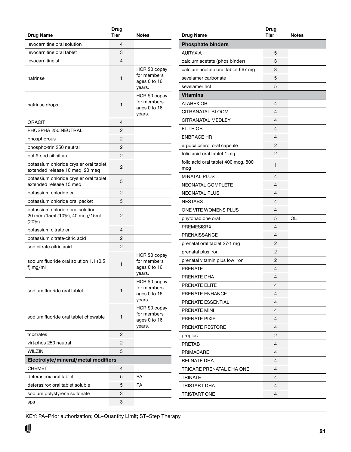<span id="page-20-0"></span>

| Drug Name                                                                   | Drug<br><b>Tier</b> | <b>Notes</b>                                           |
|-----------------------------------------------------------------------------|---------------------|--------------------------------------------------------|
| levocarnitine oral solution                                                 | 4                   |                                                        |
| levocarnitine oral tablet                                                   | 3                   |                                                        |
| levocarnitine sf                                                            | 4                   |                                                        |
| nafrinse                                                                    | 1                   | HCR \$0 copay<br>for members<br>ages 0 to 16<br>years. |
| nafrinse drops                                                              | 1                   | HCR \$0 copay<br>for members<br>ages 0 to 16<br>years. |
| ORACIT                                                                      | 4                   |                                                        |
| PHOSPHA 250 NEUTRAL                                                         | 2                   |                                                        |
| phosphorous                                                                 | 2                   |                                                        |
| phospho-trin 250 neutral                                                    | 2                   |                                                        |
| pot & sod cit-cit ac                                                        | 2                   |                                                        |
| potassium chloride crys er oral tablet<br>extended release 10 meg, 20 meg   | 2                   |                                                        |
| potassium chloride crys er oral tablet<br>extended release 15 meg           | 5                   |                                                        |
| potassium chloride er                                                       | 2                   |                                                        |
| potassium chloride oral packet                                              | 5                   |                                                        |
| potassium chloride oral solution<br>20 meg/15ml (10%), 40 meg/15ml<br>(20%) | 2                   |                                                        |
| potassium citrate er                                                        | 4                   |                                                        |
| potassium citrate-citric acid                                               | 2                   |                                                        |
| sod citrate-citric acid                                                     | 2                   |                                                        |
| sodium fluoride oral solution 1.1 (0.5<br>f) mg/ml                          | 1                   | HCR \$0 copay<br>for members<br>ages 0 to 16<br>years. |
| sodium fluoride oral tablet                                                 | 1                   | HCR \$0 copay<br>for members<br>ages 0 to 16<br>years. |
| sodium fluoride oral tablet chewable                                        | 1                   | HCR \$0 copay<br>for members<br>ages 0 to 16<br>years. |
| tricitrates                                                                 | 2                   |                                                        |
| virt-phos 250 neutral                                                       | 2                   |                                                        |
| WILZIN                                                                      | 5                   |                                                        |
| Electrolyte/mineral/metal modifiers                                         |                     |                                                        |
| <b>CHEMET</b>                                                               | 4                   |                                                        |
| deferasirox oral tablet                                                     | 5                   | РA                                                     |
| deferasirox oral tablet soluble                                             | 5                   | PA                                                     |
| sodium polystyrene sulfonate                                                | 3                   |                                                        |
| sps                                                                         | 3                   |                                                        |

| <b>Drug Name</b>                           | Drug<br><b>Tier</b> | Notes |
|--------------------------------------------|---------------------|-------|
| <b>Phosphate binders</b>                   |                     |       |
| <b>AURYXIA</b>                             |                     |       |
|                                            | 5                   |       |
| calcium acetate (phos binder)              | 3                   |       |
| calcium acetate oral tablet 667 mg         | 3                   |       |
| sevelamer carbonate                        | 5                   |       |
| sevelamer hcl                              | 5                   |       |
| <b>Vitamins</b>                            |                     |       |
| <b>ATABEX OB</b>                           | 4                   |       |
| CITRANATAL BLOOM                           | 4                   |       |
| CITRANATAL MEDLEY                          | 4                   |       |
| ELITE-OB                                   | 4                   |       |
| <b>ENBRACE HR</b>                          | 4                   |       |
| ergocalciferol oral capsule                | 2                   |       |
| folic acid oral tablet 1 mg                | $\overline{2}$      |       |
| folic acid oral tablet 400 mcg, 800<br>mcg | 1                   |       |
| <b>M-NATAL PLUS</b>                        | 4                   |       |
| NEONATAL COMPLETE                          | 4                   |       |
| <b>NEONATAL PLUS</b>                       | 4                   |       |
| <b>NESTABS</b>                             | 4                   |       |
| ONE VITE WOMENS PLUS                       | 4                   |       |
| phytonadione oral                          | 5                   | QL    |
| <b>PREMESISRX</b>                          | 4                   |       |
| <b>PRENAISSANCE</b>                        | 4                   |       |
| prenatal oral tablet 27-1 mg               | 2                   |       |
| prenatal plus iron                         | 2                   |       |
| prenatal vitamin plus low iron             | 2                   |       |
| <b>PRENATE</b>                             | 4                   |       |
| PRENATE DHA                                | 4                   |       |
| PRENATE ELITE                              | 4                   |       |
| PRENATE ENHANCE                            | 4                   |       |
| PRENATE ESSENTIAL                          | 4                   |       |
| PRENATE MINI                               | 4                   |       |
| PRENATE PIXIE                              | 4                   |       |
| PRENATE RESTORE                            | 4                   |       |
| preplus                                    | 2                   |       |
| <b>PRETAB</b>                              | 4                   |       |
| <b>PRIMACARE</b>                           | 4                   |       |
| <b>RELNATE DHA</b>                         | 4                   |       |
| TRICARE PRENATAL DHA ONE                   | 4                   |       |
| <b>TRINATE</b>                             | 4                   |       |
| TRISTART DHA                               | 4                   |       |
| <b>TRISTART ONE</b>                        | 4                   |       |
|                                            |                     |       |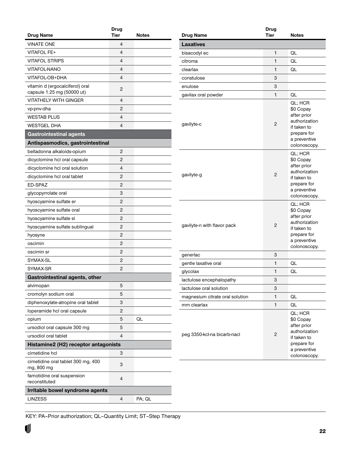<span id="page-21-0"></span>

| Drug Name                                        | <b>Drug</b><br><b>Tier</b> | <b>Notes</b> |
|--------------------------------------------------|----------------------------|--------------|
| <b>VINATE ONE</b>                                | 4                          |              |
| <b>VITAFOL FE+</b>                               | 4                          |              |
| <b>VITAFOL STRIPS</b>                            | $\overline{4}$             |              |
| <b>VITAFOL-NANO</b>                              | 4                          |              |
| VITAFOL-OB+DHA                                   | 4                          |              |
| vitamin d (ergocalciferol) oral                  |                            |              |
| capsule 1.25 mg (50000 ut)                       | 2                          |              |
| <b>VITATHELY WITH GINGER</b>                     | 4                          |              |
| vp-pnv-dha                                       | 2                          |              |
| <b>WESTAB PLUS</b>                               | 4                          |              |
| WESTGEL DHA                                      | 4                          |              |
| <b>Gastrointestinal agents</b>                   |                            |              |
| Antispasmodics, gastrointestinal                 |                            |              |
| belladonna alkaloids-opium                       | 2                          |              |
| dicyclomine hcl oral capsule                     | 2                          |              |
| dicyclomine hcl oral solution                    | 4                          |              |
| dicyclomine hcl oral tablet                      | 2                          |              |
| ED-SPAZ                                          | 2                          |              |
| glycopyrrolate oral                              | 3                          |              |
| hyoscyamine sulfate er                           | 2                          |              |
| hyoscyamine sulfate oral                         | 2                          |              |
| hyoscyamine sulfate sl                           | 2                          |              |
| hyoscyamine sulfate sublingual                   | 2                          |              |
| hyosyne                                          | 2                          |              |
| oscimin                                          | 2                          |              |
| oscimin sr                                       | 2                          |              |
| SYMAX-SL                                         | 2                          |              |
| SYMAX-SR                                         | 2                          |              |
| <b>Gastrointestinal agents, other</b>            |                            |              |
| alvimopan                                        | 5                          |              |
| cromolyn sodium oral                             | 5                          |              |
| diphenoxylate-atropine oral tablet               | 3                          |              |
| loperamide hcl oral capsule                      | 2                          |              |
| opium                                            | 5                          | QL           |
| ursodiol oral capsule 300 mg                     | 5                          |              |
| ursodiol oral tablet                             | 4                          |              |
| Histamine2 (H2) receptor antagonists             |                            |              |
| cimetidine hcl                                   | 3                          |              |
| cimetidine oral tablet 300 mg, 400<br>mg, 800 mg | 3                          |              |
| famotidine oral suspension<br>reconstituted      | $\overline{4}$             |              |
| Irritable bowel syndrome agents                  |                            |              |
| LINZESS                                          | $\overline{4}$             | PA; QL       |

| Drug           |                                                                                                                    |
|----------------|--------------------------------------------------------------------------------------------------------------------|
|                | <b>Notes</b>                                                                                                       |
|                |                                                                                                                    |
|                | QL                                                                                                                 |
| 1              | QL                                                                                                                 |
| 1              | QL                                                                                                                 |
| 3              |                                                                                                                    |
| 3              |                                                                                                                    |
| $\mathbf{1}$   | QL                                                                                                                 |
| 2              | QL; HCR<br>\$0 Copay<br>after prior<br>authorization<br>if taken to<br>prepare for<br>a preventive<br>colonoscopy. |
| 2              | QL; HCR<br>\$0 Copay<br>after prior<br>authorization<br>if taken to<br>prepare for<br>a preventive<br>colonoscopy. |
| 2              | QL; HCR<br>\$0 Copay<br>after prior<br>authorization<br>if taken to<br>prepare for<br>a preventive<br>colonoscopy. |
| 3              |                                                                                                                    |
| 1              | QL                                                                                                                 |
| 1              | QL                                                                                                                 |
| 3              |                                                                                                                    |
| 3              |                                                                                                                    |
| 1              | QL                                                                                                                 |
| $\mathbf{1}$   | QL                                                                                                                 |
| $\overline{c}$ | QL; HCR<br>\$0 Copay<br>after prior<br>authorization<br>if taken to<br>prepare for<br>a preventive<br>colonoscopy. |
|                | Tier<br>1                                                                                                          |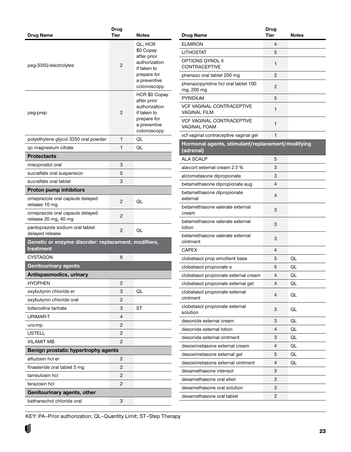<span id="page-22-0"></span>

|                                                                  | Drug           |                                                                                                                    |
|------------------------------------------------------------------|----------------|--------------------------------------------------------------------------------------------------------------------|
| Drug Name                                                        | <b>Tier</b>    | <b>Notes</b>                                                                                                       |
| peg-3350/electrolytes                                            | 2              | QL; HCR<br>\$0 Copay<br>after prior<br>authorization<br>if taken to<br>prepare for<br>a preventive<br>colonoscopy. |
| peg-prep                                                         | 2              | HCR \$0 Copay<br>after prior<br>authorization<br>if taken to<br>prepare for<br>a preventive<br>colonoscopy.        |
| polyethylene glycol 3350 oral powder                             | 1              | QL                                                                                                                 |
| qc magnesium citrate                                             | 1              | QL                                                                                                                 |
| <b>Protectants</b>                                               |                |                                                                                                                    |
| misoprostol oral                                                 | 3              |                                                                                                                    |
| sucralfate oral suspension                                       | 5              |                                                                                                                    |
| sucralfate oral tablet                                           | 3              |                                                                                                                    |
| <b>Proton pump inhibitors</b>                                    |                |                                                                                                                    |
| omeprazole oral capsule delayed<br>release 10 mg                 | 2              | QL                                                                                                                 |
| omeprazole oral capsule delayed<br>release 20 mg, 40 mg          | 2              |                                                                                                                    |
| pantoprazole sodium oral tablet<br>delayed release               | 2              | QL                                                                                                                 |
| Genetic or enzyme disorder: replacement, modifiers,<br>treatment |                |                                                                                                                    |
| <b>CYSTAGON</b>                                                  | 6              |                                                                                                                    |
| <b>Genitourinary agents</b>                                      |                |                                                                                                                    |
| Antispasmodics, urinary                                          |                |                                                                                                                    |
| <b>HYOPHEN</b>                                                   | 2              |                                                                                                                    |
| oxybutynin chloride er                                           | 3              | QL                                                                                                                 |
| oxybutynin chloride oral                                         | $\overline{c}$ |                                                                                                                    |
| tolterodine tartrate                                             | 3              | ST                                                                                                                 |
| URIMAR-T                                                         | 4              |                                                                                                                    |
| uro-mp                                                           | 2              |                                                                                                                    |
| <b>USTELL</b>                                                    | $\overline{c}$ |                                                                                                                    |
| <b>VILAMIT MB</b>                                                | 2              |                                                                                                                    |
| Benign prostatic hypertrophy agents                              |                |                                                                                                                    |
| alfuzosin hcl er                                                 | 2              |                                                                                                                    |
| finasteride oral tablet 5 mg                                     | 2              |                                                                                                                    |
| tamsulosin hcl                                                   | 2              |                                                                                                                    |
| terazosin hcl                                                    | 2              |                                                                                                                    |
| Genitourinary agents, other                                      |                |                                                                                                                    |
| bethanechol chloride oral                                        | 3              |                                                                                                                    |

|                                                               | <b>Drug</b> |       |
|---------------------------------------------------------------|-------------|-------|
| <b>Drug Name</b>                                              | Tier        | Notes |
| <b>ELMIRON</b>                                                | 4           |       |
| LITHOSTAT<br><b>OPTIONS GYNOL II</b>                          | 5           |       |
| <b>CONTRACEPTIVE</b>                                          | 1           |       |
| phenazo oral tablet 200 mg                                    | 2           |       |
| phenazopyridine hcl oral tablet 100<br>mg, 200 mg             | 2           |       |
| <b>PYRIDIUM</b>                                               | 5           |       |
| <b>VCF VAGINAL CONTRACEPTIVE</b><br>VAGINAL FILM              | 1           |       |
| VCF VAGINAL CONTRACEPTIVE<br>VAGINAL FOAM                     | 1           |       |
| vcf vaginal contraceptive vaginal gel                         | 1           |       |
| Hormonal agents, stimulant/replacement/modifying<br>(adrenal) |             |       |
| <b>ALA SCALP</b>                                              | 5           |       |
| ala-cort external cream 2.5 %                                 | 3           |       |
| alclometasone dipropionate                                    | 3           |       |
| betamethasone dipropionate aug                                | 4           |       |
| betamethasone dipropionate<br>external                        | 4           |       |
| betamethasone valerate external<br>cream                      | 3           |       |
| betamethasone valerate external<br>lotion                     | 3           |       |
| betamethasone valerate external<br>ointment                   | 3           |       |
| <b>CAPEX</b>                                                  | 4           |       |
| clobetasol prop emollient base                                | 5           | QL    |
| clobetasol propionate e                                       | 5           | QL    |
| clobetasol propionate external cream                          | 4           | QL    |
| clobetasol propionate external gel                            | 4           | QL    |
| clobetasol propionate external<br>ointment                    | 4           | QL    |
| clobetasol propionate external<br>solution                    | 3           | QL    |
| desonide external cream                                       | 3           | QL    |
| desonide external lotion                                      | 4           | QL    |
| desonide external ointment                                    | 3           | QL    |
| desoximetasone external cream                                 | 4           | QL    |
| desoximetasone external gel                                   | 5           | QL    |
| desoximetasone external ointment                              | 4           | QL    |
| dexamethasone intensol                                        | 3           |       |
| dexamethasone oral elixir                                     | 3           |       |
| dexamethasone oral solution                                   | 3           |       |
| dexamethasone oral tablet                                     | 2           |       |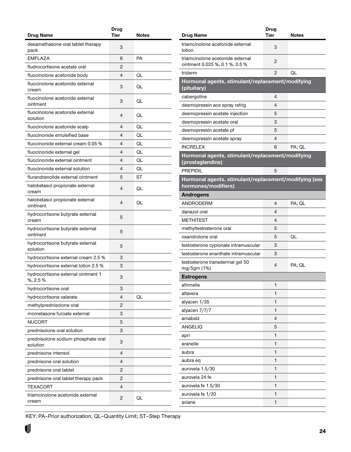<span id="page-23-0"></span>

| <b>Drug Name</b>                               | Drug<br><b>Tier</b> | <b>Notes</b> |
|------------------------------------------------|---------------------|--------------|
| dexamethasone oral tablet therapy              |                     |              |
| pack                                           | 3                   |              |
| <b>EMFLAZA</b>                                 | 6                   | <b>PA</b>    |
| fludrocortisone acetate oral                   | 2                   |              |
| fluocinolone acetonide body                    | 4                   | QL           |
| fluocinolone acetonide external<br>cream       | 3                   | QL           |
| fluocinolone acetonide external<br>ointment    | 3                   | QL           |
| fluocinolone acetonide external<br>solution    | 4                   | QL           |
| fluocinolone acetonide scalp                   | 4                   | QL           |
| fluocinonide emulsified base                   | 4                   | QL           |
| fluocinonide external cream 0.05 %             | 4                   | QL           |
| fluocinonide external gel                      | 4                   | QL           |
| fluocinonide external ointment                 | 4                   | QL           |
| fluocinonide external solution                 | 4                   | QL           |
| flurandrenolide external ointment              | 5                   | ST           |
| halobetasol propionate external<br>cream       | 4                   | QL           |
| halobetasol propionate external<br>ointment    | 4                   | QL           |
| hydrocortisone butyrate external<br>cream      | 5                   |              |
| hydrocortisone butyrate external<br>ointment   | 5                   |              |
| hydrocortisone butyrate external<br>solution   | 5                   |              |
| hydrocortisone external cream 2.5 %            | 3                   |              |
| hydrocortisone external lotion 2.5 %           | 3                   |              |
| hydrocortisone external ointment 1<br>%, 2.5 % | 3                   |              |
| hydrocortisone oral                            | 3                   |              |
| hydrocortisone valerate                        | 4                   | QL           |
| methylprednisolone oral                        | 2                   |              |
| mometasone furoate external                    | 3                   |              |
| <b>NUCORT</b>                                  | 5                   |              |
| prednisolone oral solution                     | 3                   |              |
| prednisolone sodium phosphate oral<br>solution | 3                   |              |
| prednisone intensol                            | 4                   |              |
| prednisone oral solution                       | 4                   |              |
| prednisone oral tablet                         | 2                   |              |
| prednisone oral tablet therapy pack            | 2                   |              |
| TEXACORT                                       | 4                   |              |
| triamcinolone acetonide external<br>cream      | 2                   | QL           |

| triamcinolone acetonide external<br>3<br>lotion<br>triamcinolone acetonide external<br>2<br>ointment 0.025 %, 0.1 %, 0.5 %<br>2<br>QL<br>triderm<br>Hormonal agents, stimulant/replacement/modifying<br>(pituitary)<br>4<br>cabergoline<br>4<br>desmopressin ace spray refrig<br>5<br>desmopressin acetate injection<br>3<br>desmopressin acetate oral<br>5<br>desmopressin acetate pf<br>4<br>desmopressin acetate spray<br><b>INCRELEX</b><br>6<br>PA; QL<br>Hormonal agents, stimulant/replacement/modifying<br>(prostaglandins)<br><b>PREPIDIL</b><br>5<br>Hormonal agents, stimulant/replacement/modifying (sex<br>hormones/modifiers)<br><b>Androgens</b><br>ANDRODERM<br>4<br>PA; QL<br>danazol oral<br>4<br><b>METHITEST</b><br>4<br>methyltestosterone oral<br>5<br>oxandrolone oral<br>QL<br>5<br>3<br>testosterone cypionate intramuscular<br>testosterone enanthate intramuscular<br>3<br>testosterone transdermal gel 50<br>4<br>PA; QL<br>mg/5gm (1%)<br>Estrogens<br>1<br>afirmelle<br>1<br>altavera<br>1<br>alyacen 1/35<br>1<br>alyacen 7/7/7<br>$\overline{4}$<br>amabelz<br>ANGELIQ<br>5<br>1<br>apri<br>1<br>aranelle<br>$\mathbf{1}$<br>aubra<br>1<br>aubra eq<br>1<br>aurovela 1.5/30<br>1<br>aurovela 24 fe<br>$\mathbf{1}$<br>aurovela fe 1.5/30<br>1<br>aurovela fe 1/20<br>1<br>aviane | <b>Drug Name</b> | <b>Drug</b><br>Tier | Notes |
|------------------------------------------------------------------------------------------------------------------------------------------------------------------------------------------------------------------------------------------------------------------------------------------------------------------------------------------------------------------------------------------------------------------------------------------------------------------------------------------------------------------------------------------------------------------------------------------------------------------------------------------------------------------------------------------------------------------------------------------------------------------------------------------------------------------------------------------------------------------------------------------------------------------------------------------------------------------------------------------------------------------------------------------------------------------------------------------------------------------------------------------------------------------------------------------------------------------------------------------------------------------------------------------------------------------|------------------|---------------------|-------|
|                                                                                                                                                                                                                                                                                                                                                                                                                                                                                                                                                                                                                                                                                                                                                                                                                                                                                                                                                                                                                                                                                                                                                                                                                                                                                                                  |                  |                     |       |
|                                                                                                                                                                                                                                                                                                                                                                                                                                                                                                                                                                                                                                                                                                                                                                                                                                                                                                                                                                                                                                                                                                                                                                                                                                                                                                                  |                  |                     |       |
|                                                                                                                                                                                                                                                                                                                                                                                                                                                                                                                                                                                                                                                                                                                                                                                                                                                                                                                                                                                                                                                                                                                                                                                                                                                                                                                  |                  |                     |       |
|                                                                                                                                                                                                                                                                                                                                                                                                                                                                                                                                                                                                                                                                                                                                                                                                                                                                                                                                                                                                                                                                                                                                                                                                                                                                                                                  |                  |                     |       |
|                                                                                                                                                                                                                                                                                                                                                                                                                                                                                                                                                                                                                                                                                                                                                                                                                                                                                                                                                                                                                                                                                                                                                                                                                                                                                                                  |                  |                     |       |
|                                                                                                                                                                                                                                                                                                                                                                                                                                                                                                                                                                                                                                                                                                                                                                                                                                                                                                                                                                                                                                                                                                                                                                                                                                                                                                                  |                  |                     |       |
|                                                                                                                                                                                                                                                                                                                                                                                                                                                                                                                                                                                                                                                                                                                                                                                                                                                                                                                                                                                                                                                                                                                                                                                                                                                                                                                  |                  |                     |       |
|                                                                                                                                                                                                                                                                                                                                                                                                                                                                                                                                                                                                                                                                                                                                                                                                                                                                                                                                                                                                                                                                                                                                                                                                                                                                                                                  |                  |                     |       |
|                                                                                                                                                                                                                                                                                                                                                                                                                                                                                                                                                                                                                                                                                                                                                                                                                                                                                                                                                                                                                                                                                                                                                                                                                                                                                                                  |                  |                     |       |
|                                                                                                                                                                                                                                                                                                                                                                                                                                                                                                                                                                                                                                                                                                                                                                                                                                                                                                                                                                                                                                                                                                                                                                                                                                                                                                                  |                  |                     |       |
|                                                                                                                                                                                                                                                                                                                                                                                                                                                                                                                                                                                                                                                                                                                                                                                                                                                                                                                                                                                                                                                                                                                                                                                                                                                                                                                  |                  |                     |       |
|                                                                                                                                                                                                                                                                                                                                                                                                                                                                                                                                                                                                                                                                                                                                                                                                                                                                                                                                                                                                                                                                                                                                                                                                                                                                                                                  |                  |                     |       |
|                                                                                                                                                                                                                                                                                                                                                                                                                                                                                                                                                                                                                                                                                                                                                                                                                                                                                                                                                                                                                                                                                                                                                                                                                                                                                                                  |                  |                     |       |
|                                                                                                                                                                                                                                                                                                                                                                                                                                                                                                                                                                                                                                                                                                                                                                                                                                                                                                                                                                                                                                                                                                                                                                                                                                                                                                                  |                  |                     |       |
|                                                                                                                                                                                                                                                                                                                                                                                                                                                                                                                                                                                                                                                                                                                                                                                                                                                                                                                                                                                                                                                                                                                                                                                                                                                                                                                  |                  |                     |       |
|                                                                                                                                                                                                                                                                                                                                                                                                                                                                                                                                                                                                                                                                                                                                                                                                                                                                                                                                                                                                                                                                                                                                                                                                                                                                                                                  |                  |                     |       |
|                                                                                                                                                                                                                                                                                                                                                                                                                                                                                                                                                                                                                                                                                                                                                                                                                                                                                                                                                                                                                                                                                                                                                                                                                                                                                                                  |                  |                     |       |
|                                                                                                                                                                                                                                                                                                                                                                                                                                                                                                                                                                                                                                                                                                                                                                                                                                                                                                                                                                                                                                                                                                                                                                                                                                                                                                                  |                  |                     |       |
|                                                                                                                                                                                                                                                                                                                                                                                                                                                                                                                                                                                                                                                                                                                                                                                                                                                                                                                                                                                                                                                                                                                                                                                                                                                                                                                  |                  |                     |       |
|                                                                                                                                                                                                                                                                                                                                                                                                                                                                                                                                                                                                                                                                                                                                                                                                                                                                                                                                                                                                                                                                                                                                                                                                                                                                                                                  |                  |                     |       |
|                                                                                                                                                                                                                                                                                                                                                                                                                                                                                                                                                                                                                                                                                                                                                                                                                                                                                                                                                                                                                                                                                                                                                                                                                                                                                                                  |                  |                     |       |
|                                                                                                                                                                                                                                                                                                                                                                                                                                                                                                                                                                                                                                                                                                                                                                                                                                                                                                                                                                                                                                                                                                                                                                                                                                                                                                                  |                  |                     |       |
|                                                                                                                                                                                                                                                                                                                                                                                                                                                                                                                                                                                                                                                                                                                                                                                                                                                                                                                                                                                                                                                                                                                                                                                                                                                                                                                  |                  |                     |       |
|                                                                                                                                                                                                                                                                                                                                                                                                                                                                                                                                                                                                                                                                                                                                                                                                                                                                                                                                                                                                                                                                                                                                                                                                                                                                                                                  |                  |                     |       |
|                                                                                                                                                                                                                                                                                                                                                                                                                                                                                                                                                                                                                                                                                                                                                                                                                                                                                                                                                                                                                                                                                                                                                                                                                                                                                                                  |                  |                     |       |
|                                                                                                                                                                                                                                                                                                                                                                                                                                                                                                                                                                                                                                                                                                                                                                                                                                                                                                                                                                                                                                                                                                                                                                                                                                                                                                                  |                  |                     |       |
|                                                                                                                                                                                                                                                                                                                                                                                                                                                                                                                                                                                                                                                                                                                                                                                                                                                                                                                                                                                                                                                                                                                                                                                                                                                                                                                  |                  |                     |       |
|                                                                                                                                                                                                                                                                                                                                                                                                                                                                                                                                                                                                                                                                                                                                                                                                                                                                                                                                                                                                                                                                                                                                                                                                                                                                                                                  |                  |                     |       |
|                                                                                                                                                                                                                                                                                                                                                                                                                                                                                                                                                                                                                                                                                                                                                                                                                                                                                                                                                                                                                                                                                                                                                                                                                                                                                                                  |                  |                     |       |
|                                                                                                                                                                                                                                                                                                                                                                                                                                                                                                                                                                                                                                                                                                                                                                                                                                                                                                                                                                                                                                                                                                                                                                                                                                                                                                                  |                  |                     |       |
|                                                                                                                                                                                                                                                                                                                                                                                                                                                                                                                                                                                                                                                                                                                                                                                                                                                                                                                                                                                                                                                                                                                                                                                                                                                                                                                  |                  |                     |       |
|                                                                                                                                                                                                                                                                                                                                                                                                                                                                                                                                                                                                                                                                                                                                                                                                                                                                                                                                                                                                                                                                                                                                                                                                                                                                                                                  |                  |                     |       |
|                                                                                                                                                                                                                                                                                                                                                                                                                                                                                                                                                                                                                                                                                                                                                                                                                                                                                                                                                                                                                                                                                                                                                                                                                                                                                                                  |                  |                     |       |
|                                                                                                                                                                                                                                                                                                                                                                                                                                                                                                                                                                                                                                                                                                                                                                                                                                                                                                                                                                                                                                                                                                                                                                                                                                                                                                                  |                  |                     |       |
|                                                                                                                                                                                                                                                                                                                                                                                                                                                                                                                                                                                                                                                                                                                                                                                                                                                                                                                                                                                                                                                                                                                                                                                                                                                                                                                  |                  |                     |       |
|                                                                                                                                                                                                                                                                                                                                                                                                                                                                                                                                                                                                                                                                                                                                                                                                                                                                                                                                                                                                                                                                                                                                                                                                                                                                                                                  |                  |                     |       |
|                                                                                                                                                                                                                                                                                                                                                                                                                                                                                                                                                                                                                                                                                                                                                                                                                                                                                                                                                                                                                                                                                                                                                                                                                                                                                                                  |                  |                     |       |
|                                                                                                                                                                                                                                                                                                                                                                                                                                                                                                                                                                                                                                                                                                                                                                                                                                                                                                                                                                                                                                                                                                                                                                                                                                                                                                                  |                  |                     |       |
|                                                                                                                                                                                                                                                                                                                                                                                                                                                                                                                                                                                                                                                                                                                                                                                                                                                                                                                                                                                                                                                                                                                                                                                                                                                                                                                  |                  |                     |       |
|                                                                                                                                                                                                                                                                                                                                                                                                                                                                                                                                                                                                                                                                                                                                                                                                                                                                                                                                                                                                                                                                                                                                                                                                                                                                                                                  |                  |                     |       |
|                                                                                                                                                                                                                                                                                                                                                                                                                                                                                                                                                                                                                                                                                                                                                                                                                                                                                                                                                                                                                                                                                                                                                                                                                                                                                                                  |                  |                     |       |
|                                                                                                                                                                                                                                                                                                                                                                                                                                                                                                                                                                                                                                                                                                                                                                                                                                                                                                                                                                                                                                                                                                                                                                                                                                                                                                                  |                  |                     |       |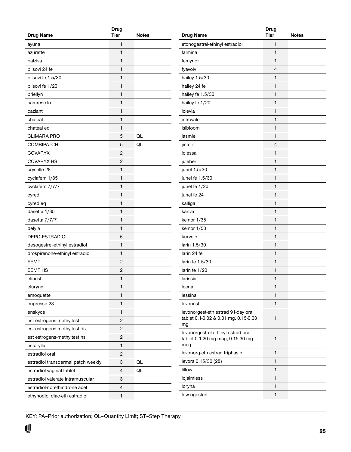|                                    | Drug |       |
|------------------------------------|------|-------|
| <b>Drug Name</b>                   | Tier | Notes |
| ayuna                              | 1    |       |
| azurette                           | 1    |       |
| balziva                            | 1    |       |
| blisovi 24 fe                      | 1    |       |
| blisovi fe 1.5/30                  | 1    |       |
| blisovi fe 1/20                    | 1    |       |
| briellyn                           | 1    |       |
| camrese lo                         | 1    |       |
| caziant                            | 1    |       |
| chateal                            | 1    |       |
| chateal eq                         | 1    |       |
| <b>CLIMARA PRO</b>                 | 5    | QL    |
| COMBIPATCH                         | 5    | QL    |
| <b>COVARYX</b>                     | 2    |       |
| <b>COVARYX HS</b>                  | 2    |       |
| cryselle-28                        | 1    |       |
| cyclafem 1/35                      | 1    |       |
| cyclafem 7/7/7                     | 1    |       |
| cyred                              | 1    |       |
| cyred eq                           | 1    |       |
| dasetta 1/35                       | 1    |       |
| dasetta 7/7/7                      | 1    |       |
| delyla                             | 1    |       |
| DEPO-ESTRADIOL                     | 5    |       |
| desogestrel-ethinyl estradiol      | 1    |       |
| drospirenone-ethinyl estradiol     | 1    |       |
| <b>EEMT</b>                        | 2    |       |
| <b>EEMT HS</b>                     | 2    |       |
| elinest                            | 1    |       |
| eluryng                            | 1    |       |
| emoquette                          | 1    |       |
| enpresse-28                        | 1    |       |
| enskyce                            | 1    |       |
| est estrogens-methyltest           | 2    |       |
| est estrogens-methyltest ds        | 2    |       |
| est estrogens-methyltest hs        | 2    |       |
| estarylla                          | 1    |       |
| estradiol oral                     | 2    |       |
| estradiol transdermal patch weekly | 3    | QL    |
| estradiol vaginal tablet           | 4    | QL    |
| estradiol valerate intramuscular   | 3    |       |
| estradiol-norethindrone acet       | 4    |       |
| ethynodiol diac-eth estradiol      | 1    |       |
|                                    |      |       |

| <b>Drug Name</b>                                                               | <b>Drug</b><br><b>Tier</b> | <b>Notes</b> |
|--------------------------------------------------------------------------------|----------------------------|--------------|
|                                                                                | 1                          |              |
| etonogestrel-ethinyl estradiol<br>falmina                                      | 1                          |              |
|                                                                                | 1                          |              |
| femynor                                                                        |                            |              |
| fyavolv                                                                        | 4                          |              |
| hailey 1.5/30                                                                  | $\mathbf{1}$               |              |
| hailey 24 fe                                                                   | 1                          |              |
| hailey fe 1.5/30                                                               | $\mathbf{1}$               |              |
| hailey fe 1/20                                                                 | $\mathbf{1}$               |              |
| iclevia                                                                        | $\mathbf{1}$               |              |
| introvale                                                                      | 1                          |              |
| isibloom                                                                       | $\mathbf{1}$               |              |
| jasmiel                                                                        | $\mathbf{1}$               |              |
| jinteli                                                                        | $\overline{4}$             |              |
| jolessa                                                                        | 1                          |              |
| juleber                                                                        | $\mathbf{1}$               |              |
| junel 1.5/30                                                                   | 1                          |              |
| junel fe 1.5/30                                                                | 1                          |              |
| junel fe 1/20                                                                  | 1                          |              |
| junel fe 24                                                                    | $\mathbf{1}$               |              |
| kalliga                                                                        | 1                          |              |
| kariva                                                                         | 1                          |              |
| kelnor 1/35                                                                    | 1                          |              |
| kelnor 1/50                                                                    | $\mathbf{1}$               |              |
| kurvelo                                                                        | 1                          |              |
| larin 1.5/30                                                                   | $\mathbf{1}$               |              |
| larin 24 fe                                                                    | 1                          |              |
| larin fe 1.5/30                                                                | $\mathbf{1}$               |              |
| larin fe 1/20                                                                  | 1                          |              |
| larissia                                                                       | 1                          |              |
| leena                                                                          | 1                          |              |
| lessina                                                                        | $\mathbf{1}$               |              |
| levonest                                                                       | $\mathbf{1}$               |              |
| levonorgest-eth estrad 91-day oral<br>tablet 0.1-0.02 & 0.01 mg, 0.15-0.03     | 1                          |              |
| mg                                                                             |                            |              |
| levonorgestrel-ethinyl estrad oral<br>tablet 0.1-20 mg-mcg, 0.15-30 mg-<br>mcg | 1                          |              |
| levonorg-eth estrad triphasic                                                  | 1                          |              |
| levora 0.15/30 (28)                                                            | $\mathbf{1}$               |              |
| lillow                                                                         | 1                          |              |
| lojaimiess                                                                     | $\mathbf{1}$               |              |
| loryna                                                                         | 1                          |              |
| low-ogestrel                                                                   | $\mathbf{1}$               |              |
|                                                                                |                            |              |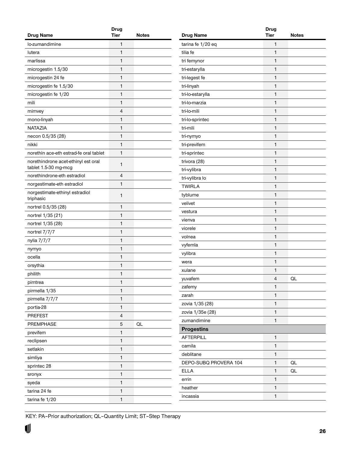<span id="page-25-0"></span>

| <b>Drug Name</b>                                            | <b>Drug</b><br><b>Tier</b> | <b>Notes</b> |
|-------------------------------------------------------------|----------------------------|--------------|
|                                                             |                            |              |
| lo-zumandimine                                              | 1                          |              |
| lutera                                                      | 1                          |              |
| marlissa                                                    | 1                          |              |
| microgestin 1.5/30                                          | 1                          |              |
| microgestin 24 fe                                           | 1                          |              |
| microgestin fe 1.5/30                                       | 1                          |              |
| microgestin fe 1/20                                         | 1                          |              |
| mili                                                        | 1                          |              |
| mimvey                                                      | 4                          |              |
| mono-linyah                                                 | 1                          |              |
| <b>NATAZIA</b>                                              | 1                          |              |
| necon 0.5/35 (28)                                           | 1                          |              |
| nikki                                                       | 1                          |              |
| norethin ace-eth estrad-fe oral tablet                      | 1                          |              |
| norethindrone acet-ethinyl est oral<br>tablet 1.5-30 mg-mcg | 1                          |              |
| norethindrone-eth estradiol                                 | 4                          |              |
| norgestimate-eth estradiol                                  | 1                          |              |
| norgestimate-ethinyl estradiol<br>triphasic                 | 1                          |              |
| nortrel 0.5/35 (28)                                         | 1                          |              |
| nortrel 1/35 (21)                                           | 1                          |              |
| nortrel 1/35 (28)                                           | 1                          |              |
| nortrel 7/7/7                                               | 1                          |              |
| nylia 7/7/7                                                 | 1                          |              |
| nymyo                                                       | 1                          |              |
| ocella                                                      | 1                          |              |
| orsythia                                                    | 1                          |              |
| philith                                                     | 1                          |              |
| pimtrea                                                     | 1                          |              |
| pirmella 1/35                                               | 1                          |              |
| pirmella 7/7/7                                              | 1                          |              |
| portia-28                                                   | $\mathbf{1}$               |              |
| <b>PREFEST</b>                                              | 4                          |              |
| PREMPHASE                                                   | 5                          | QL           |
| previfem                                                    | 1                          |              |
| reclipsen                                                   | 1                          |              |
| setlakin                                                    | 1                          |              |
| simliya                                                     | 1                          |              |
| sprintec 28                                                 | 1                          |              |
| sronyx                                                      | 1                          |              |
| syeda                                                       | 1                          |              |
| tarina 24 fe                                                | 1                          |              |
| tarina fe 1/20                                              | 1                          |              |
|                                                             |                            |              |

| <b>Drug Name</b>      | <b>Drug</b><br><b>Tier</b> | <b>Notes</b> |
|-----------------------|----------------------------|--------------|
|                       | $\mathbf{1}$               |              |
| tarina fe 1/20 eq     | $\mathbf{1}$               |              |
| tilia fe              |                            |              |
| tri femynor           | $\mathbf{1}$               |              |
| tri-estarylla         | $\mathbf{1}$               |              |
| tri-legest fe         | $\mathbf{1}$               |              |
| tri-linyah            | $\mathbf{1}$               |              |
| tri-lo-estarylla      | $\mathbf{1}$               |              |
| tri-lo-marzia         | $\mathbf{1}$               |              |
| tri-lo-mili           | $\mathbf{1}$               |              |
| tri-lo-sprintec       | $\mathbf{1}$               |              |
| tri-mili              | $\mathbf{1}$               |              |
| tri-nymyo             | $\mathbf{1}$               |              |
| tri-previfem          | $\mathbf{1}$               |              |
| tri-sprintec          | $\mathbf{1}$               |              |
| trivora (28)          | $\mathbf{1}$               |              |
| tri-vylibra           | $\mathbf{1}$               |              |
| tri-vylibra lo        | $\mathbf{1}$               |              |
| <b>TWIRLA</b>         | $\mathbf{1}$               |              |
| tyblume               | $\mathbf{1}$               |              |
| velivet               | $\mathbf{1}$               |              |
| vestura               | $\mathbf{1}$               |              |
| vienva                | $\mathbf{1}$               |              |
| viorele               | $\mathbf{1}$               |              |
| volnea                | $\mathbf{1}$               |              |
| vyfemla               | $\mathbf{1}$               |              |
| vylibra               | $\mathbf{1}$               |              |
| wera                  | $\mathbf{1}$               |              |
| xulane                | 1                          |              |
| yuvafem               | $\overline{\mathcal{L}}$   | QL           |
| zafemy                | $\mathbf{1}$               |              |
| zarah                 | $\mathbf{1}$               |              |
| zovia 1/35 (28)       | $\mathbf{1}$               |              |
| zovia 1/35e (28)      | $\mathbf{1}$               |              |
| zumandimine           | $\mathbf{1}$               |              |
| <b>Progestins</b>     |                            |              |
| <b>AFTERPILL</b>      | $\mathbf{1}$               |              |
| camila                | $\mathbf{1}$               |              |
| deblitane             | $\mathbf{1}$               |              |
| DEPO-SUBQ PROVERA 104 | 1                          | QL           |
| <b>ELLA</b>           | $\mathbf{1}$               | QL           |
| errin                 | $\mathbf{1}$               |              |
| heather               | $\mathbf{1}$               |              |
| incassia              | $\mathbf{1}$               |              |
|                       |                            |              |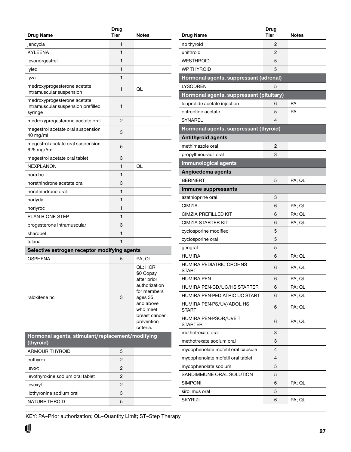<span id="page-26-0"></span>

| Drug Name                                                                    | <b>Drug</b><br><b>Tier</b> | <b>Notes</b>                                                                                                                                        |
|------------------------------------------------------------------------------|----------------------------|-----------------------------------------------------------------------------------------------------------------------------------------------------|
| jencycla                                                                     | 1                          |                                                                                                                                                     |
| <b>KYLEENA</b>                                                               | 1                          |                                                                                                                                                     |
| levonorgestrel                                                               | 1                          |                                                                                                                                                     |
| lyleq                                                                        | 1                          |                                                                                                                                                     |
| lyza                                                                         | 1                          |                                                                                                                                                     |
| medroxyprogesterone acetate<br>intramuscular suspension                      | 1                          | QL                                                                                                                                                  |
| medroxyprogesterone acetate<br>intramuscular suspension prefilled<br>syringe | 1                          |                                                                                                                                                     |
| medroxyprogesterone acetate oral                                             | 2                          |                                                                                                                                                     |
| megestrol acetate oral suspension<br>$40$ mg/ml                              | 3                          |                                                                                                                                                     |
| megestrol acetate oral suspension<br>625 mg/5ml                              | 5                          |                                                                                                                                                     |
| megestrol acetate oral tablet                                                | 3                          |                                                                                                                                                     |
| <b>NEXPLANON</b>                                                             | 1                          | QL                                                                                                                                                  |
| nora-be                                                                      | 1                          |                                                                                                                                                     |
| norethindrone acetate oral                                                   | 3                          |                                                                                                                                                     |
| norethindrone oral                                                           | 1                          |                                                                                                                                                     |
| norlyda                                                                      | 1                          |                                                                                                                                                     |
| norlyroc                                                                     | 1                          |                                                                                                                                                     |
| <b>PLAN B ONE-STEP</b>                                                       | 1                          |                                                                                                                                                     |
| progesterone intramuscular                                                   | 3                          |                                                                                                                                                     |
| sharobel                                                                     | 1                          |                                                                                                                                                     |
| tulana                                                                       | 1                          |                                                                                                                                                     |
| Selective estrogen receptor modifying agents                                 |                            |                                                                                                                                                     |
| <b>OSPHENA</b>                                                               | 5                          | PA; QL                                                                                                                                              |
| raloxifene hcl                                                               | 3                          | QL; HCR<br>\$0 Copay<br>after prior<br>authorization<br>for members<br>ages 35<br>and above<br>who meet<br>breast cancer<br>prevention<br>criteria. |
| Hormonal agents, stimulant/replacement/modifying<br>(thyroid)                |                            |                                                                                                                                                     |
| ARMOUR THYROID                                                               | 5                          |                                                                                                                                                     |
| euthyrox                                                                     | $\overline{c}$             |                                                                                                                                                     |
| levo-t                                                                       | 2                          |                                                                                                                                                     |
| levothyroxine sodium oral tablet                                             | 2                          |                                                                                                                                                     |
| levoxyl                                                                      | 2                          |                                                                                                                                                     |
| liothyronine sodium oral                                                     | 3                          |                                                                                                                                                     |
| NATURE-THROID                                                                | 5                          |                                                                                                                                                     |

| Drug Name                                | Drug<br>Tier | Notes  |
|------------------------------------------|--------------|--------|
| np thyroid                               | 2            |        |
| unithroid                                | 2            |        |
| <b>WESTHROID</b>                         | 5            |        |
| <b>WP THYROID</b>                        | 5            |        |
| Hormonal agents, suppressant (adrenal)   |              |        |
| <b>LYSODREN</b>                          | 5            |        |
| Hormonal agents, suppressant (pituitary) |              |        |
| leuprolide acetate injection             | 6            | PA     |
| octreotide acetate                       | 5            | PA     |
| SYNAREL                                  | 4            |        |
| Hormonal agents, suppressant (thyroid)   |              |        |
| <b>Antithyroid agents</b>                |              |        |
| methimazole oral                         | 2            |        |
| propylthiouracil oral                    | 3            |        |
| <b>Immunological agents</b>              |              |        |
| Angioedema agents                        |              |        |
| <b>BERINERT</b>                          | 5            | PA; QL |
| Immune suppressants                      |              |        |
| azathioprine oral                        | 3            |        |
| CIMZIA                                   | 6            | PA; QL |
| CIMZIA PREFILLED KIT                     | 6            | PA; QL |
| CIMZIA STARTER KIT                       | 6            | PA; QL |
| cyclosporine modified                    | 5            |        |
| cyclosporine oral                        | 5            |        |
| gengraf                                  | 5            |        |
| <b>HUMIRA</b>                            | 6            | PA; QL |
| HUMIRA PEDIATRIC CROHNS<br>START         | 6            | PA; QL |
| HUMIRA PEN                               | 6            | PA; QL |
| HUMIRA PEN-CD/UC/HS STARTER              | 6            | PA; QL |
| HUMIRA PEN-PEDIATRIC UC START            | 6            | PA; QL |
| HUMIRA PEN-PS/UV/ADOL HS<br><b>START</b> | 6            | PA; QL |
| HUMIRA PEN-PSOR/UVEIT<br><b>STARTER</b>  | 6            | PA; QL |
| methotrexate oral                        | 3            |        |
| methotrexate sodium oral                 | 3            |        |
| mycophenolate mofetil oral capsule       | 4            |        |
| mycophenolate mofetil oral tablet        | 4            |        |
| mycophenolate sodium                     | 5            |        |
| SANDIMMUNE ORAL SOLUTION                 | 5            |        |
| SIMPONI                                  | 6            | PA; QL |
| sirolimus oral                           | 5            |        |
| SKYRIZI                                  | 6            | PA; QL |
|                                          |              |        |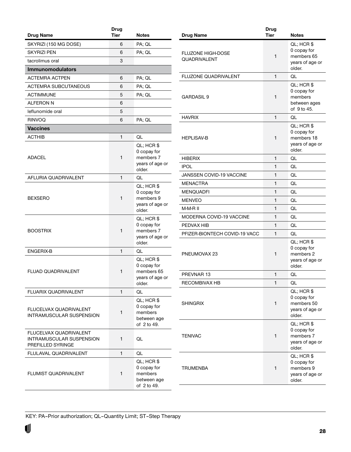<span id="page-27-0"></span>

| <b>Drug Name</b>                                                               | <b>Drug</b><br><b>Tier</b> | <b>Notes</b>                                                         |
|--------------------------------------------------------------------------------|----------------------------|----------------------------------------------------------------------|
| SKYRIZI (150 MG DOSE)                                                          | 6                          | PA; QL                                                               |
| <b>SKYRIZI PEN</b>                                                             | 6                          | PA; QL                                                               |
| tacrolimus oral                                                                | 3                          |                                                                      |
| <b>Immunomodulators</b>                                                        |                            |                                                                      |
| <b>ACTEMRA ACTPEN</b>                                                          | 6                          | PA; QL                                                               |
| <b>ACTEMRA SUBCUTANEOUS</b>                                                    | 6                          | PA; QL                                                               |
| <b>ACTIMMUNE</b>                                                               | 5                          | PA; QL                                                               |
| <b>ALFERON N</b>                                                               | 6                          |                                                                      |
| leflunomide oral                                                               | 5                          |                                                                      |
| <b>RINVOQ</b>                                                                  | 6                          | PA; QL                                                               |
| <b>Vaccines</b>                                                                |                            |                                                                      |
| <b>ACTHIB</b>                                                                  | 1                          | QL                                                                   |
|                                                                                |                            |                                                                      |
| <b>ADACEL</b>                                                                  | 1                          | QL; HCR \$<br>0 copay for<br>members 7<br>years of age or<br>older.  |
| AFLURIA QUADRIVALENT                                                           | 1                          | QL                                                                   |
| <b>BEXSERO</b>                                                                 | 1                          | QL; HCR \$<br>0 copay for<br>members 9<br>years of age or<br>older.  |
| <b>BOOSTRIX</b>                                                                | 1                          | QL; HCR \$<br>0 copay for<br>members 7<br>years of age or<br>older.  |
| ENGERIX-B                                                                      | 1                          | QL                                                                   |
| <b>FLUAD QUADRIVALENT</b>                                                      | 1                          | QL; HCR \$<br>0 copay for<br>members 65<br>years of age or<br>older. |
| <b>FLUARIX QUADRIVALENT</b>                                                    | 1                          | QL                                                                   |
| <b>FLUCELVAX QUADRIVALENT</b><br><b>INTRAMUSCULAR SUSPENSION</b>               | 1                          | QL; HCR \$<br>0 copay for<br>members<br>between age<br>of 2 to 49.   |
| FLUCELVAX QUADRIVALENT<br><b>INTRAMUSCULAR SUSPENSION</b><br>PREFILLED SYRINGE | 1                          | QL                                                                   |
| FLULAVAL QUADRIVALENT                                                          | 1                          | QL                                                                   |
| FLUMIST QUADRIVALENT                                                           | 1                          | QL; HCR \$<br>0 copay for<br>members<br>between age<br>of 2 to 49.   |
|                                                                                |                            |                                                                      |

|                                          | <b>Drug</b>  |                                                                      |
|------------------------------------------|--------------|----------------------------------------------------------------------|
| <b>Drug Name</b>                         | <b>Tier</b>  | <b>Notes</b>                                                         |
| <b>FLUZONE HIGH-DOSE</b><br>QUADRIVALENT | 1            | QL; HCR \$<br>0 copay for<br>members 65<br>years of age or<br>older. |
| FLUZONE QUADRIVALENT                     | 1            | QL                                                                   |
| <b>GARDASIL 9</b>                        | 1            | QL; HCR \$<br>0 copay for<br>members<br>between ages<br>of 9 to 45.  |
| <b>HAVRIX</b>                            | 1            | QL                                                                   |
| <b>HEPLISAV-B</b>                        | 1            | QL; HCR \$<br>0 copay for<br>members 18<br>years of age or<br>older. |
| <b>HIBERIX</b>                           | 1            | QL                                                                   |
| <b>IPOL</b>                              | 1            | QL                                                                   |
| JANSSEN COVID-19 VACCINE                 | 1            | QL                                                                   |
| <b>MENACTRA</b>                          | 1            | QL                                                                   |
| <b>MENQUADFI</b>                         | 1            | QL                                                                   |
| <b>MENVEO</b>                            | 1            | QL                                                                   |
| M-M-R II                                 | 1            | QL                                                                   |
| <b>MODERNA COVID-19 VACCINE</b>          | 1            | QL                                                                   |
| PEDVAX HIB                               | 1            | QL                                                                   |
| PFIZER-BIONTECH COVID-19 VACC            | 1            | QL                                                                   |
| PNEUMOVAX 23                             | $\mathbf{1}$ | QL; HCR \$<br>0 copay for<br>members 2<br>years of age or<br>older.  |
| PREVNAR 13                               | $\mathbf{1}$ | QL                                                                   |
| RECOMBIVAX HB                            | 1            | QL                                                                   |
| <b>SHINGRIX</b>                          | 1            | QL; HCR \$<br>0 copay for<br>members 50<br>years of age or<br>older. |
| <b>TENIVAC</b>                           | 1            | QL; HCR \$<br>0 copay for<br>members 7<br>years of age or<br>older.  |
| TRUMENBA                                 | 1            | QL; HCR \$<br>0 copay for<br>members 9<br>years of age or<br>older.  |
|                                          |              |                                                                      |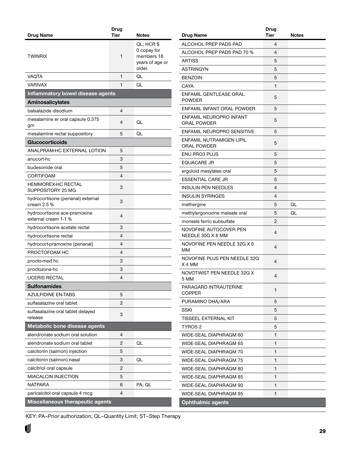<span id="page-28-0"></span>

|                                                      | <b>Drug</b><br>Tier | <b>Notes</b>                                                         |
|------------------------------------------------------|---------------------|----------------------------------------------------------------------|
| <b>Drug Name</b>                                     |                     |                                                                      |
| <b>TWINRIX</b>                                       | 1                   | QL; HCR \$<br>0 copay for<br>members 18<br>years of age or<br>older. |
| <b>VAQTA</b>                                         | 1                   | QL                                                                   |
| VARIVAX                                              | 1                   | QL                                                                   |
| Inflammatory bowel disease agents                    |                     |                                                                      |
| <b>Aminosalicylates</b>                              |                     |                                                                      |
| balsalazide disodium                                 | 4                   |                                                                      |
| mesalamine er oral capsule 0.375<br>gm               | 4                   | QL                                                                   |
| mesalamine rectal suppository                        | 5                   | QL                                                                   |
| <b>Glucocorticoids</b>                               |                     |                                                                      |
| ANALPRAM-HC EXTERNAL LOTION                          | 5                   |                                                                      |
| anucort-hc                                           | 3                   |                                                                      |
| budesonide oral                                      | 5                   |                                                                      |
| <b>CORTIFOAM</b>                                     | 4                   |                                                                      |
| <b>HEMMOREX-HC RECTAL</b><br>SUPPOSITORY 25 MG       | 3                   |                                                                      |
| hydrocortisone (perianal) external<br>cream $2.5\%$  | 3                   |                                                                      |
| hydrocortisone ace-pramoxine<br>external cream 1-1 % | 4                   |                                                                      |
| hydrocortisone acetate rectal                        | 3                   |                                                                      |
| hydrocortisone rectal                                | 4                   |                                                                      |
| hydrocort-pramoxine (perianal)                       | 4                   |                                                                      |
| PROCTOFOAM HC                                        | 4                   |                                                                      |
| procto-med hc                                        | 3                   |                                                                      |
| proctozone-hc                                        | 3                   |                                                                      |
| <b>UCERIS RECTAL</b>                                 | Δ                   |                                                                      |
| <b>Sulfonamides</b>                                  |                     |                                                                      |
| AZULFIDINE EN-TABS                                   | 5                   |                                                                      |
| sulfasalazine oral tablet                            | $\overline{c}$      |                                                                      |
| sulfasalazine oral tablet delayed<br>release         | 3                   |                                                                      |
| Metabolic bone disease agents                        |                     |                                                                      |
| alendronate sodium oral solution                     | 4                   |                                                                      |
| alendronate sodium oral tablet                       | 2                   | QL                                                                   |
| calcitonin (salmon) injection                        | 5                   |                                                                      |
| calcitonin (salmon) nasal                            | 3                   | QL                                                                   |
| calcitriol oral capsule                              | 2                   |                                                                      |
| <b>MIACALCIN INJECTION</b>                           | 5                   |                                                                      |
| NATPARA                                              | 6                   | PA; QL                                                               |
| paricalcitol oral capsule 4 mcg                      | 4                   |                                                                      |
| Miscellaneous therapeutic agents                     |                     |                                                                      |

| Drug Name                                   | <b>Drug</b><br><b>Tier</b> | Notes |
|---------------------------------------------|----------------------------|-------|
| ALCOHOL PREP PADS PAD                       | 4                          |       |
| ALCOHOL PREP PADS PAD 70 %                  | 4                          |       |
| <b>ARTISS</b>                               | 5                          |       |
| <b>ASTRINGYN</b>                            | 5                          |       |
| <b>BENZOIN</b>                              | 5                          |       |
| CAYA                                        | 1                          |       |
| ENFAMIL GENTLEASE ORAL<br><b>POWDER</b>     | 5                          |       |
| ENFAMIL INFANT ORAL POWDER                  | 5                          |       |
| ENFAMIL NEUROPRO INFANT<br>ORAL POWDER      | 5                          |       |
| ENFAMIL NEUROPRO SENSITIVE                  | 5                          |       |
| ENFAMIL NUTRAMIGEN LIPIL<br>ORAL POWDER     | 5                          |       |
| <b>ENU PRO3 PLUS</b>                        | 5                          |       |
| <b>EQUACARE JR</b>                          | 5                          |       |
| ergoloid mesylates oral                     | 5                          |       |
| <b>ESSENTIAL CARE JR</b>                    | 5                          |       |
| <b>INSULIN PEN NEEDLES</b>                  | 4                          |       |
| <b>INSULIN SYRINGES</b>                     | 4                          |       |
| methergine                                  | 5                          | QL    |
| methylergonovine maleate oral               | 5                          | QL    |
| monsels ferric subsulfate                   | 2                          |       |
| NOVOFINE AUTOCOVER PEN<br>NEEDLE 30G X 8 MM | 4                          |       |
| NOVOFINE PEN NEEDLE 32G X 6<br>ΜМ           | 4                          |       |
| NOVOFINE PLUS PEN NEEDLE 32G<br>X 4 MM      | 4                          |       |
| NOVOTWIST PEN NEEDLE 32G X<br>5 MM          | 4                          |       |
| PARAGARD INTRAUTERINE<br>COPPER             | 1                          |       |
| PURAMINO DHA/ARA                            | 5                          |       |
| SSKI                                        | 5                          |       |
| TISSEEL EXTERNAL KIT                        | 5                          |       |
| TYROS 2                                     | 5                          |       |
| WIDE-SEAL DIAPHRAGM 60                      | 1                          |       |
| WIDE-SEAL DIAPHRAGM 65                      | 1                          |       |
| WIDE-SEAL DIAPHRAGM 70                      | 1                          |       |
| WIDE-SEAL DIAPHRAGM 75                      | 1                          |       |
| WIDE-SEAL DIAPHRAGM 80                      | 1                          |       |
| WIDE-SEAL DIAPHRAGM 85                      | 1                          |       |
| WIDE-SEAL DIAPHRAGM 90                      | 1                          |       |
| WIDE-SEAL DIAPHRAGM 95                      | 1                          |       |
| <b>Ophthalmic agents</b>                    |                            |       |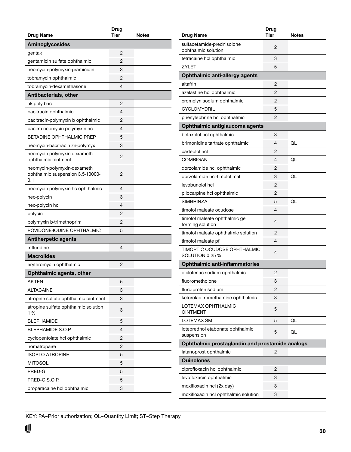<span id="page-29-0"></span>

| <b>Drug Name</b>                                                       | Drug<br><b>Tier</b> | <b>Notes</b> |
|------------------------------------------------------------------------|---------------------|--------------|
|                                                                        |                     |              |
| Aminoglycosides                                                        |                     |              |
| gentak                                                                 | 2                   |              |
| gentamicin sulfate ophthalmic                                          | 2                   |              |
| neomycin-polymyxin-gramicidin                                          | 3                   |              |
| tobramycin ophthalmic                                                  | 2                   |              |
| tobramycin-dexamethasone                                               | 4                   |              |
| Antibacterials, other                                                  |                     |              |
| ak-poly-bac                                                            | 2                   |              |
| bacitracin ophthalmic                                                  | 4                   |              |
| bacitracin-polymyxin b ophthalmic                                      | 2                   |              |
| bacitra-neomycin-polymyxin-hc                                          | 4                   |              |
| BETADINE OPHTHALMIC PREP                                               | 5                   |              |
| neomycin-bacitracin zn-polymyx                                         | 3                   |              |
| neomycin-polymyxin-dexameth<br>ophthalmic ointment                     | 2                   |              |
| neomycin-polymyxin-dexameth<br>ophthalmic suspension 3.5-10000-<br>0.1 | 2                   |              |
| neomycin-polymyxin-hc ophthalmic                                       | 4                   |              |
| neo-polycin                                                            | 3                   |              |
| neo-polycin hc                                                         | 4                   |              |
| polycin                                                                | 2                   |              |
| polymyxin b-trimethoprim                                               | 2                   |              |
| POVIDONE-IODINE OPHTHALMIC                                             | 5                   |              |
| <b>Antiherpetic agents</b>                                             |                     |              |
| trifluridine                                                           | 4                   |              |
| <b>Macrolides</b>                                                      |                     |              |
| erythromycin ophthalmic                                                | 2                   |              |
| Ophthalmic agents, other                                               |                     |              |
| AKTEN                                                                  | 5                   |              |
| <b>ALTACAINE</b>                                                       | 3                   |              |
| atropine sulfate ophthalmic ointment                                   | 3                   |              |
| atropine sulfate ophthalmic solution<br>1%                             | 3                   |              |
| <b>BLEPHAMIDE</b>                                                      | 5                   |              |
| BLEPHAMIDE S.O.P.                                                      | 4                   |              |
| cyclopentolate hcl ophthalmic                                          | 2                   |              |
| homatropaire                                                           | 2                   |              |
| <b>ISOPTO ATROPINE</b>                                                 | 5                   |              |
| <b>MITOSOL</b>                                                         | 5                   |              |
| PRED-G                                                                 | 5                   |              |
| PRED-G S.O.P.                                                          | 5                   |              |
|                                                                        | 3                   |              |
| proparacaine hcl ophthalmic                                            |                     |              |

|                                                    | Drug           |       |
|----------------------------------------------------|----------------|-------|
| Drug Name                                          | <b>Tier</b>    | Notes |
| sulfacetamide-prednisolone<br>ophthalmic solution  | 2              |       |
| tetracaine hcl ophthalmic                          | 3              |       |
| <b>ZYLET</b>                                       | 5              |       |
| Ophthalmic anti-allergy agents                     |                |       |
| altafrin                                           | 2              |       |
| azelastine hcl ophthalmic                          | 2              |       |
| cromolyn sodium ophthalmic                         | 2              |       |
| <b>CYCLOMYDRIL</b>                                 | 5              |       |
| phenylephrine hcl ophthalmic                       | 2              |       |
| Ophthalmic antiglaucoma agents                     |                |       |
| betaxolol hcl ophthalmic                           | 3              |       |
| brimonidine tartrate ophthalmic                    | 4              | QL    |
| carteolol hcl                                      | 2              |       |
| <b>COMBIGAN</b>                                    | 4              | QL    |
| dorzolamide hcl ophthalmic                         | 2              |       |
| dorzolamide hcl-timolol mal                        | 3              | QL    |
| levobunolol hcl                                    | 2              |       |
| pilocarpine hcl ophthalmic                         | 2              |       |
| <b>SIMBRINZA</b>                                   | 5              | QL    |
| timolol maleate ocudose                            | 4              |       |
| timolol maleate ophthalmic gel<br>forming solution | 4              |       |
| timolol maleate ophthalmic solution                | 2              |       |
| timolol maleate pf                                 | 4              |       |
| TIMOPTIC OCUDOSE OPHTHALMIC<br>SOLUTION 0.25 %     | 4              |       |
| <b>Ophthalmic anti-inflammatories</b>              |                |       |
| diclofenac sodium ophthalmic                       | 2              |       |
| fluorometholone                                    | 3              |       |
| flurbiprofen sodium                                | 2              |       |
| ketorolac tromethamine ophthalmic                  | 3              |       |
| LOTEMAX OPHTHALMIC<br><b>OINTMENT</b>              | 5              |       |
| <b>LOTEMAX SM</b>                                  | 5              | QL    |
| loteprednol etabonate ophthalmic<br>suspension     | 5              | QL    |
| Ophthalmic prostaglandin and prostamide analogs    |                |       |
| latanoprost ophthalmic                             | 2              |       |
| <b>Quinolones</b>                                  |                |       |
| ciprofloxacin hcl ophthalmic                       | $\overline{2}$ |       |
| levofloxacin ophthalmic                            | 3              |       |
| moxifloxacin hcl (2x day)                          | 3              |       |
| moxifloxacin hcl ophthalmic solution               | 3              |       |
|                                                    |                |       |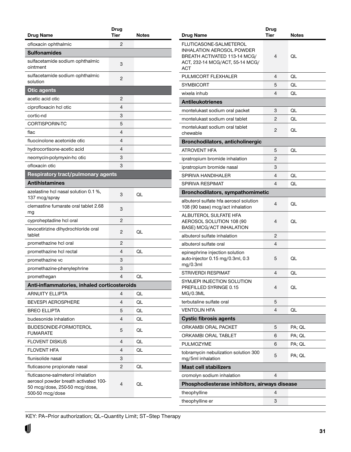<span id="page-30-0"></span>

| ofloxacin ophthalmic<br>2<br><b>Sulfonamides</b><br>sulfacetamide sodium ophthalmic<br>3<br>ointment<br>sulfacetamide sodium ophthalmic<br>2<br>solution<br><b>Otic agents</b><br>acetic acid otic<br>2<br>4<br>ciprofloxacin hcl otic<br>3<br>cortic-nd<br>CORTISPORIN-TC<br>5<br>4<br>flac<br>4<br>fluocinolone acetonide otic<br>4<br>hydrocortisone-acetic acid<br>3<br>neomycin-polymyxin-hc otic<br>3<br>ofloxacin otic<br><b>Respiratory tract/pulmonary agents</b><br><b>Antihistamines</b><br>azelastine hcl nasal solution 0.1 %,<br>3<br>QL<br>137 mcg/spray<br>clemastine fumarate oral tablet 2.68<br>3<br>mg<br>2<br>cyproheptadine hcl oral<br>levocetirizine dihydrochloride oral<br>2<br>QL<br>tablet<br>promethazine hcl oral<br>2<br>4<br>QL<br>promethazine hcl rectal<br>promethazine vc<br>3<br>3<br>promethazine-phenylephrine<br>4<br>promethegan<br>QL<br>Anti-inflammatories, inhaled corticosteroids<br><b>ARNUITY ELLIPTA</b><br>4<br>QL<br>4<br><b>BEVESPI AEROSPHERE</b><br>QL<br><b>BREO ELLIPTA</b><br>5<br>QL<br>4<br>budesonide inhalation<br>QL<br>BUDESONIDE-FORMOTEROL<br>5<br>QL<br><b>FUMARATE</b><br>4<br>QL<br><b>FLOVENT DISKUS</b><br><b>FLOVENT HFA</b><br>4<br>QL<br>flunisolide nasal<br>3<br>$\overline{c}$<br>QL<br>fluticasone propionate nasal<br>fluticasone-salmeterol inhalation<br>aerosol powder breath activated 100-<br>4<br>QL<br>50 mcg/dose, 250-50 mcg/dose,<br>500-50 mcg/dose |                  | Drug        |       |
|----------------------------------------------------------------------------------------------------------------------------------------------------------------------------------------------------------------------------------------------------------------------------------------------------------------------------------------------------------------------------------------------------------------------------------------------------------------------------------------------------------------------------------------------------------------------------------------------------------------------------------------------------------------------------------------------------------------------------------------------------------------------------------------------------------------------------------------------------------------------------------------------------------------------------------------------------------------------------------------------------------------------------------------------------------------------------------------------------------------------------------------------------------------------------------------------------------------------------------------------------------------------------------------------------------------------------------------------------------------------------------------------------------------------------------------------|------------------|-------------|-------|
|                                                                                                                                                                                                                                                                                                                                                                                                                                                                                                                                                                                                                                                                                                                                                                                                                                                                                                                                                                                                                                                                                                                                                                                                                                                                                                                                                                                                                                              | <b>Drug Name</b> | <b>Tier</b> | Notes |
|                                                                                                                                                                                                                                                                                                                                                                                                                                                                                                                                                                                                                                                                                                                                                                                                                                                                                                                                                                                                                                                                                                                                                                                                                                                                                                                                                                                                                                              |                  |             |       |
|                                                                                                                                                                                                                                                                                                                                                                                                                                                                                                                                                                                                                                                                                                                                                                                                                                                                                                                                                                                                                                                                                                                                                                                                                                                                                                                                                                                                                                              |                  |             |       |
|                                                                                                                                                                                                                                                                                                                                                                                                                                                                                                                                                                                                                                                                                                                                                                                                                                                                                                                                                                                                                                                                                                                                                                                                                                                                                                                                                                                                                                              |                  |             |       |
|                                                                                                                                                                                                                                                                                                                                                                                                                                                                                                                                                                                                                                                                                                                                                                                                                                                                                                                                                                                                                                                                                                                                                                                                                                                                                                                                                                                                                                              |                  |             |       |
|                                                                                                                                                                                                                                                                                                                                                                                                                                                                                                                                                                                                                                                                                                                                                                                                                                                                                                                                                                                                                                                                                                                                                                                                                                                                                                                                                                                                                                              |                  |             |       |
|                                                                                                                                                                                                                                                                                                                                                                                                                                                                                                                                                                                                                                                                                                                                                                                                                                                                                                                                                                                                                                                                                                                                                                                                                                                                                                                                                                                                                                              |                  |             |       |
|                                                                                                                                                                                                                                                                                                                                                                                                                                                                                                                                                                                                                                                                                                                                                                                                                                                                                                                                                                                                                                                                                                                                                                                                                                                                                                                                                                                                                                              |                  |             |       |
|                                                                                                                                                                                                                                                                                                                                                                                                                                                                                                                                                                                                                                                                                                                                                                                                                                                                                                                                                                                                                                                                                                                                                                                                                                                                                                                                                                                                                                              |                  |             |       |
|                                                                                                                                                                                                                                                                                                                                                                                                                                                                                                                                                                                                                                                                                                                                                                                                                                                                                                                                                                                                                                                                                                                                                                                                                                                                                                                                                                                                                                              |                  |             |       |
|                                                                                                                                                                                                                                                                                                                                                                                                                                                                                                                                                                                                                                                                                                                                                                                                                                                                                                                                                                                                                                                                                                                                                                                                                                                                                                                                                                                                                                              |                  |             |       |
|                                                                                                                                                                                                                                                                                                                                                                                                                                                                                                                                                                                                                                                                                                                                                                                                                                                                                                                                                                                                                                                                                                                                                                                                                                                                                                                                                                                                                                              |                  |             |       |
|                                                                                                                                                                                                                                                                                                                                                                                                                                                                                                                                                                                                                                                                                                                                                                                                                                                                                                                                                                                                                                                                                                                                                                                                                                                                                                                                                                                                                                              |                  |             |       |
|                                                                                                                                                                                                                                                                                                                                                                                                                                                                                                                                                                                                                                                                                                                                                                                                                                                                                                                                                                                                                                                                                                                                                                                                                                                                                                                                                                                                                                              |                  |             |       |
|                                                                                                                                                                                                                                                                                                                                                                                                                                                                                                                                                                                                                                                                                                                                                                                                                                                                                                                                                                                                                                                                                                                                                                                                                                                                                                                                                                                                                                              |                  |             |       |
|                                                                                                                                                                                                                                                                                                                                                                                                                                                                                                                                                                                                                                                                                                                                                                                                                                                                                                                                                                                                                                                                                                                                                                                                                                                                                                                                                                                                                                              |                  |             |       |
|                                                                                                                                                                                                                                                                                                                                                                                                                                                                                                                                                                                                                                                                                                                                                                                                                                                                                                                                                                                                                                                                                                                                                                                                                                                                                                                                                                                                                                              |                  |             |       |
|                                                                                                                                                                                                                                                                                                                                                                                                                                                                                                                                                                                                                                                                                                                                                                                                                                                                                                                                                                                                                                                                                                                                                                                                                                                                                                                                                                                                                                              |                  |             |       |
|                                                                                                                                                                                                                                                                                                                                                                                                                                                                                                                                                                                                                                                                                                                                                                                                                                                                                                                                                                                                                                                                                                                                                                                                                                                                                                                                                                                                                                              |                  |             |       |
|                                                                                                                                                                                                                                                                                                                                                                                                                                                                                                                                                                                                                                                                                                                                                                                                                                                                                                                                                                                                                                                                                                                                                                                                                                                                                                                                                                                                                                              |                  |             |       |
|                                                                                                                                                                                                                                                                                                                                                                                                                                                                                                                                                                                                                                                                                                                                                                                                                                                                                                                                                                                                                                                                                                                                                                                                                                                                                                                                                                                                                                              |                  |             |       |
|                                                                                                                                                                                                                                                                                                                                                                                                                                                                                                                                                                                                                                                                                                                                                                                                                                                                                                                                                                                                                                                                                                                                                                                                                                                                                                                                                                                                                                              |                  |             |       |
|                                                                                                                                                                                                                                                                                                                                                                                                                                                                                                                                                                                                                                                                                                                                                                                                                                                                                                                                                                                                                                                                                                                                                                                                                                                                                                                                                                                                                                              |                  |             |       |
|                                                                                                                                                                                                                                                                                                                                                                                                                                                                                                                                                                                                                                                                                                                                                                                                                                                                                                                                                                                                                                                                                                                                                                                                                                                                                                                                                                                                                                              |                  |             |       |
|                                                                                                                                                                                                                                                                                                                                                                                                                                                                                                                                                                                                                                                                                                                                                                                                                                                                                                                                                                                                                                                                                                                                                                                                                                                                                                                                                                                                                                              |                  |             |       |
|                                                                                                                                                                                                                                                                                                                                                                                                                                                                                                                                                                                                                                                                                                                                                                                                                                                                                                                                                                                                                                                                                                                                                                                                                                                                                                                                                                                                                                              |                  |             |       |
|                                                                                                                                                                                                                                                                                                                                                                                                                                                                                                                                                                                                                                                                                                                                                                                                                                                                                                                                                                                                                                                                                                                                                                                                                                                                                                                                                                                                                                              |                  |             |       |
|                                                                                                                                                                                                                                                                                                                                                                                                                                                                                                                                                                                                                                                                                                                                                                                                                                                                                                                                                                                                                                                                                                                                                                                                                                                                                                                                                                                                                                              |                  |             |       |
|                                                                                                                                                                                                                                                                                                                                                                                                                                                                                                                                                                                                                                                                                                                                                                                                                                                                                                                                                                                                                                                                                                                                                                                                                                                                                                                                                                                                                                              |                  |             |       |
|                                                                                                                                                                                                                                                                                                                                                                                                                                                                                                                                                                                                                                                                                                                                                                                                                                                                                                                                                                                                                                                                                                                                                                                                                                                                                                                                                                                                                                              |                  |             |       |
|                                                                                                                                                                                                                                                                                                                                                                                                                                                                                                                                                                                                                                                                                                                                                                                                                                                                                                                                                                                                                                                                                                                                                                                                                                                                                                                                                                                                                                              |                  |             |       |
|                                                                                                                                                                                                                                                                                                                                                                                                                                                                                                                                                                                                                                                                                                                                                                                                                                                                                                                                                                                                                                                                                                                                                                                                                                                                                                                                                                                                                                              |                  |             |       |
|                                                                                                                                                                                                                                                                                                                                                                                                                                                                                                                                                                                                                                                                                                                                                                                                                                                                                                                                                                                                                                                                                                                                                                                                                                                                                                                                                                                                                                              |                  |             |       |
|                                                                                                                                                                                                                                                                                                                                                                                                                                                                                                                                                                                                                                                                                                                                                                                                                                                                                                                                                                                                                                                                                                                                                                                                                                                                                                                                                                                                                                              |                  |             |       |
|                                                                                                                                                                                                                                                                                                                                                                                                                                                                                                                                                                                                                                                                                                                                                                                                                                                                                                                                                                                                                                                                                                                                                                                                                                                                                                                                                                                                                                              |                  |             |       |
|                                                                                                                                                                                                                                                                                                                                                                                                                                                                                                                                                                                                                                                                                                                                                                                                                                                                                                                                                                                                                                                                                                                                                                                                                                                                                                                                                                                                                                              |                  |             |       |
|                                                                                                                                                                                                                                                                                                                                                                                                                                                                                                                                                                                                                                                                                                                                                                                                                                                                                                                                                                                                                                                                                                                                                                                                                                                                                                                                                                                                                                              |                  |             |       |

|                                                                                                                                      | Drug |        |
|--------------------------------------------------------------------------------------------------------------------------------------|------|--------|
| Drug Name                                                                                                                            | Tier | Notes  |
| FLUTICASONE-SALMETEROL<br>INHALATION AEROSOL POWDER<br>BREATH ACTIVATED 113-14 MCG/<br>ACT, 232-14 MCG/ACT, 55-14 MCG/<br><b>ACT</b> | 4    | QL     |
| PULMICORT FLEXHALER                                                                                                                  | 4    | QL     |
| SYMBICORT                                                                                                                            | 5    | QL     |
| wixela inhub                                                                                                                         | 4    | QL     |
| <b>Antileukotrienes</b>                                                                                                              |      |        |
| montelukast sodium oral packet                                                                                                       | 3    | QL     |
| montelukast sodium oral tablet                                                                                                       | 2    | QL     |
| montelukast sodium oral tablet<br>chewable                                                                                           | 2    | QL     |
| Bronchodilators, anticholinergic                                                                                                     |      |        |
| ATROVENT HFA                                                                                                                         | 5    | QL     |
| ipratropium bromide inhalation                                                                                                       | 2    |        |
| ipratropium bromide nasal                                                                                                            | 3    |        |
| SPIRIVA HANDIHALER                                                                                                                   | 4    | IQ.    |
| SPIRIVA RESPIMAT                                                                                                                     | 4    | QL     |
| <b>Bronchodilators, sympathomimetic</b>                                                                                              |      |        |
| albuterol sulfate hfa aerosol solution<br>108 (90 base) mcg/act inhalation                                                           | 4    | QL     |
| ALBUTEROL SULFATE HFA<br>AEROSOL SOLUTION 108 (90<br>BASE) MCG/ACT INHALATION                                                        | 4    | QL     |
| albuterol sulfate inhalation                                                                                                         | 2    |        |
| albuterol sulfate oral                                                                                                               | 4    |        |
| epinephrine injection solution<br>auto-injector 0.15 mg/0.3ml, 0.3<br>mg/0.3ml                                                       | 5    | QL     |
| STRIVERDI RESPIMAT                                                                                                                   | 4    | QL     |
| SYMJEPI INJECTION SOLUTION<br>PREFILLED SYRINGE 0.15<br>MG/0.3ML                                                                     | 4    | QL     |
| terbutaline sulfate oral                                                                                                             | 5    |        |
| <b>VENTOLIN HFA</b>                                                                                                                  | 4    | QL     |
| <b>Cystic fibrosis agents</b>                                                                                                        |      |        |
| <b>ORKAMBI ORAL PACKET</b>                                                                                                           | 5    | PA; QL |
| ORKAMBI ORAL TABLET                                                                                                                  | 6    | PA; QL |
| PULMOZYME                                                                                                                            | 6    | PA; QL |
| tobramycin nebulization solution 300<br>mg/5ml inhalation                                                                            | 5    | PA; QL |
| <b>Mast cell stabilizers</b>                                                                                                         |      |        |
| cromolyn sodium inhalation                                                                                                           | 4    |        |
| Phosphodiesterase inhibitors, airways disease                                                                                        |      |        |
| theophylline                                                                                                                         | 4    |        |
| theophylline er                                                                                                                      | 3    |        |

U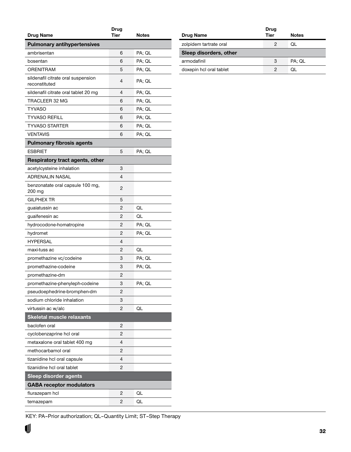<span id="page-31-0"></span>

| <b>Drug Name</b>                                    | Drug<br><b>Tier</b> | Notes  |
|-----------------------------------------------------|---------------------|--------|
| <b>Pulmonary antihypertensives</b>                  |                     |        |
| ambrisentan                                         | 6                   | PA; QL |
| bosentan                                            | 6                   | PA; QL |
| ORENITRAM                                           | 5                   | PA; QL |
| sildenafil citrate oral suspension<br>reconstituted | 4                   | PA; QL |
| sildenafil citrate oral tablet 20 mg                | 4                   | PA; QL |
| TRACLEER 32 MG                                      | 6                   | PA: QL |
|                                                     |                     |        |
| <b>TYVASO</b>                                       | 6                   | PA; QL |
| <b>TYVASO REFILL</b>                                | 6                   | PA; QL |
| <b>TYVASO STARTER</b>                               | 6                   | PA; QL |
| <b>VENTAVIS</b>                                     | 6                   | PA; QL |
| <b>Pulmonary fibrosis agents</b>                    |                     |        |
| <b>ESBRIET</b>                                      | 5                   | PA: QL |
| Respiratory tract agents, other                     |                     |        |
| acetylcysteine inhalation                           | 3                   |        |
| <b>ADRENALIN NASAL</b>                              | 4                   |        |
| benzonatate oral capsule 100 mg,<br>200 mg          | 2                   |        |
| <b>GILPHEX TR</b>                                   | 5                   |        |
| guaiatussin ac                                      | 2                   | QL     |
| guaifenesin ac                                      | 2                   | QL     |
| hydrocodone-homatropine                             | 2                   | PA; QL |
| hydromet                                            | 2                   | PA; QL |
| <b>HYPERSAL</b>                                     | 4                   |        |
| maxi-tuss ac                                        | 2                   | QL     |
| promethazine vc/codeine                             | 3                   | PA; QL |
| promethazine-codeine                                | 3                   | PA; QL |
| promethazine-dm                                     | 2                   |        |
| promethazine-phenyleph-codeine                      | 3                   | PA; QL |
| pseudoephedrine-bromphen-dm                         | 2                   |        |
| sodium chloride inhalation                          | 3                   |        |
| virtussin ac w/alc                                  | 2                   | QL     |
| <b>Skeletal muscle relaxants</b>                    |                     |        |
| baclofen oral                                       | 2                   |        |
| cyclobenzaprine hcl oral                            | 2                   |        |
| metaxalone oral tablet 400 mg                       | 4                   |        |
| methocarbamol oral                                  | 2                   |        |
| tizanidine hcl oral capsule                         | 4                   |        |
| tizanidine hcl oral tablet                          | 2                   |        |
| <b>Sleep disorder agents</b>                        |                     |        |
| <b>GABA receptor modulators</b>                     |                     |        |
| flurazepam hcl                                      | 2                   | QL     |
| temazepam                                           | 2                   | QL     |

| <b>Drug Name</b>        | Drug<br><b>Tier</b> | <b>Notes</b> |
|-------------------------|---------------------|--------------|
| zolpidem tartrate oral  | 2                   | ΩL           |
| Sleep disorders, other  |                     |              |
| armodafinil             | 3                   | PA: QL       |
| doxepin hcl oral tablet |                     | UC.)         |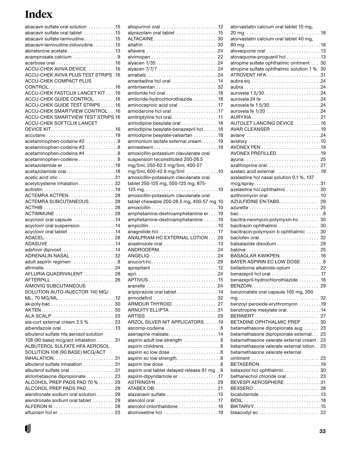### **Index**

| abacavir sulfate oral solution 15      |  |
|----------------------------------------|--|
| abacavir sulfate oral tablet 15        |  |
| abacavir sulfate-lamivudine. 15        |  |
| abacavir-lamivudine-zidovudine 15      |  |
| abiraterone acetate 13                 |  |
| acamprosate calcium 9                  |  |
| acarbose oral 16                       |  |
| ACCU-CHEK AVIVA DEVICE. 16             |  |
| ACCU-CHEK AVIVA PLUS TEST STRIPS .16   |  |
| ACCU-CHEK COMPACT PLUS                 |  |
| CONTROL16                              |  |
| ACCU-CHEK FASTCLIX LANCET KIT16        |  |
| ACCU-CHEK GUIDE CONTROL16              |  |
| ACCU-CHEK GUIDE TEST STRIPS16          |  |
| ACCU-CHEK SMARTVIEW CONTROL16          |  |
| ACCU-CHEK SMARTVIEW TEST STRIPS 16     |  |
| ACCU-CHEK SOFTCLIX LANCET              |  |
|                                        |  |
| accutane19                             |  |
| acetaminophen-codeine #2 8             |  |
| acetaminophen-codeine #3 8             |  |
| acetaminophen-codeine #4 8             |  |
| acetaminophen-codeine8                 |  |
| acetazolamide er 18                    |  |
|                                        |  |
| acetic acid otic 31                    |  |
| acetylcysteine inhalation 32           |  |
| ACTEMRA ACTPEN 28                      |  |
| ACTEMRA SUBCUTANEOUS 28                |  |
|                                        |  |
| ACTIMMUNE  28                          |  |
| acyclovir oral capsule 14              |  |
| acyclovir oral suspension 14           |  |
| acyclovir oral tablet 14               |  |
| ADACEL 28                              |  |
|                                        |  |
|                                        |  |
| ADRENALIN NASAL  32                    |  |
| adult aspirin regimen8                 |  |
| afirmelle24                            |  |
| AFLURIA QUADRIVALENT 28                |  |
| AFTERPILL 26                           |  |
| AIMOVIG SUBCUTANEOUS                   |  |
| SOLUTION AUTO-INJECTOR 140 MG/         |  |
| ML, 70 MG/ML12                         |  |
|                                        |  |
|                                        |  |
|                                        |  |
| ala-cort external cream 2.5 % 23       |  |
| albendazole oral13                     |  |
| albuterol sulfate hfa aerosol solution |  |
| 108 (90 base) mcg/act inhalation31     |  |
| ALBUTEROL SULFATE HFA AEROSOL          |  |
| SOLUTION 108 (90 BASE) MCG/ACT         |  |
|                                        |  |
| albuterol sulfate inhalation 31        |  |
| albuterol sulfate oral 31              |  |
| alclometasone dipropionate 23          |  |
| ALCOHOL PREP PADS PAD 70 % 29          |  |
| ALCOHOL PREP PADS PAD 29               |  |
| alendronate sodium oral solution 29    |  |
| alendronate sodium oral tablet 29      |  |
|                                        |  |
|                                        |  |

| alprazolam oral tablet 15                                                          |
|------------------------------------------------------------------------------------|
| ALTACAINE 30                                                                       |
|                                                                                    |
|                                                                                    |
|                                                                                    |
|                                                                                    |
|                                                                                    |
|                                                                                    |
| amantadine hcl oral 14                                                             |
|                                                                                    |
|                                                                                    |
| amiloride-hydrochlorothiazide 18                                                   |
| aminocaproic acid oral 17                                                          |
| amiodarone hcl oral17                                                              |
| amitriptyline hcl oral. 11                                                         |
| amlodipine besylate oral 18                                                        |
| amlodipine besylate-benazepril hcl18                                               |
| amlodipine besylate-valsartan 18                                                   |
| ammonium lactate external cream19                                                  |
|                                                                                    |
| amoxicillin-potassium clavulanate oral                                             |
| suspension reconstituted 200-28.5                                                  |
| mg/5ml, 250-62.5 mg/5ml, 400-57                                                    |
| mg/5ml, 600-42.9 mg/5ml 10                                                         |
| amoxicillin-potassium clavulanate oral                                             |
| tablet 250-125 mg, 500-125 mg, 875-                                                |
|                                                                                    |
| amoxicillin-potassium clavulanate oral                                             |
| tablet chewable 200-28.5 mg, 400-57 mg 10                                          |
|                                                                                    |
| amphetamine-dextroamphetamine er19                                                 |
| amphetamine-dextroamphetamine 19                                                   |
|                                                                                    |
| anagrelide hcl17                                                                   |
| ANALPRAM-HC EXTERNAL LOTION 29                                                     |
| $anastroz$ ole oral $\ldots\ldots\ldots\ldots\ldots\ldots\ldots\ldots\ldots\ldots$ |
|                                                                                    |
|                                                                                    |
|                                                                                    |
|                                                                                    |
|                                                                                    |
|                                                                                    |
|                                                                                    |
| aripiprazole oral tablet14                                                         |
|                                                                                    |
| ARMOUR THYROID. 27                                                                 |
| ARNUITY ELLIPTA31                                                                  |
|                                                                                    |
| ARZOL SILVER NIT APPLICATORS19                                                     |
| ascomp-codeine 8                                                                   |
| asenapine maleate14                                                                |
| aspirin adult low strength 8                                                       |
|                                                                                    |
| aspirin ec low dose 8                                                              |
| aspirin ec low strength. 8                                                         |
|                                                                                    |
| aspirin oral tablet delayed release 81 mg. . 8                                     |
| aspirin-dipyridamole er 17                                                         |
|                                                                                    |
|                                                                                    |
|                                                                                    |
|                                                                                    |
|                                                                                    |
|                                                                                    |
| atenolol-chlorthalidone 18                                                         |

| atorvastatin calcium oral tablet 40 mg,                                  |    |
|--------------------------------------------------------------------------|----|
|                                                                          |    |
| atovaquone oral 13                                                       |    |
| atovaquone-proguanil hcl 13                                              |    |
| atropine sulfate ophthalmic ointment 30                                  |    |
| atropine sulfate ophthalmic solution 1 %. 30                             |    |
| ATROVENT HFA31                                                           |    |
|                                                                          |    |
|                                                                          |    |
|                                                                          |    |
|                                                                          |    |
|                                                                          |    |
|                                                                          |    |
|                                                                          |    |
| AURYXIA 21                                                               |    |
| AUTOLET LANCING DEVICE16                                                 |    |
| AVAR CLEANSER 19                                                         |    |
| aviane 24                                                                |    |
|                                                                          |    |
|                                                                          |    |
| AVONEX PREFILLED19                                                       |    |
| ayuna 25                                                                 |    |
| azathioprine oral 27                                                     |    |
| azelaic acid external 19                                                 |    |
| azelastine hcl nasal solution 0.1 %, 137                                 |    |
| $mcg$ /spray31                                                           |    |
| azelastine hcl ophthalmic  30                                            |    |
|                                                                          |    |
| AZULFIDINE EN-TABS 29                                                    |    |
|                                                                          |    |
| bac8                                                                     |    |
| bacitra-neomycin-polymyxin-hc 30                                         |    |
| bacitracin ophthalmic  30                                                |    |
|                                                                          |    |
|                                                                          |    |
| bacitracin-polymyxin b ophthalmic  30                                    |    |
| baclofen oral 32                                                         |    |
| balsalazide disodium 29                                                  |    |
|                                                                          |    |
| BASAGLAR KWIKPEN16                                                       |    |
| BAYER ASPIRIN EC LOW DOSE 8                                              |    |
| belladonna alkaloids-opium  22                                           |    |
| benazepril hcl oral $\ldots$ , $\ldots$ , $\ldots$ , $\ldots$ , $\ldots$ |    |
| benazepril-hydrochlorothiazide 18                                        |    |
|                                                                          |    |
| benzonatate oral capsule 100 mg, 200                                     |    |
|                                                                          | 32 |
| benzoyl peroxide-erythromycin 19                                         |    |
| benztropine mesylate oral14                                              |    |
|                                                                          |    |
| BETADINE OPHTHALMIC PREP                                                 | 30 |
|                                                                          | 23 |
| betamethasone dipropionate aug                                           | 23 |
| betamethasone dipropionate external                                      |    |
| betamethasone valerate external cream.                                   | 23 |
| betamethasone valerate external lotion                                   | 23 |
| betamethasone valerate external                                          |    |
|                                                                          |    |
|                                                                          |    |
| betaxolol hcl ophthalmic 30                                              |    |
| bethanechol chloride oral 23                                             |    |
| BEVESPI AEROSPHERE31                                                     |    |
|                                                                          |    |
| bicalutamide13                                                           |    |
|                                                                          |    |
| BIKTARVY15<br>bisacodylec  22                                            |    |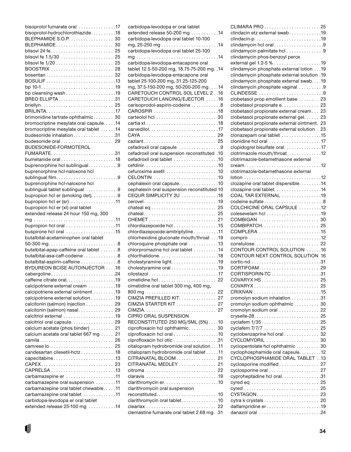| bisoprolol fumarate oral 17             |    |
|-----------------------------------------|----|
| bisoprolol-hydrochlorothiazide18        |    |
| BLEPHAMIDE S.O.P. 30                    |    |
| BLEPHAMIDE 30                           |    |
|                                         |    |
|                                         |    |
|                                         |    |
| BOOSTRIX  28                            |    |
|                                         |    |
|                                         |    |
|                                         |    |
|                                         |    |
| BREO ELLIPTA31                          |    |
|                                         |    |
|                                         |    |
| brimonidine tartrate ophthalmic 30      |    |
| bromocriptine mesylate oral capsule. 14 |    |
| bromocriptine mesylate oral tablet 14   |    |
| budesonide inhalation 31                |    |
|                                         |    |
| BUDESONIDE-FORMOTEROL                   |    |
| FUMARATE31                              |    |
| bumetanide oral18                       |    |
| buprenorphine hcl sublingual9           |    |
| buprenorphine hcl-naloxone hcl          |    |
|                                         |    |
| buprenorphine hcl-naloxone hcl          |    |
| sublingual tablet sublingual 9          |    |
| bupropion hcl er (smoking det). 9       |    |
|                                         |    |
| bupropion hcl er (xl) oral tablet       |    |
| extended release 24 hour 150 mg, 300    |    |
|                                         |    |
| bupropion hcl oral 11                   |    |
| buspirone hcl oral 15                   |    |
| butalbital-acetaminophen oral tablet    |    |
|                                         |    |
| butalbital-apap-caffeine oral tablet 8  |    |
| butalbital-asa-caff-codeine 8           |    |
| butalbital-aspirin-caffeine 8           |    |
| BYDUREON BCISE AUTOINJECTOR 16          |    |
| cabergoline24                           |    |
|                                         |    |
| calcipotriene external cream 19         |    |
| calcipotriene external ointment 19      |    |
| calcipotriene external solution 19      |    |
| calcitonin (salmon) injection 29        |    |
| calcitonin (salmon) nasal 29            |    |
| calcitriol oral capsule                 | 29 |
| calcium acetate (phos binder)           | 21 |
| calcium acetate oral tablet 667 mg      | 21 |
|                                         | 26 |
| camrese lo  25                          |    |
| candesartan cilexetil-hctz18            |    |
| capecitabine13                          |    |
| CAPEX 23                                |    |
|                                         |    |
| carbamazepine er 11                     |    |
| carbamazepine oral suspension 11        |    |
| carbamazepine oral tablet chewable11    |    |
| carbamazepine oral tablet 11            |    |
| carbidopa-levodopa er oral tablet       |    |
| extended release 25-100 mg 14           |    |
|                                         |    |

J

| carbidopa-levodopa er oral tablet                             |
|---------------------------------------------------------------|
| extended release 50-200 mg 14                                 |
| carbidopa-levodopa oral tablet 10-100                         |
|                                                               |
| carbidopa-levodopa oral tablet 25-100                         |
|                                                               |
| carbidopa-levodopa-entacapone oral                            |
| tablet 12.5-50-200 mg, 18.75-75-200 mg. . 14                  |
| carbidopa-levodopa-entacapone oral                            |
| tablet 25-100-200 mg, 31.25-125-200                           |
| mg, 37.5-150-200 mg, 50-200-200 mg. 14                        |
| CARETOUCH CONTROL SOL LEVEL 216                               |
|                                                               |
| CARETOUCH LANCING/EJECTOR 16                                  |
| carisoprodol-aspirin-codeine 8                                |
| CAROSPIR 18                                                   |
|                                                               |
|                                                               |
|                                                               |
|                                                               |
|                                                               |
| cefadroxil oral capsule 9                                     |
| cefadroxil oral suspension reconstituted .10                  |
| cefadroxil oral tablet 10                                     |
|                                                               |
| cefuroxime axetil $\ldots \ldots \ldots \ldots \ldots \ldots$ |
| CELONTIN 10                                                   |
| cephalexin oral capsule. 10                                   |
| cephalexin oral suspension reconstituted 10                   |
| CEQUR SIMPLICITY 2U 16                                        |
|                                                               |
|                                                               |
|                                                               |
| chateal 25                                                    |
| CHEMET 21                                                     |
| chlordiazepoxide hcl 15                                       |
| chlordiazepoxide-amitriptyline 11                             |
| chlorhexidine gluconate mouth/throat 19                       |
| chloroquine phosphate oral 13                                 |
| chlorpromazine hcl oral tablet 14                             |
| chlorthalidone18                                              |
|                                                               |
| cholestyramine oral 19                                        |
| cilostazol17                                                  |
|                                                               |
| cimetidine oral tablet 300 mg, 400 mg,                        |
| 800 mg<br>22                                                  |
| CIMZIA PREFILLED KIT.<br>27                                   |
| CIMZIA STARTER KIT  27                                        |
|                                                               |
| <b>CIPRO ORAL SUSPENSION</b>                                  |
| RECONSTITUTED 250 MG/5ML (5%) 10                              |
| ciprofloxacin hcl ophthalmic 30                               |
| ciprofloxacin hcl oral 10                                     |
| ciprofloxacin hcl otic 31                                     |
| citalopram hydrobromide oral solution 11                      |
| citalopram hydrobromide oral tablet 11                        |
| CITRANATAL BLOOM 21                                           |
| CITRANATAL MEDLEY  21                                         |
|                                                               |
| citroma  22                                                   |
| claravis 19                                                   |
|                                                               |
| clarithromycin oral suspension                                |
| reconstituted10                                               |
| clarithromycin oral tablet. 10                                |
| clearlax  22                                                  |
| clemastine fumarate oral tablet 2.68 mg. .31                  |

| clindacin etz external swab19                                             |    |
|---------------------------------------------------------------------------|----|
|                                                                           |    |
| clindamycin hcl oral9                                                     |    |
| clindamycin palmitate hcl 9                                               |    |
| clindamycin phos-benzoyl perox                                            |    |
| clindamycin phosphate external lotion 19                                  |    |
| clindamycin phosphate external solution .19                               |    |
| clindamycin phosphate external swab. 19                                   |    |
| clindamycin phosphate vaginal 9                                           |    |
| CLINDESSE 9                                                               |    |
| clobetasol prop emollient base  23                                        |    |
| clobetasol propionate e. 23                                               |    |
| clobetasol propionate external cream 23                                   |    |
| clobetasol propionate external gel. 23                                    |    |
| clobetasol propionate external ointment. 23                               |    |
| clobetasol propionate external solution . 23<br>clonazepam oral tablet 15 |    |
| clonidine hcl oral 17                                                     |    |
| clopidogrel bisulfate oral17                                              |    |
| clotrimazole mouth/throat12                                               |    |
| clotrimazole-betamethasone external                                       |    |
|                                                                           |    |
| clotrimazole-betamethasone external                                       |    |
|                                                                           |    |
| clozapine oral tablet dispersible14                                       |    |
| clozapine oral tablet. 14                                                 |    |
| COAL TAR EXTERNAL 19                                                      |    |
| COLCHICINE ORAL CAPSULE 12                                                |    |
|                                                                           |    |
| COMBIGAN  30                                                              |    |
| $COMBIPATCH. \ldots \ldots \ldots \ldots \ldots \ldots$                   | 25 |
|                                                                           |    |
|                                                                           |    |
|                                                                           |    |
| CONTOUR CONTROL SOLUTION 16                                               |    |
| CONTOUR NEXT CONTROL SOLUTION 16                                          |    |
|                                                                           |    |
| CORTIFOAM 29                                                              |    |
|                                                                           |    |
| $COVARYX$                                                                 | 25 |
|                                                                           |    |
| cromolyn sodium inhalation 31                                             |    |
| cromolyn sodium ophthalmic 30                                             |    |
| cromolyn sodium oral                                                      | 22 |
|                                                                           | 25 |
| cyclafem 1/35                                                             | 25 |
| cyclafem 7/7/7  25                                                        |    |
| cyclobenzaprine hcl oral                                                  | 32 |
| CYCLOMYDRIL                                                               | 30 |
| cyclopentolate hcl ophthalmic  30                                         |    |
| cyclophosphamide oral capsule12                                           |    |
| CYCLOPHOSPHAMIDE ORAL TABLET 13                                           | 27 |
| cyclosporine modified<br>cyclosporine oral                                | 27 |
| cyproheptadine hcl oral. 31                                               |    |
|                                                                           |    |
|                                                                           |    |
| CYSTAGON 23                                                               |    |
|                                                                           |    |
| dalfampridine er19                                                        |    |
|                                                                           |    |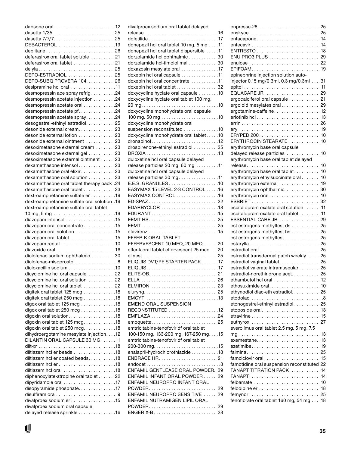| DEBACTEROL 19                                                 |
|---------------------------------------------------------------|
|                                                               |
| deferasirox oral tablet soluble  21                           |
| deferasirox oral tablet  21                                   |
|                                                               |
|                                                               |
| DEPO-ESTRADIOL  25                                            |
| DEPO-SUBQ PROVERA 104. 26                                     |
| desipramine hcl oral 11                                       |
| desmopressin ace spray refrig24                               |
| desmopressin acetate injection 24                             |
| desmopressin acetate oral 24                                  |
| desmopressin acetate pf. 24                                   |
| desmopressin acetate spray24                                  |
| desogestrel-ethinyl estradiol 25                              |
| desonide external cream. 23                                   |
| desonide external lotion  23                                  |
|                                                               |
| desonide external ointment  23                                |
| desoximetasone external cream  23                             |
| desoximetasone external gel  23                               |
| desoximetasone external ointment  23                          |
| dexamethasone intensol 23                                     |
| dexamethasone oral elixir 23                                  |
| dexamethasone oral solution 23                                |
| dexamethasone oral tablet therapy pack .24                    |
| dexamethasone oral tablet  23                                 |
| dextroamphetamine sulfate er 19                               |
| dextroamphetamine sulfate oral solution .19                   |
|                                                               |
| dextroamphetamine sulfate oral tablet                         |
|                                                               |
| diazepam intensol 15                                          |
| diazepam oral concentrate 15                                  |
| diazepam oral solution 15                                     |
| diazepam oral tablet 15                                       |
|                                                               |
|                                                               |
| diclofenac sodium ophthalmic 30                               |
| diclofenac-misoprostol 8                                      |
| dicloxacillin sodium 10                                       |
| dicyclomine hcl oral capsule 22                               |
|                                                               |
|                                                               |
| dicyclomine hcl oral solution  22                             |
| dicyclomine hcl oral tablet  22                               |
| digitek oral tablet 125 mcg 18                                |
| digitek oral tablet 250 mcg 18                                |
| digox oral tablet 125 mcg 18                                  |
| digox oral tablet 250 mcg 18                                  |
|                                                               |
|                                                               |
| digoxin oral tablet 125 mcg. 18                               |
| digoxin oral tablet 250 mcg. 18                               |
| dihydroergotamine mesylate injection. 12                      |
| DILANTIN ORAL CAPSULE 30 MG11                                 |
|                                                               |
| diltiazem hcl er beads 18                                     |
| diltiazem hcl er coated beads18                               |
|                                                               |
| diltiazem hcl oral 18                                         |
| diphenoxylate-atropine oral tablet 22                         |
|                                                               |
| disopyramide phosphate17                                      |
| disulfiram oral9                                              |
|                                                               |
| divalproex sodium er 15                                       |
| divalproex sodium oral capsule<br>delayed release sprinkle 16 |

| divalproex sodium oral tablet delayed                 |    |
|-------------------------------------------------------|----|
|                                                       |    |
|                                                       |    |
| donepezil hcl oral tablet 10 mg, 5 mg 11              |    |
|                                                       |    |
| donepezil hcl oral tablet dispersible 11              |    |
| dorzolamide hcl ophthalmic 30                         |    |
| dorzolamide hcl-timolol mal 30                        |    |
| doxazosin mesylate oral 17                            |    |
|                                                       |    |
| doxepin hcl oral capsule 11                           |    |
| doxepin hcl oral concentrate 11                       |    |
| doxepin hcl oral tablet 32                            |    |
| doxycycline hyclate oral capsule 10                   |    |
| doxycycline hyclate oral tablet 100 mg,               |    |
|                                                       |    |
|                                                       |    |
| doxycycline monohydrate oral capsule                  |    |
|                                                       |    |
| doxycycline monohydrate oral                          |    |
| suspension reconstituted 10                           |    |
|                                                       |    |
| doxycycline monohydrate oral tablet10                 |    |
|                                                       |    |
| drospirenone-ethinyl estradiol  25                    |    |
| DROXIA13                                              |    |
| duloxetine hcl oral capsule delayed                   |    |
| release particles 20 mg, 60 mg $\dots \dots \dots 11$ |    |
|                                                       |    |
| duloxetine hcl oral capsule delayed                   |    |
| release particles 30 mg11                             |    |
|                                                       |    |
| EASYMAX 15 LEVEL 2-3 CONTROL 16                       |    |
| EASYMAX CONTROL 16                                    |    |
| ED-SPAZ 22                                            |    |
|                                                       |    |
| EDARBYCLOR 18                                         |    |
|                                                       |    |
|                                                       |    |
|                                                       |    |
|                                                       |    |
| EFFER-K ORAL TABLET                                   |    |
|                                                       |    |
| EFFERVESCENT 10 MEQ, 20 MEQ  20                       |    |
| effer-k oral tablet effervescent 25 meg 20            |    |
|                                                       |    |
| ELIQUIS DVT/PE STARTER PACK17                         |    |
|                                                       |    |
|                                                       |    |
|                                                       | 21 |
|                                                       |    |
| ELMIRON  23                                           |    |
|                                                       |    |
|                                                       |    |
| <b>EMEND ORAL SUSPENSION</b>                          |    |
|                                                       |    |
| RECONSTITUTED 12                                      |    |
|                                                       |    |
|                                                       |    |
| emtricitabine-tenofovir df oral tablet                |    |
| 100-150 mg, 133-200 mg, 167-250 mg. 15                |    |
| emtricitabine-tenofovir df oral tablet                |    |
|                                                       |    |
|                                                       |    |
| enalapril-hydrochlorothiazide18                       |    |
|                                                       |    |
| endocet8                                              |    |
|                                                       |    |
|                                                       |    |
| ENFAMIL GENTLEASE ORAL POWDER. 29                     |    |
| ENFAMIL INFANT ORAL POWDER 29                         |    |
| ENFAMIL NEUROPRO INFANT ORAL                          |    |
| POWDER 29                                             |    |
| ENFAMIL NEUROPRO SENSITIVE  29                        |    |
| ENFAMIL NUTRAMIGEN LIPIL ORAL                         |    |
|                                                       | 29 |
| POWDER<br>ENGERIX-B 28                                |    |

| enskyce 25                                  |    |
|---------------------------------------------|----|
| entacapone14                                |    |
|                                             |    |
|                                             |    |
| ENU PRO3 PLUS  29                           |    |
| EPIFOAM19                                   |    |
| epinephrine injection solution auto-        |    |
| injector 0.15 mg/0.3ml, 0.3 mg/0.3ml31      |    |
|                                             |    |
|                                             |    |
| ergocalciferol oral capsule 21              |    |
| ergoloid mesylates oral 29                  |    |
| ergotamine-caffeine12                       |    |
|                                             |    |
|                                             |    |
|                                             |    |
| ERYPED 20010                                |    |
| ERYTHROCIN STEARATE 10                      |    |
| erythromycin base oral capsule              |    |
| delayed release particles 10                |    |
| erythromycin base oral tablet delayed       |    |
|                                             |    |
| erythromycin base oral tablet10             |    |
| erythromycin ethylsuccinate oral10          |    |
| erythromycin external 19                    |    |
| erythromycin ophthalmic 30                  |    |
| erythromycin oral10                         |    |
|                                             |    |
| escitalopram oxalate oral solution 11       |    |
| escitalopram oxalate oral tablet 11         |    |
| ESSENTIAL CARE JR  29                       |    |
| est estrogens-methyltest ds 25              |    |
| est estrogens-methyltest hs 25              |    |
| est estrogens-methyltest 25<br>estarylla 25 |    |
| estradiol oral 25                           |    |
| estradiol transdermal patch weekly          | 25 |
| estradiol vaginal tablet.                   | 25 |
| estradiol valerate intramuscular            | 25 |
| estradiol-norethindrone acet                | 25 |
| ethambutol hcl oral 12                      |    |
| ethosuximide oral10                         |    |
| ethynodiol diac-eth estradiol. 25           |    |
| etodolac8                                   |    |
| etonogestrel-ethinyl estradiol 25           |    |
| etoposide oral13                            |    |
|                                             |    |
|                                             |    |
| everolimus oral tablet 2.5 mg, 5 mg, 7.5    |    |
|                                             |    |
| exemestane13                                |    |
| ezetimibe19                                 |    |
|                                             |    |
| famciclovir oral15                          |    |
| famotidine oral suspension reconstituted 22 |    |
| FANAPT TITRATION PACK14                     |    |
| FANAPT14                                    |    |
| felbamate 10                                |    |
|                                             |    |
| femynor 25                                  |    |
| fenofibrate oral tablet 160 mg, 54 mg 18    |    |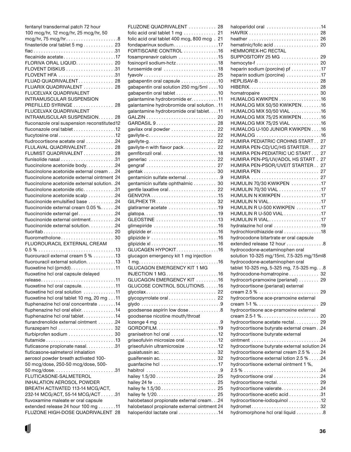| fentanyl transdermal patch 72 hour                                      |  |
|-------------------------------------------------------------------------|--|
| 100 mcg/hr, 12 mcg/hr, 25 mcg/hr, 50                                    |  |
|                                                                         |  |
| finasteride oral tablet 5 mg 23                                         |  |
|                                                                         |  |
| flecainide acetate17                                                    |  |
| FLORIVA ORAL LIQUID. 20                                                 |  |
| FLOVENT DISKUS 31                                                       |  |
| FLOVENT HFA 31                                                          |  |
| FLUAD QUADRIVALENT 28                                                   |  |
| FLUARIX QUADRIVALENT  28                                                |  |
| FLUCELVAX QUADRIVALENT                                                  |  |
| INTRAMUSCULAR SUSPENSION<br>PREFILLED SYRINGE  28                       |  |
| FLUCELVAX QUADRIVALENT                                                  |  |
| INTRAMUSCULAR SUSPENSION 28                                             |  |
| fluconazole oral suspension reconstituted12                             |  |
| fluconazole oral tablet 12                                              |  |
| flucytosine oral12                                                      |  |
| fludrocortisone acetate oral 24                                         |  |
| FLULAVAL QUADRIVALENT 28                                                |  |
| FLUMIST QUADRIVALENT 28                                                 |  |
|                                                                         |  |
| fluocinolone acetonide body. 24                                         |  |
| fluocinolone acetonide external cream 24                                |  |
| fluocinolone acetonide external ointment 24                             |  |
| fluocinolone acetonide external solution. .24                           |  |
| fluocinolone acetonide otic31                                           |  |
| fluocinolone acetonide scalp 24                                         |  |
| fluocinonide emulsified base 24                                         |  |
| fluocinonide external cream 0.05 %. 24                                  |  |
| fluocinonide external gel24                                             |  |
| fluocinonide external ointment 24                                       |  |
| fluocinonide external solution. 24                                      |  |
| fluoritab 20                                                            |  |
|                                                                         |  |
| FLUOROURACIL EXTERNAL CREAM                                             |  |
| fluorouracil external cream 5 % 13                                      |  |
| fluorouracil external solution. 13                                      |  |
| fluoxetine hcl (pmdd)11                                                 |  |
| fluoxetine hcl oral capsule delayed                                     |  |
| release11                                                               |  |
| fluoxetine hcl oral capsule. 11                                         |  |
| fluoxetine hcl oral solution 11                                         |  |
| fluoxetine hcl oral tablet 10 mg, 20 mg 11                              |  |
| fluphenazine hcl oral concentrate 14                                    |  |
| fluphenazine hcl oral elixir. 14                                        |  |
| fluphenazine hcl oral tablet14                                          |  |
| flurandrenolide external ointment 24                                    |  |
|                                                                         |  |
| flurbiprofen sodium 30                                                  |  |
| flutamide13                                                             |  |
| fluticasone propionate nasal31                                          |  |
| fluticasone-salmeterol inhalation                                       |  |
| aerosol powder breath activated 100-                                    |  |
| 50 mcg/dose, 250-50 mcg/dose, 500-                                      |  |
|                                                                         |  |
| FLUTICASONE-SALMETEROL                                                  |  |
| INHALATION AEROSOL POWDER                                               |  |
| BREATH ACTIVATED 113-14 MCG/ACT,                                        |  |
| 232-14 MCG/ACT, 55-14 MCG/ACT31                                         |  |
| fluvoxamine maleate er oral capsule                                     |  |
| extended release 24 hour 100 mg 11<br>FLUZONE HIGH-DOSE QUADRIVALENT 28 |  |
|                                                                         |  |

J

| FLUZONE QUADRIVALENT  28                                                                |    |
|-----------------------------------------------------------------------------------------|----|
| folic acid oral tablet $1$ mg $\ldots \ldots \ldots \ldots$ 21                          |    |
| folic acid oral tablet 400 mcg, 800 mcg. 21                                             |    |
| fondaparinux sodium. 17                                                                 |    |
| FORTISCARE CONTROL 16                                                                   |    |
| fosamprenavir calcium 15                                                                |    |
| fosinopril sodium-hctz18                                                                |    |
| furosemide oral 18                                                                      |    |
|                                                                                         |    |
| gabapentin oral capsule 10                                                              |    |
| gabapentin oral solution 250 mg/5ml 10                                                  |    |
| gabapentin oral tablet 10                                                               |    |
| galantamine hydrobromide er. 11                                                         |    |
| galantamine hydrobromide oral solution. .11<br>galantamine hydrobromide oral tablet11   |    |
|                                                                                         |    |
| GARDASIL 9 28                                                                           |    |
| gavilax oral powder  22                                                                 |    |
|                                                                                         |    |
|                                                                                         |    |
| gavilyte-n with flavor pack 22                                                          |    |
| gemfibrozil oral18                                                                      |    |
| generlac  22                                                                            |    |
|                                                                                         |    |
|                                                                                         |    |
| gentamicin sulfate external9                                                            |    |
| gentamicin sulfate ophthalmic 30                                                        |    |
| gentle laxative oral 22                                                                 |    |
|                                                                                         |    |
|                                                                                         |    |
| glatiramer acetate 19                                                                   |    |
|                                                                                         |    |
| GLEOSTINE 13                                                                            |    |
| glimepiride 16                                                                          |    |
|                                                                                         |    |
|                                                                                         |    |
|                                                                                         |    |
| GLUCAGEN HYPOKIT16                                                                      |    |
| glucagon emergency kit 1 mg injection                                                   |    |
| $1 mg. \ldots \ldots \ldots \ldots \ldots \ldots \ldots \ldots \ldots \ldots \ldots 16$ |    |
| <b>GLUCAGON EMERGENCY KIT 1 MG</b>                                                      |    |
| INJECTION 1 MG                                                                          | 16 |
| GLUCAGON EMERGENCY KIT 16                                                               |    |
| GLUCOSE CONTROL SOLUTIONS. 16                                                           |    |
| glycolax 22                                                                             |    |
| glycopyrrolate oral 22                                                                  |    |
|                                                                                         |    |
| goodsense aspirin low dose 8                                                            |    |
| goodsense nicotine mouth/throat                                                         |    |
|                                                                                         |    |
| granisetron hcl oral 12                                                                 |    |
| griseofulvin microsize oral. 12                                                         |    |
| griseofulvin ultramicrosize 12                                                          |    |
|                                                                                         |    |
|                                                                                         |    |
|                                                                                         |    |
|                                                                                         |    |
|                                                                                         |    |
|                                                                                         |    |
|                                                                                         | 25 |
|                                                                                         | 25 |
| halobetasol propionate external cream. 24                                               |    |
| halobetasol propionate external ointment 24                                             |    |
| haloperidol lactate oral 14                                                             |    |
|                                                                                         |    |

| haloperidol oral 14                                |    |
|----------------------------------------------------|----|
|                                                    |    |
| heather  26                                        |    |
| hematinic/folic acid  20                           |    |
| HEMMOREX-HC RECTAL                                 |    |
| SUPPOSITORY 25 MG  29                              |    |
| heparin sodium (porcine) pf 17                     |    |
| heparin sodium (porcine) 17                        |    |
|                                                    |    |
|                                                    |    |
| homatropaire  30                                   |    |
| HUMALOG KWIKPEN 16                                 |    |
| HUMALOG MIX 50/50 KWIKPEN16                        |    |
| HUMALOG MIX 50/50 VIAL 16                          |    |
| HUMALOG MIX 75/25 KWIKPEN16                        |    |
| HUMALOG MIX 75/25 VIAL 16                          |    |
| HUMALOG U-100 JUNIOR KWIKPEN 16                    |    |
| HUMALOG 16                                         |    |
| HUMIRA PEDIATRIC CROHNS START 27                   |    |
| HUMIRA PEN-CD/UC/HS STARTER 27                     |    |
| HUMIRA PEN-PEDIATRIC UC START 27                   |    |
| HUMIRA PEN-PS/UV/ADOL HS START . 27                |    |
| HUMIRA PEN-PSOR/UVEIT STARTER 27                   |    |
|                                                    |    |
| HUMIRA  27                                         |    |
| HUMULIN 70/30 KWIKPEN 17                           |    |
| HUMULIN 70/30 VIAL 17                              |    |
| HUMULIN N KWIKPEN 17                               |    |
| HUMULIN N VIAL17                                   |    |
| HUMULIN R U-500 KWIKPEN 17                         |    |
| HUMULIN R U-500 VIAL 17                            |    |
| <b>HUMULIN R VIAL17</b><br>hydralazine hcl oral 19 |    |
| hydrochlorothiazide oral 18                        |    |
| hydrocodone bitartrate er oral capsule             |    |
| extended release 12 hour 8                         |    |
| hydrocodone-acetaminophen oral                     |    |
| solution 10-325 mg/15ml, 7.5-325 mg/15ml8          |    |
| hydrocodone-acetaminophen oral                     |    |
| tablet 10-325 mg, 5-325 mg, 7.5-325 mg. 8          |    |
| hydrocodone-homatropine                            | 32 |
| hydrocort-pramoxine (perianal)                     | 29 |
| hydrocortisone (perianal) external                 |    |
|                                                    | 29 |
| hydrocortisone ace-pramoxine external              |    |
|                                                    | 29 |
| hydrocortisone ace-pramoxine external              |    |
| cream $2.5-1\%$                                    | 20 |
| hydrocortisone acetate rectal                      | 29 |
| hydrocortisone butyrate external cream. .24        |    |
| hydrocortisone butyrate external                   |    |
|                                                    |    |
| hydrocortisone butyrate external solution 24       |    |
| hydrocortisone external cream 2.5 % 24             |    |
| hydrocortisone external lotion 2.5 % 24            |    |
| hydrocortisone external ointment 1 %,              |    |
|                                                    |    |
| hydrocortisone rectal 29                           |    |
| hydrocortisone valerate24                          |    |
| hydrocortisone-acetic acid 31                      |    |
| hydrocortisone-iodoquinol 12                       |    |
|                                                    |    |
| hydromorphone hcl oral liquid 8                    |    |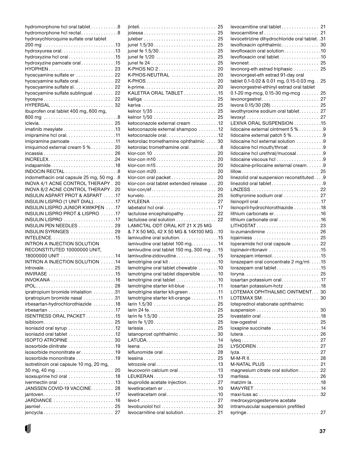|                                            | hydromorphone hcl oral tablet 8 |
|--------------------------------------------|---------------------------------|
| hydromorphone hcl rectal8                  |                                 |
| hydroxychloroquine sulfate oral tablet     |                                 |
|                                            |                                 |
|                                            |                                 |
| hydroxyzine hcl oral15                     |                                 |
| hydroxyzine pamoate oral15                 |                                 |
| HYOPHEN 23                                 |                                 |
| hyoscyamine sulfate er  22                 |                                 |
| hyoscyamine sulfate oral 22                |                                 |
| hyoscyamine sulfate sl. 22                 |                                 |
| hyoscyamine sulfate sublingual 22          |                                 |
| hyosyne 22                                 |                                 |
|                                            |                                 |
| ibuprofen oral tablet 400 mg, 600 mg,      |                                 |
|                                            |                                 |
|                                            |                                 |
|                                            |                                 |
| imipramine pamoate 11                      |                                 |
| imiquimod external cream 5 % 20            |                                 |
| incassia 26                                |                                 |
|                                            |                                 |
| indapamide18                               |                                 |
| INDOCIN RECTAL 8                           |                                 |
| indomethacin oral capsule 25 mg, 50 mg. .8 |                                 |
| INOVA 4/1 ACNE CONTROL THERAPY. 20         |                                 |
| INOVA 8/2 ACNE CONTROL THERAPY. 20         |                                 |
| INSULIN ASPART PROT & ASPART 17            |                                 |
| INSULIN LISPRO (1 UNIT DIAL)17             |                                 |
| INSULIN LISPRO JUNIOR KWIKPEN 17           |                                 |
| INSULIN LISPRO PROT & LISPRO 17            |                                 |
| INSULIN LISPRO 17                          |                                 |
| INSULIN PEN NEEDLES  29                    |                                 |
| INSULIN SYRINGES  29                       |                                 |
|                                            |                                 |
| <b>INTRON A INJECTION SOLUTION</b>         |                                 |
| RECONSTITUTED 10000000 UNIT,               |                                 |
|                                            |                                 |
|                                            |                                 |
| INTRON A INJECTION SOLUTION 14             |                                 |
| introvale 25                               |                                 |
|                                            |                                 |
|                                            |                                 |
|                                            |                                 |
| ipratropium bromide inhalation 31          |                                 |
| ipratropium bromide nasal 31               |                                 |
| irbesartan-hydrochlorothiazide 18          |                                 |
|                                            |                                 |
| ISENTRESS ORAL PACKET15                    |                                 |
|                                            |                                 |
| isoniazid oral syrup 12                    |                                 |
| isoniazid oral tablet 12                   |                                 |
| ISOPTO ATROPINE  30                        |                                 |
| isosorbide dinitrate 19                    |                                 |
| isosorbide mononitrate er19                |                                 |
| isosorbide mononitrate 19                  |                                 |
| isotretinoin oral capsule 10 mg, 20 mg,    |                                 |
|                                            |                                 |
| isoxsuprine hcl oral 18                    |                                 |
| ivermectin oral 13                         |                                 |
| JANSSEN COVID-19 VACCINE 28                |                                 |
| jantoven17                                 |                                 |
|                                            |                                 |
| jasmiel 25                                 |                                 |

| jolessa 25                               |    |
|------------------------------------------|----|
|                                          |    |
| junel 1.5/30                             | 25 |
| junel fe 1.5/30                          | 25 |
|                                          |    |
|                                          |    |
|                                          |    |
| K-PHOS NO 2                              | 20 |
| K-PHOS-NEUTRAL  20                       |    |
|                                          |    |
|                                          |    |
| KALETRA ORAL TABLET15                    |    |
| kalliga  25                              |    |
|                                          |    |
|                                          |    |
|                                          |    |
| ketoconazole external cream 12           |    |
| ketoconazole external shampoo 12         |    |
| ketoconazole oral12                      |    |
|                                          |    |
| ketorolac tromethamine ophthalmic  30    |    |
| ketorolac tromethamine oral8             |    |
|                                          |    |
|                                          |    |
| klor-con m15 20                          |    |
|                                          |    |
| klor-con oral packet 20                  |    |
| klor-con oral tablet extended release 20 |    |
|                                          |    |
| kurvelo 25                               |    |
|                                          |    |
| labetalol hcl oral17                     |    |
|                                          |    |
|                                          |    |
| lactulose encephalopathy 22              |    |
| lactulose oral solution  22              |    |
| LAMICTAL ODT ORAL KIT 21 X 25 MG         |    |
| & 7 X 50 MG, 42 X 50 MG & 14X100 MG10    |    |
| lamivudine oral solution. 15             |    |
| lamivudine oral tablet 100 mg. 14        |    |
| lamivudine oral tablet 150 mg, 300 mg15  |    |
| lamivudine-zidovudine15                  |    |
|                                          |    |
|                                          |    |
| lamotrigine oral tablet chewable 10      |    |
| lamotrigine oral tablet dispersible 10   |    |
| lamotrigine oral tablet 10               |    |
| lamotrigine starter kit-blue 11          |    |
| lamotrigine starter kit-green 11         |    |
| lamotrigine starter kit-orange 11        |    |
| larin 1.5/30                             | 25 |
|                                          | 25 |
|                                          | 25 |
|                                          | 25 |
|                                          | 25 |
|                                          | 30 |
| latanoprost ophthalmic                   |    |
|                                          | 25 |
|                                          |    |
| leflunomide oral                         | 28 |
|                                          |    |
| letrozole oral13                         |    |
| leucovorin calcium oral 13               |    |
| LEUKERAN13                               |    |
| leuprolide acetate injection 27          |    |
|                                          |    |
| levetiracetam oral10                     |    |
|                                          | 27 |
| levocarnitine oral solution 21           | 30 |

| levocarnitine oral tablet 21                                |    |
|-------------------------------------------------------------|----|
|                                                             |    |
| levocetirizine dihydrochloride oral tablet. .31             |    |
|                                                             |    |
| levofloxacin ophthalmic 30                                  |    |
| levofloxacin oral solution10                                |    |
| levofloxacin oral tablet. 10                                |    |
| levonest 25                                                 |    |
| levonorg-eth estrad triphasic  25                           |    |
| levonorgest-eth estrad 91-day oral                          |    |
| tablet 0.1-0.02 & 0.01 mg, 0.15-0.03 mg                     | 25 |
| levonorgestrel-ethinyl estrad oral tablet                   |    |
| 0.1-20 mg-mcg, 0.15-30 mg-mcg $\ldots \ldots$               | 25 |
| levonorgestrel 27                                           |    |
| levora 0.15/30 (28) 25                                      |    |
|                                                             |    |
| levothyroxine sodium oral tablet 27                         |    |
|                                                             |    |
| LEXIVA ORAL SUSPENSION 15                                   |    |
| lidocaine external ointment 5 % 9                           |    |
| lidocaine external patch 5 %9                               |    |
| lidocaine hcl external solution 9                           |    |
| lidocaine hcl mouth/throat 9                                |    |
| lidocaine hcl urethral/mucosal9                             |    |
| lidocaine viscous hcl 9                                     |    |
| lidocaine-prilocaine external cream. 9                      |    |
|                                                             |    |
|                                                             |    |
| linezolid oral suspension reconstituted9                    |    |
| linezolid oral tablet9                                      |    |
|                                                             |    |
| liothyronine sodium oral  27                                |    |
|                                                             |    |
| lisinopril-hydrochlorothiazide 18                           |    |
| lithium carbonate er16                                      |    |
| lithium carbonate oral 16                                   |    |
| LITHOSTAT 23                                                |    |
| lo-zumandimine  26                                          |    |
| lojaimiess  25                                              |    |
| loperamide hcl oral capsule 22                              |    |
|                                                             |    |
|                                                             |    |
|                                                             |    |
| lorazepam oral concentrate 2 mg/ml. 15                      |    |
| lorazepam oral tablet15                                     |    |
| loryna 25                                                   |    |
| losartan potassium oral17                                   |    |
| losartan potassium-hctz 18                                  |    |
| LOTEMAX OPHTHALMIC OINTMENT 30                              |    |
|                                                             |    |
| loteprednol etabonate ophthalmic                            |    |
|                                                             |    |
|                                                             |    |
|                                                             |    |
|                                                             |    |
| low-ogestrel  25                                            |    |
|                                                             |    |
|                                                             |    |
|                                                             | 27 |
| LYSODREN                                                    | 27 |
|                                                             | 27 |
|                                                             |    |
|                                                             |    |
| M-NATAL PLUS  21                                            | 22 |
| magnesium citrate oral solution                             |    |
| marlissa 26                                                 |    |
|                                                             |    |
| MAVYRET14                                                   |    |
| $maxi-tuss ac \ldots \ldots \ldots \ldots \ldots \ldots 32$ |    |
| medroxyprogesterone acetate                                 |    |
| intramuscular suspension prefilled<br>syringe 27            |    |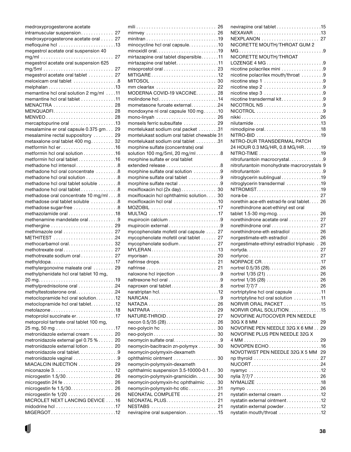| medroxyprogesterone acetate                                         |    |
|---------------------------------------------------------------------|----|
| intramuscular suspension 27                                         |    |
| medroxyprogesterone acetate oral 27                                 |    |
|                                                                     |    |
| megestrol acetate oral suspension 40                                |    |
| $mg/ml \dots \dots \dots \dots \dots \dots \dots \dots \dots \dots$ | 27 |
| megestrol acetate oral suspension 625                               |    |
|                                                                     |    |
| megestrol acetate oral tablet  27                                   |    |
| meloxicam oral tablet 8                                             |    |
|                                                                     |    |
| memantine hcl oral solution 2 mg/ml 11                              |    |
| memantine hcl oral tablet 11                                        |    |
| MENACTRA  28                                                        |    |
| MENQUADFI 28                                                        |    |
|                                                                     |    |
| mercaptopurine oral 13                                              |    |
| mesalamine er oral capsule 0.375 gm 29                              |    |
| mesalamine rectal suppository  29                                   |    |
| metaxalone oral tablet 400 mg. 32                                   |    |
| metformin hcl er16                                                  |    |
| metformin hcl oral solution 16                                      |    |
| metformin hcl oral tablet 16                                        |    |
| methadone hcl intensol8                                             |    |
| methadone hcl oral concentrate 8                                    |    |
| methadone hcl oral solution 8                                       |    |
|                                                                     |    |
| methadone hcl oral tablet soluble 8                                 |    |
| methadone hcl oral tablet 8                                         |    |
| methadose oral concentrate 10 mg/ml 8                               |    |
| methadose oral tablet soluble 8                                     |    |
| methadose sugar-free 8                                              |    |
| methazolamide oral 18                                               |    |
| methenamine mandelate oral9                                         |    |
| methergine  29                                                      |    |
| methimazole oral  27                                                |    |
|                                                                     |    |
| methocarbamol oral 32                                               |    |
| methotrexate oral 27                                                |    |
| methotrexate sodium oral  27                                        |    |
| methyldopa17                                                        |    |
| methylergonovine maleate oral  29                                   |    |
| methylphenidate hcl oral tablet 10 mg,                              |    |
|                                                                     |    |
| methylprednisolone oral 24                                          |    |
| methyltestosterone oral. 24                                         |    |
| metoclopramide hcl oral solution12                                  |    |
| metoclopramide hcl oral tablet. 12                                  |    |
| metolazone18                                                        |    |
| metoprolol succinate er. 17                                         |    |
| metoprolol tartrate oral tablet 100 mg,                             |    |
|                                                                     |    |
| metronidazole external cream  20                                    |    |
| metronidazole external gel 0.75 % 20                                |    |
| metronidazole external lotion 20                                    |    |
| metronidazole oral tablet. 9                                        |    |
| metronidazole vaginal 9                                             |    |
| MIACALCIN INJECTION  29                                             |    |
|                                                                     |    |
| microgestin 1.5/30 26                                               |    |
| microgestin 24 fe                                                   | 26 |
|                                                                     |    |
| microgestin fe 1/20  26                                             |    |
| MICROLET NEXT LANCING DEVICE 16                                     |    |
|                                                                     |    |
| MIGERGOT12                                                          |    |
|                                                                     |    |

| mimvey  26                                                               |    |
|--------------------------------------------------------------------------|----|
|                                                                          |    |
| minocycline hcl oral capsule10                                           |    |
|                                                                          |    |
| mirtazapine oral tablet dispersible11                                    |    |
| mirtazapine oral tablet11                                                |    |
|                                                                          |    |
| MITIGARE12                                                               |    |
| MITOSOL  30                                                              |    |
| mm clearlax  22                                                          |    |
| MODERNA COVID-19 VACCINE 28                                              |    |
| molindone hcl14                                                          |    |
| mometasone furoate external24                                            |    |
| mondoxyne nl oral capsule 100 mg10                                       |    |
| mono-linyah $\ldots \ldots \ldots \ldots \ldots \ldots \ldots$ 26        |    |
| monsels ferric subsulfate  29                                            |    |
| montelukast sodium oral packet 31                                        |    |
| montelukast sodium oral tablet chewable 31                               |    |
| montelukast sodium oral tablet 31                                        |    |
| morphine sulfate (concentrate) oral                                      |    |
| solution 100 mg/5ml, 20 mg/ml $\ldots \ldots \ldots 8$                   |    |
| morphine sulfate er oral tablet                                          |    |
|                                                                          |    |
| morphine sulfate oral solution 9                                         |    |
| morphine sulfate oral tablet 9                                           |    |
| morphine sulfate rectal 9                                                |    |
| $\text{maxifloxacin}$ hcl $(2x \text{ day}) \dots \dots \dots \dots$     | 30 |
| moxifloxacin hcl ophthalmic solution 30                                  |    |
| moxifloxacin hcl oral 10                                                 |    |
|                                                                          |    |
|                                                                          |    |
|                                                                          |    |
|                                                                          |    |
| mupirocin external9                                                      |    |
| mycophenolate mofetil oral capsule  27                                   |    |
| mycophenolate mofetil oral tablet  27                                    |    |
| mycophenolate sodium 27                                                  |    |
| $MYLERAN$ 13                                                             |    |
|                                                                          |    |
| nafrinse drops 21                                                        |    |
|                                                                          |    |
| naloxone hcl injection 9                                                 |    |
| naltrexone hcl oral $\ldots \ldots \ldots \ldots \ldots \ldots \ldots 9$ |    |
| naproxen oral tablet8                                                    |    |
|                                                                          |    |
|                                                                          |    |
|                                                                          | 26 |
| NATPARA                                                                  | 29 |
| $NATURE-THROID \ldots \ldots \ldots \ldots \ldots$                       | 27 |
| necon $0.5/35(28)$                                                       | 26 |
|                                                                          | 30 |
|                                                                          | 30 |
| neomycin sulfate oral9                                                   |    |
| neomycin-bacitracin zn-polymyx                                           | 30 |
| neomycin-polymyxin-dexameth                                              |    |
| ophthalmic ointment 30                                                   |    |
| neomycin-polymyxin-dexameth                                              |    |
| ophthalmic suspension 3.5-10000-0.1                                      | 30 |
| neomycin-polymyxin-gramicidin                                            | 30 |
| neomycin-polymyxin-hc ophthalmic                                         | 30 |
| neomycin-polymyxin-hc otic 31                                            |    |
| NEONATAL COMPLETE                                                        | 21 |
|                                                                          | 21 |
| NESTABS                                                                  | 21 |
| nevirapine oral suspension 15                                            |    |
|                                                                          |    |

| nevirapine oral tablet 15                                  |    |
|------------------------------------------------------------|----|
| NEXAVAR 13                                                 |    |
| NEXPLANON  27                                              |    |
| NICORETTE MOUTH/THROAT GUM 2                               |    |
|                                                            |    |
| NICORETTE MOUTH/THROAT                                     |    |
|                                                            |    |
| nicotine polacrilex mini 9                                 |    |
| nicotine polacrilex mouth/throat 9                         |    |
| nicotine step 1 9                                          |    |
| nicotine step 2 9                                          |    |
| nicotine step 3 9<br>nicotine transdermal kit9             |    |
| NICOTROL NS 9                                              |    |
| NICOTROL 9                                                 |    |
|                                                            |    |
| nilutamide13                                               |    |
| nimodipine oral18                                          |    |
| NITRO-BID 19                                               |    |
| NITRO-DUR TRANSDERMAL PATCH                                |    |
| 24 HOUR 0.3 MG/HR, 0.8 MG/HR. 19                           |    |
|                                                            |    |
| nitrofurantoin macrocrystal9                               |    |
| nitrofurantoin monohydrate macrocrystals 9                 |    |
| nitrofurantoin 9                                           |    |
| nitroglycerin sublingual 19                                |    |
| nitroglycerin transdermal 19                               |    |
| NITROMIST19                                                |    |
| nora-be  27                                                |    |
| norethin ace-eth estrad-fe oral tablet. 26                 |    |
| norethindrone acet-ethinyl est oral                        |    |
| tablet 1.5-30 mg-mcg. 26                                   |    |
| norethindrone acetate oral  27                             |    |
| norethindrone oral  27                                     |    |
| norethindrone-eth estradiol  26                            |    |
| norgestimate-eth estradiol  26                             |    |
| norgestimate-ethinyl estradiol triphasic . 26              |    |
|                                                            |    |
|                                                            |    |
|                                                            |    |
|                                                            |    |
|                                                            |    |
|                                                            |    |
|                                                            |    |
| nortriptyline hcl oral capsule 11                          |    |
| nortriptyline hcl oral solution 11                         |    |
| NORVIR ORAL PACKET 15                                      |    |
| NORVIR ORAL SOLUTION15                                     |    |
| NOVOFINE AUTOCOVER PEN NEEDLE                              |    |
|                                                            | 29 |
| NOVOFINE PEN NEEDLE 32G X 6 MM 29                          |    |
| NOVOFINE PLUS PEN NEEDLE 32G X                             |    |
|                                                            | 29 |
| NOVOPEN ECHO16                                             |    |
| NOVOTWIST PEN NEEDLE 32G X 5 MM 29                         |    |
|                                                            |    |
| NUCORT24                                                   |    |
| nyamyc 12                                                  |    |
|                                                            |    |
|                                                            |    |
|                                                            |    |
| nystatin external cream 12<br>nystatin external ointment12 |    |
| nystatin external powder12                                 |    |
| nystatin mouth/throat 12                                   |    |
|                                                            |    |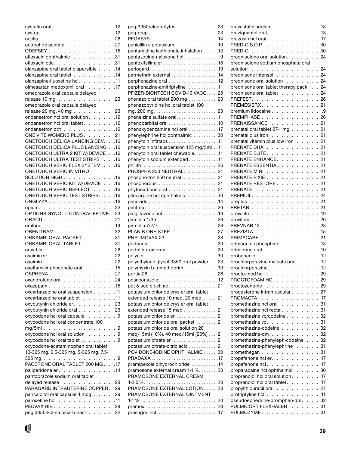| ocella 26                              |    |
|----------------------------------------|----|
| octreotide acetate  27                 |    |
|                                        |    |
|                                        |    |
| ofloxacin otic31                       |    |
| olanzapine oral tablet dispersible 14  |    |
| olanzapine oral tablet 14              |    |
| olanzapine-fluoxetine hcl. 11          |    |
| olmesartan medoxomil oral 17           |    |
| omeprazole oral capsule delayed        |    |
|                                        |    |
| omeprazole oral capsule delayed        |    |
|                                        |    |
| release 20 mg, 40 mg  23               |    |
| ondansetron hcl oral solution 12       |    |
| ondansetron hcl oral tablet12          |    |
|                                        |    |
| ONE VITE WOMENS PLUS 21                |    |
| ONETOUCH DELICA LANCING DEV. 16        |    |
| <b>ONETOUCH DELICA PLUS LANCING 16</b> |    |
| ONETOUCH ULTRA 2 KIT W/DEVICE16        |    |
| ONETOUCH ULTRA TEST STRIPS 16          |    |
| ONETOUCH VERIO FLEX SYSTEM16           |    |
| ONETOUCH VERIO IN VITRO                |    |
| SOLUTION HIGH 16                       |    |
| ONETOUCH VERIO KIT W/DEVICE16          |    |
|                                        |    |
| ONETOUCH VERIO REFLECT 16              |    |
| ONETOUCH VERIO TEST STRIPS16           |    |
| ONGLYZA16                              |    |
| opium 22                               |    |
| OPTIONS GYNOL II CONTRACEPTIVE. . 23   |    |
|                                        |    |
| oralone 19                             |    |
| ORENITRAM 32                           |    |
| ORKAMBI ORAL PACKET 31                 |    |
| ORKAMBI ORAL TABLET31                  |    |
|                                        |    |
|                                        |    |
|                                        |    |
|                                        |    |
| oseltamivir phosphate oral 15          |    |
| OSPHENA 27                             |    |
| 0xandrolone oral 24                    |    |
|                                        |    |
| oxcarbazepine oral suspension 11       |    |
| oxcarbazepine oral tablet 11           |    |
| oxybutynin chloride er 23              |    |
| oxybutynin chloride oral  23           |    |
| oxycodone hcl oral capsule 9           |    |
| oxycodone hcl oral concentrate 100     |    |
|                                        |    |
| oxycodone hcl oral solution 9          |    |
| oxycodone hcl oral tablet 9            |    |
| oxycodone-acetaminophen oral tablet    |    |
|                                        |    |
| 10-325 mg, 2.5-325 mg, 5-325 mg, 7.5-  |    |
|                                        |    |
| PACERONE ORAL TABLET 200 MG17          |    |
|                                        |    |
| pantoprazole sodium oral tablet        |    |
| delayed release                        | 23 |
| PARAGARD INTRAUTERINE COPPER           | 29 |
| paricalcitol oral capsule 4 mcg. 29    |    |
| paroxetine hcl11                       |    |
|                                        |    |
| peg 3350-kcl-na bicarb-nacl 22         |    |

| peg-3350/electrolytes 23                                           |    |
|--------------------------------------------------------------------|----|
|                                                                    |    |
|                                                                    |    |
| penicillin v potassium 10                                          |    |
| pentamidine isethionate inhalation 13                              |    |
| pentazocine-naloxone hcl9                                          |    |
|                                                                    |    |
|                                                                    |    |
| permethrin external 14                                             |    |
| perphenazine oral 12                                               |    |
| perphenazine-amitriptyline11                                       |    |
| PFIZER-BIONTECH COVID-19 VACC 28                                   |    |
| phenazo oral tablet 200 mg  23                                     |    |
| phenazopyridine hcl oral tablet 100                                |    |
| phenelzine sulfate oral11                                          |    |
| phenobarbital oral 10                                              |    |
| phenoxybenzamine hcl oral 17                                       |    |
| phenylephrine hcl ophthalmic  30                                   |    |
|                                                                    |    |
| 11. . phenytoin oral suspension 125 mg/5ml                         |    |
| phenytoin oral tablet chewable11                                   |    |
| phenytoin sodium extended 11                                       |    |
|                                                                    |    |
| PHOSPHA 250 NEUTRAL 21                                             |    |
| phospho-trin 250 neutral 21                                        |    |
| $phosphorous. \ldots \ldots \ldots \ldots \ldots \ldots \ldots 21$ |    |
| phytonadione oral  21                                              |    |
| pilocarpine hcl ophthalmic  30                                     |    |
|                                                                    |    |
|                                                                    |    |
|                                                                    |    |
|                                                                    |    |
|                                                                    |    |
| PLAN B ONE-STEP  27                                                |    |
| PNEUMOVAX 23  28                                                   |    |
|                                                                    |    |
| podofilox external 20                                              |    |
| polycin 30                                                         |    |
| polyethylene glycol 3350 oral powder 23                            |    |
| polymyxin b-trimethoprim 30                                        |    |
|                                                                    |    |
|                                                                    |    |
|                                                                    |    |
| potassium chloride crys er oral tablet                             |    |
| extended release 10 meq, 20 meq. $\dots$ .                         | 21 |
| potassium chloride crys er oral tablet                             |    |
| extended release 15 meq                                            | 21 |
| potassium chloride er                                              | 21 |
| potassium chloride oral packet                                     | 21 |
| potassium chloride oral solution 20                                |    |
| meg/15ml (10%), 40 meg/15ml (20%)                                  | 21 |
| potassium citrate er                                               | 21 |
| potassium citrate-citric acid                                      | 21 |
| POVIDONE-IODINE OPHTHALMIC                                         | 30 |
| PRADAXA17                                                          |    |
| pramipexole dihydrochloride 14                                     |    |
| pramosone external cream 1-1 % 20<br>PRAMOSONE EXTERNAL CREAM      |    |
| $1-2.5\%$                                                          | 20 |
| PRAMOSONE EXTERNAL LOTION                                          | 20 |
| PRAMOSONE EXTERNAL OINTMENT                                        |    |
|                                                                    | 20 |
| pramox  20                                                         |    |
| prasugrel hcl17                                                    |    |
|                                                                    |    |

| pravastatin sodium18                                             |          |
|------------------------------------------------------------------|----------|
|                                                                  |          |
| prazosin hcl oral17                                              |          |
|                                                                  |          |
|                                                                  |          |
| prednisolone oral solution24                                     |          |
| prednisolone sodium phosphate oral                               |          |
|                                                                  |          |
| prednisone oral solution 24                                      |          |
| prednisone oral tablet therapy pack 24                           |          |
| prednisone oral tablet 24                                        |          |
| PREFEST 26                                                       |          |
| PREMESISRX 21                                                    |          |
|                                                                  |          |
| PREMPHASE  26                                                    |          |
| PRENAISSANCE  21                                                 |          |
| prenatal oral tablet $27-1$ mg. $\dots \dots \dots$ 21           |          |
|                                                                  |          |
| prenatal vitamin plus low iron 21                                |          |
| PRENATE DHA 21                                                   |          |
| PRENATE ELITE                                                    | 21       |
| PRENATE ENHANCE                                                  | 21       |
| PRENATE ESSENTIAL                                                | -21      |
| PRENATE MINI 21                                                  |          |
| PRENATE PIXIE  21<br>PRENATE RESTORE  21                         |          |
| PRENATE  21                                                      |          |
|                                                                  |          |
| preplus  21                                                      |          |
|                                                                  |          |
|                                                                  |          |
|                                                                  |          |
| PREVNAR 13  28                                                   |          |
|                                                                  |          |
| PRIMACARE 21                                                     |          |
| primaquine phosphate13                                           |          |
| primidone oral 10                                                |          |
| $probenecid$ 12                                                  |          |
| prochlorperazine maleate oral 12                                 |          |
|                                                                  |          |
| PROCTOFOAM HC                                                    | 29<br>29 |
|                                                                  | 29       |
| progesterone intramuscular                                       | 27       |
|                                                                  |          |
| promethazine hcl oral 31                                         |          |
| promethazine hcl rectal31                                        |          |
| promethazine vc/codeine                                          | 32       |
|                                                                  |          |
| promethazine-codeine 32                                          |          |
| promethazine-dm                                                  | 32       |
| promethazine-phenyleph-codeine                                   | 32       |
| 31. promethazine-phenylephrine                                   |          |
|                                                                  |          |
|                                                                  |          |
| propafenone hcl17                                                |          |
| proparacaine hcl ophthalmic  30                                  |          |
| propranolol hcl oral solution17<br>propranolol hcl oral tablet17 |          |
| propylthiouracil oral 27                                         |          |
| protriptyline hcl. $\dots\dots\dots\dots\dots\dots\dots$         |          |
| pseudoephedrine-bromphen-dm 32                                   |          |
| PULMICORT FLEXHALER 31                                           |          |
| PULMOZYME31                                                      |          |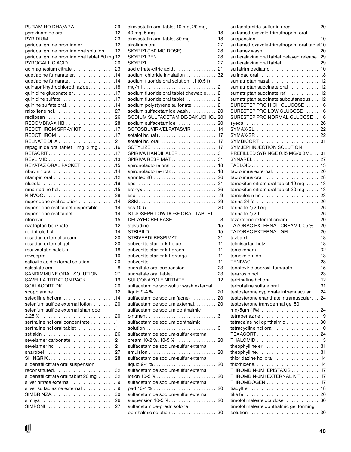| PURAMINO DHA/ARA  29                        |    |
|---------------------------------------------|----|
|                                             |    |
| PYRIDIUM 23                                 |    |
|                                             |    |
| pyridostigmine bromide er 12                |    |
| pyridostigmine bromide oral solution 12     |    |
| pyridostigmine bromide oral tablet 60 mg 12 |    |
|                                             |    |
| PYROGALLIC ACID  20                         |    |
| qc magnesium citrate  23                    |    |
| quetiapine fumarate er. 14                  |    |
| quetiapine fumarate14                       |    |
|                                             |    |
| quinapril-hydrochlorothiazide18             |    |
| quinidine gluconate er17                    |    |
| quinidine sulfate17                         |    |
|                                             |    |
|                                             |    |
|                                             |    |
|                                             |    |
| RECOMBIVAX HB  28                           |    |
| RECOTHROM SPRAY KIT. 17                     |    |
|                                             |    |
| RECOTHROM17                                 |    |
|                                             |    |
| repaglinide oral tablet 1 mg, 2 mg 16       |    |
|                                             |    |
| RETACRIT17                                  |    |
|                                             |    |
| REYATAZ ORAL PACKET 15                      |    |
|                                             |    |
|                                             |    |
|                                             |    |
| riluzole19                                  |    |
| rimantadine hcl15                           |    |
|                                             |    |
| RINVOQ 28                                   |    |
| risperidone oral solution 14                |    |
| risperidone oral tablet dispersible 14      |    |
| risperidone oral tablet 14                  |    |
|                                             |    |
|                                             |    |
| rizatriptan benzoate12                      |    |
| ropinirole hcl14                            |    |
| rosadan external cream 20                   |    |
|                                             |    |
| rosadan external gel  20                    |    |
| rosuvastatin calcium 18                     |    |
| roweepra10                                  |    |
| salicylic acid external solution  20        |    |
|                                             |    |
| salsalate oral8                             |    |
| SANDIMMUNE ORAL SOLUTION                    | 27 |
| SAVELLA TITRATION PACK19                    |    |
| SCALACORT DK  20                            |    |
|                                             |    |
| scopolamine12                               |    |
|                                             |    |
| selenium sulfide external lotion  20        |    |
| selenium sulfide external shampoo           |    |
|                                             |    |
|                                             |    |
| sertraline hcl oral concentrate 11          |    |
| sertraline hcl oral tablet11                |    |
|                                             |    |
|                                             |    |
| sevelamer carbonate 21                      |    |
|                                             | 21 |
| sharobel  27                                |    |
|                                             |    |
| SHINGRIX 28                                 |    |
| sildenafil citrate oral suspension          |    |
| reconstituted 32                            |    |
| sildenafil citrate oral tablet 20 mg  32    |    |
|                                             |    |
| silver nitrate external 9                   |    |
| silver sulfadiazine external 9              |    |
|                                             |    |
|                                             |    |
|                                             |    |
|                                             |    |

| simvastatin oral tablet 10 mg, 20 mg,                                                                                                                                                                                                                                                                                                                                    |    |
|--------------------------------------------------------------------------------------------------------------------------------------------------------------------------------------------------------------------------------------------------------------------------------------------------------------------------------------------------------------------------|----|
|                                                                                                                                                                                                                                                                                                                                                                          |    |
| simvastatin oral tablet 80 mg 18                                                                                                                                                                                                                                                                                                                                         |    |
| sirolimus oral  27                                                                                                                                                                                                                                                                                                                                                       |    |
| SKYRIZI (150 MG DOSE). 28                                                                                                                                                                                                                                                                                                                                                |    |
|                                                                                                                                                                                                                                                                                                                                                                          |    |
| SKYRIZI 27                                                                                                                                                                                                                                                                                                                                                               |    |
| sod citrate-citric acid 21                                                                                                                                                                                                                                                                                                                                               |    |
| sodium chloride inhalation 32                                                                                                                                                                                                                                                                                                                                            |    |
| sodium fluoride oral solution 1.1 (0.5 f)                                                                                                                                                                                                                                                                                                                                |    |
|                                                                                                                                                                                                                                                                                                                                                                          |    |
| sodium fluoride oral tablet chewable 21                                                                                                                                                                                                                                                                                                                                  |    |
| sodium fluoride oral tablet  21                                                                                                                                                                                                                                                                                                                                          |    |
| sodium polystyrene sulfonate 21                                                                                                                                                                                                                                                                                                                                          |    |
| sodium sulfacetamide wash  20                                                                                                                                                                                                                                                                                                                                            |    |
| SODIUM SULFACETAMIDE-BAKUCHIOL 20                                                                                                                                                                                                                                                                                                                                        |    |
| sodium sulfacetamide  20                                                                                                                                                                                                                                                                                                                                                 |    |
| SOFOSBUVIR-VELPATASVIR14                                                                                                                                                                                                                                                                                                                                                 |    |
| sotalol hcl (af) $\dots\dots\dots\dots\dots\dots\dots$ 17                                                                                                                                                                                                                                                                                                                |    |
| sotalol hcl oral 17                                                                                                                                                                                                                                                                                                                                                      |    |
|                                                                                                                                                                                                                                                                                                                                                                          |    |
| SPIRIVA HANDIHALER 31                                                                                                                                                                                                                                                                                                                                                    |    |
| SPIRIVA RESPIMAT31                                                                                                                                                                                                                                                                                                                                                       |    |
| spironolactone oral 18                                                                                                                                                                                                                                                                                                                                                   |    |
| spironolactone-hctz18                                                                                                                                                                                                                                                                                                                                                    |    |
| sprintec 28  26                                                                                                                                                                                                                                                                                                                                                          |    |
|                                                                                                                                                                                                                                                                                                                                                                          |    |
| sronyx  26                                                                                                                                                                                                                                                                                                                                                               |    |
|                                                                                                                                                                                                                                                                                                                                                                          |    |
| SSKI 29                                                                                                                                                                                                                                                                                                                                                                  |    |
|                                                                                                                                                                                                                                                                                                                                                                          |    |
| ST JOSEPH LOW DOSE ORAL TABLET                                                                                                                                                                                                                                                                                                                                           |    |
| DELAYED RELEASE 8                                                                                                                                                                                                                                                                                                                                                        |    |
| stavudine15                                                                                                                                                                                                                                                                                                                                                              |    |
|                                                                                                                                                                                                                                                                                                                                                                          |    |
| STRIVERDI RESPIMAT 31                                                                                                                                                                                                                                                                                                                                                    |    |
| subvenite starter kit-blue11                                                                                                                                                                                                                                                                                                                                             |    |
| subvenite starter kit-green 11                                                                                                                                                                                                                                                                                                                                           |    |
| subvenite starter kit-orange 11                                                                                                                                                                                                                                                                                                                                          |    |
| subvenite11                                                                                                                                                                                                                                                                                                                                                              |    |
| sucralfate oral suspension  23                                                                                                                                                                                                                                                                                                                                           |    |
| sucralfate oral tablet  23                                                                                                                                                                                                                                                                                                                                               |    |
| SULCONAZOLE NITRATE 12                                                                                                                                                                                                                                                                                                                                                   |    |
| sulfacetamide sod-sulfur wash external                                                                                                                                                                                                                                                                                                                                   |    |
| liquid $9-4\%$                                                                                                                                                                                                                                                                                                                                                           | 20 |
| sulfacetamide sodium (acne)  20                                                                                                                                                                                                                                                                                                                                          |    |
| sulfacetamide sodium external 20                                                                                                                                                                                                                                                                                                                                         |    |
| sulfacetamide sodium ophthalmic                                                                                                                                                                                                                                                                                                                                          |    |
| sulfacetamide sodium ophthalmic                                                                                                                                                                                                                                                                                                                                          |    |
|                                                                                                                                                                                                                                                                                                                                                                          |    |
| sulfacetamide sodium-sulfur external                                                                                                                                                                                                                                                                                                                                     |    |
| cream 10-2 %, 10-5 % $\dots\dots\dots\dots\dots$                                                                                                                                                                                                                                                                                                                         | 20 |
| sulfacetamide sodium-sulfur external                                                                                                                                                                                                                                                                                                                                     |    |
|                                                                                                                                                                                                                                                                                                                                                                          | 20 |
| sulfacetamide sodium-sulfur external                                                                                                                                                                                                                                                                                                                                     |    |
| liquid $9-4\%$                                                                                                                                                                                                                                                                                                                                                           | 20 |
| sulfacetamide sodium-sulfur external                                                                                                                                                                                                                                                                                                                                     |    |
| ${{\sf I}{{\sf o}{{\sf t}}}}$ and ${{\sf I}}{{\sf O}}$ . ${{\sf I}}{{\sf o}}$ . ${{\sf I}}{{\sf o}}$ . ${{\sf I}}{{\sf o}}$ . ${{\sf I}}{{\sf o}}$ . ${{\sf I}}{{\sf o}}$ . ${{\sf I}}{{\sf o}}$ . ${{\sf I}}{{\sf o}}$ . ${{\sf I}}{{\sf o}}$ . ${{\sf I}}{{\sf o}}$ . ${{\sf I}}{{\sf o}}$ . ${{\sf I}}{{\sf o}}$ . ${{\sf I}}{{\sf o}}$ . ${{\sf I}}{{\sf o}}$ . ${{$ | 20 |
| sulfacetamide sodium-sulfur external                                                                                                                                                                                                                                                                                                                                     |    |
| pad 10-4 %                                                                                                                                                                                                                                                                                                                                                               |    |
|                                                                                                                                                                                                                                                                                                                                                                          |    |
|                                                                                                                                                                                                                                                                                                                                                                          | 20 |
| sulfacetamide sodium-sulfur external                                                                                                                                                                                                                                                                                                                                     |    |
| suspension $10-5$ %                                                                                                                                                                                                                                                                                                                                                      | 20 |
| sulfacetamide-prednisolone<br>ophthalmic solution 30                                                                                                                                                                                                                                                                                                                     |    |

| sulfacetamide-sulfur in urea 20                                                   |  |
|-----------------------------------------------------------------------------------|--|
| sulfamethoxazole-trimethoprim oral                                                |  |
|                                                                                   |  |
| sulfamethoxazole-trimethoprim oral tablet10                                       |  |
| sulfamez wash  20                                                                 |  |
| sulfasalazine oral tablet delayed release. 29                                     |  |
| sulfasalazine oral tablet 29<br>sulfatrim pediatric 10                            |  |
|                                                                                   |  |
| sumatriptan nasal12                                                               |  |
| sumatriptan succinate oral 12                                                     |  |
| sumatriptan succinate refill12                                                    |  |
| sumatriptan succinate subcutaneous 12                                             |  |
| SURESTEP PRO HIGH GLUCOSE16                                                       |  |
| SURESTEP PRO LOW GLUCOSE 16                                                       |  |
| SURESTEP PRO NORMAL GLUCOSE 16                                                    |  |
| syeda 26                                                                          |  |
| SYMAX-SL 22                                                                       |  |
| SYMAX-SR  22                                                                      |  |
|                                                                                   |  |
| SYMJEPI INJECTION SOLUTION                                                        |  |
| PREFILLED SYRINGE 0.15 MG/0.3ML31                                                 |  |
| SYNAREL  27                                                                       |  |
| tacrolimus external 20                                                            |  |
| tacrolimus oral  28                                                               |  |
| tamoxifen citrate oral tablet 10 mg. 13                                           |  |
| $t$ amoxifen citrate oral tablet 20 mg. $\dots$ .13                               |  |
|                                                                                   |  |
| tarina 24 fe  26                                                                  |  |
| tarina fe 1/20 eq 26                                                              |  |
|                                                                                   |  |
|                                                                                   |  |
| tazarotene external cream  20                                                     |  |
| TAZORAC EXTERNAL CREAM 0.05 % 20                                                  |  |
| TAZORAC EXTERNAL GEL  20                                                          |  |
| taztia xt $\ldots \ldots \ldots \ldots \ldots \ldots \ldots \ldots$               |  |
|                                                                                   |  |
| temazepam 32                                                                      |  |
| temozolomide13                                                                    |  |
|                                                                                   |  |
| tenofovir disoproxil fumarate 15                                                  |  |
|                                                                                   |  |
| terbinafine hcl oral $\ldots$ , $\ldots$ , $\ldots$ , $\ldots$ , $\ldots$         |  |
| terbutaline sulfate oral31                                                        |  |
| testosterone cypionate intramuscular 24<br>testosterone enanthate intramuscular24 |  |
| testosterone transdermal gel 50                                                   |  |
|                                                                                   |  |
| tetrabenazine 19                                                                  |  |
| tetracaine hcl ophthalmic  30                                                     |  |
|                                                                                   |  |
| TEXACORT24                                                                        |  |
|                                                                                   |  |
|                                                                                   |  |
|                                                                                   |  |
| thioridazine hcl oral 14                                                          |  |
| THROMBIN-JMI EPISTAXIS 17                                                         |  |
| THROMBIN-JMI EXTERNAL KIT 17                                                      |  |
|                                                                                   |  |
|                                                                                   |  |
|                                                                                   |  |
| timolol maleate ocudose 30                                                        |  |
| timolol maleate ophthalmic gel forming                                            |  |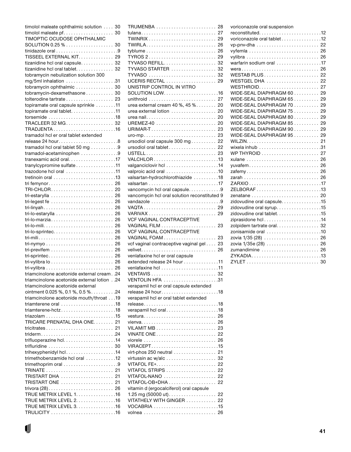|                                             | timolol maleate ophthalmic solution  30 |
|---------------------------------------------|-----------------------------------------|
|                                             |                                         |
| TIMOPTIC OCUDOSE OPHTHALMIC                 |                                         |
|                                             |                                         |
|                                             |                                         |
| TISSEEL EXTERNAL KIT. 29                    |                                         |
| tizanidine hcl oral capsule 32              |                                         |
| tizanidine hcl oral tablet. 32              |                                         |
| tobramycin nebulization solution 300        |                                         |
| mg/5ml inhalation 31                        |                                         |
| tobramycin ophthalmic  30                   |                                         |
| tobramycin-dexamethasone 30                 |                                         |
| tolterodine tartrate 23                     |                                         |
| topiramate oral capsule sprinkle 11         |                                         |
| topiramate oral tablet. 11                  |                                         |
| torsemide 18                                |                                         |
| TRACLEER 32 MG 32                           |                                         |
|                                             |                                         |
| tramadol hcl er oral tablet extended        |                                         |
| release 24 hour8                            |                                         |
| tramadol hcl oral tablet 50 mg 9            |                                         |
| tramadol-acetaminophen 9                    |                                         |
| tranexamic acid oral17                      |                                         |
| tranylcypromine sulfate 11                  |                                         |
| trazodone hcl oral 11                       |                                         |
|                                             |                                         |
|                                             |                                         |
| TRI-CHLOR 20<br>tri-estarylla  26           |                                         |
|                                             |                                         |
| tri-linyah 26                               |                                         |
|                                             |                                         |
| tri-lo-marzia 26                            |                                         |
|                                             |                                         |
|                                             |                                         |
|                                             |                                         |
|                                             |                                         |
| tri-mili 26                                 |                                         |
|                                             |                                         |
|                                             |                                         |
| tri-sprintec 26                             |                                         |
|                                             |                                         |
|                                             |                                         |
| triamcinolone acetonide external cream. .24 |                                         |
| triamcinolone acetonide external lotion24   |                                         |
| triamcinolone acetonide external            |                                         |
| ointment 0.025 %, 0.1 %, 0.5 %. 24          |                                         |
| triamcinolone acetonide mouth/throat 19     |                                         |
| triamterene oral 18                         |                                         |
| triamterene-hctz18                          |                                         |
|                                             |                                         |
| TRICARE PRENATAL DHA ONE 21                 |                                         |
|                                             |                                         |
| triderm24                                   |                                         |
| trifluoperazine hcl14                       |                                         |
| trifluridine  30                            |                                         |
| trihexyphenidyl hcl14                       |                                         |
| trimethobenzamide hcl oral 12               |                                         |
| trimethoprim oral 9                         |                                         |
| TRISTART DHA  21                            |                                         |
| <b>TRISTART ONE  21</b>                     |                                         |
|                                             |                                         |
| TRUE METRIX LEVEL 1. 16                     |                                         |
| TRUE METRIX LEVEL 2. 16                     |                                         |
| TRUE METRIX LEVEL 3. 16                     |                                         |

U

| TRUMENBA  28                                           |    |
|--------------------------------------------------------|----|
| tulana 27                                              |    |
|                                                        |    |
| TWIRLA 26                                              |    |
|                                                        |    |
| TYROS 2 29                                             |    |
| TYVASO REFILL 32                                       |    |
| TYVASO STARTER  32                                     |    |
| TYVASO  32                                             |    |
| UCERIS RECTAL  29                                      |    |
| UNISTRIP CONTROL IN VITRO                              |    |
|                                                        |    |
| unithroid  27                                          |    |
| urea external cream $40\%$ , $45\%$ 20                 |    |
| urea external lotion  20                               |    |
|                                                        |    |
|                                                        |    |
|                                                        |    |
| ursodiol oral capsule $300$ mg 22                      |    |
| ursodiol oral tablet 22                                |    |
| USTELL 23                                              |    |
| VALCHLOR13                                             |    |
|                                                        |    |
| valproic acid oral 10                                  |    |
| valsartan-hydrochlorothiazide 18                       |    |
|                                                        |    |
| vancomycin hcl oral capsule. 9                         |    |
| vancomycin hcl oral solution reconstituted 9           |    |
| vandazole 9                                            |    |
|                                                        |    |
|                                                        |    |
| VCF VAGINAL CONTRACEPTIVE                              |    |
|                                                        |    |
| <b>VCF VAGINAL CONTRACEPTIVE</b>                       |    |
|                                                        |    |
| vcf vaginal contraceptive vaginal gel 23               |    |
|                                                        |    |
| venlafaxine hcl er oral capsule                        |    |
| extended release 24 hour 11                            |    |
|                                                        |    |
|                                                        |    |
| VENTOLIN HFA 31                                        |    |
| verapamil hcl er oral capsule extended                 |    |
| release 24 hour18                                      |    |
| verapamil hcl er oral tablet extended                  |    |
|                                                        |    |
| verapamil hcl oral18                                   |    |
|                                                        |    |
|                                                        |    |
|                                                        |    |
|                                                        |    |
|                                                        |    |
| virt-phos 250 neutral $\ldots \ldots \ldots \ldots$ 21 |    |
|                                                        | 32 |
|                                                        |    |
| VITAFOL STRIPS 22                                      |    |
| VITAFOL-NANO  22                                       |    |
| VITAFOL-OB+DHA 22                                      |    |
| vitamin d (ergocalciferol) oral capsule                |    |
| 1.25 mg (50000 ut)                                     | 22 |
| VITATHELY WITH GINGER  22                              |    |
|                                                        |    |
| volnea  26                                             |    |
|                                                        |    |

| voriconazole oral suspension |
|------------------------------|
| reconstituted12              |
| voriconazole oral tablet 12  |
|                              |
|                              |
|                              |
| warfarin sodium oral 17      |
| wera 26                      |
|                              |
| WESTGEL DHA  22              |
| WESTHROID 27                 |
| WIDE-SEAL DIAPHRAGM 60  29   |
| WIDE-SEAL DIAPHRAGM 65  29   |
| WIDE-SEAL DIAPHRAGM 70 29    |
| WIDE-SEAL DIAPHRAGM 75  29   |
| WIDE-SEAL DIAPHRAGM 80 29    |
| WIDE-SEAL DIAPHRAGM 85  29   |
| WIDE-SEAL DIAPHRAGM 90  29   |
| WIDE-SEAL DIAPHRAGM 95  29   |
|                              |
|                              |
|                              |
| xulane  26                   |
| yuvafem 26                   |
| zafemy 26                    |
|                              |
|                              |
|                              |
|                              |
| zidovudine oral capsule15    |
| zidovudine oral syrup. 15    |
| zidovudine oral tablet. 15   |
| ziprasidone hcl14            |
| zolpidem tartrate oral. 32   |
| zonisamide oral 10           |
|                              |
| zovia 1/35e (28)  26         |
| zumandimine  26              |
| ZYKADIA13                    |
|                              |
|                              |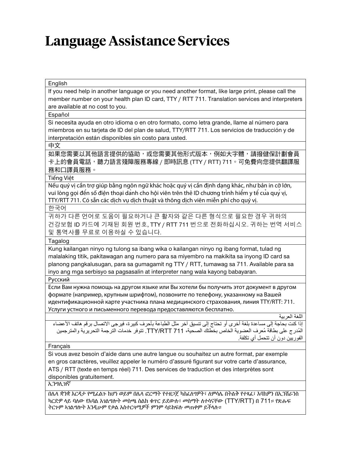# **Language Assistance Services**

| English                                                                                                                                                                                                                                                                                                                                                              |
|----------------------------------------------------------------------------------------------------------------------------------------------------------------------------------------------------------------------------------------------------------------------------------------------------------------------------------------------------------------------|
| If you need help in another language or you need another format, like large print, please call the<br>member number on your health plan ID card, TTY / RTT 711. Translation services and interpreters<br>are available at no cost to you.                                                                                                                            |
| Español                                                                                                                                                                                                                                                                                                                                                              |
| Si necesita ayuda en otro idioma o en otro formato, como letra grande, llame al número para<br>miembros en su tarjeta de ID del plan de salud, TTY/RTT 711. Los servicios de traducción y de<br>interpretación están disponibles sin costo para usted.                                                                                                               |
| 中文                                                                                                                                                                                                                                                                                                                                                                   |
| 如果您需要以其他語言提供的協助,或您需要其他形式版本,例如大字體,請撥健保計劃會員<br>卡上的會員電話,聽力語言殘障服務專線 / 即時訊息 (TTY / RTT) 711。可免費向您提供翻譯服<br>務和口譯員服務。                                                                                                                                                                                                                                                        |
| Tiếng Việt                                                                                                                                                                                                                                                                                                                                                           |
| Nếu quý vị cần trợ giúp bằng ngôn ngữ khác hoặc quý vị cần định dạng khác, như bản in cỡ lớn,<br>vui lòng gọi đến số điện thoại dành cho hội viên trên thẻ ID chương trình hiếm y tế của quý vị,<br>TTY/RTT 711. Có sẵn các dịch vụ dịch thuật và thông dịch viên miễn phí cho quý vị.                                                                               |
| 한국어                                                                                                                                                                                                                                                                                                                                                                  |
| 귀하가 다른 언어로 도움이 필요하거나 큰 활자와 같은 다른 형식으로 필요한 경우 귀하의<br>건강보험 ID 카드에 기재된 회원 번호, TTY / RTT 711 번으로 전화하십시오. 귀하는 번역 서비스<br>및 통역사를 무료로 이용하실 수 있습니다.                                                                                                                                                                                                                           |
| Tagalog                                                                                                                                                                                                                                                                                                                                                              |
| Kung kailangan ninyo ng tulong sa ibang wika o kailangan ninyo ng ibang format, tulad ng<br>malalaking titik, pakitawagan ang numero para sa miyembro na makikita sa inyong ID card sa<br>planong pangkalusugan, para sa gumagamit ng TTY / RTT, tumawag sa 711. Available para sa<br>inyo ang mga serbisyo sa pagsasalin at interpreter nang wala kayong babayaran. |
| Русский                                                                                                                                                                                                                                                                                                                                                              |
| Если Вам нужна помощь на другом языке или Вы хотели бы получить этот документ в другом<br>формате (например, крупным шрифтом), позвоните по телефону, указанному на Вашей<br>идентификационной карте участника плана медицинского страхования, линия TTY/RTT: 711.<br>Услуги устного и письменного перевода предоставляются бесплатно.                               |
| اللغة العربية                                                                                                                                                                                                                                                                                                                                                        |
| إذا كنت بحاجة إلى مساعدة بلغة أخرى أو تحتاج إلى تنسيق آخر مثل الطباعة بأحرف كبيرة، فيرجى الاتصال برقم هاتف الأعضاء<br>المُدرج على بطاقة مُعرف العضوية الخاص بخطتك الصحية، TTY/RTT 711. تتوفر خدمات الترجمة التحريرية والمترجمين<br>الفوريين دون أن تتحمل أي تكلفة.                                                                                                   |
| Français                                                                                                                                                                                                                                                                                                                                                             |
| Si vous avez besoin d'aide dans une autre langue ou souhaitez un autre format, par exemple<br>en gros caractères, veuillez appeler le numéro d'assuré figurant sur votre carte d'assurance,<br>ATS / RTT (texte en temps réel) 711. Des services de traduction et des interprètes sont<br>disponibles gratuitement.                                                  |
| ኢንግሊዝኛ                                                                                                                                                                                                                                                                                                                                                               |
| በሌላ ቋንቋ እርዳታ የሚፌልጉ ከሆነ ወይም በሌላ ፎርማት የተዘጋጀ ካስፌለግዎት፣ ለምሳሌ በትልቅ የተጻፌ፣ እባክዎን በኢንሽራንስ<br>ካርድዎ ላይ ባለው የአባል አንልማሎት መስሜ ስልክ ቁጥር ይደውሉ፣ መስማት ለተሳናቸው (TTY/RTT) በ 711። የጽሑፍ<br>ትርጉም ኣገልግሎት እንዲሁም የቃል አስተርጓሚዎች ምንም ሳይከፍሉ መጠቀም ይችላሉ።                                                                                                                                               |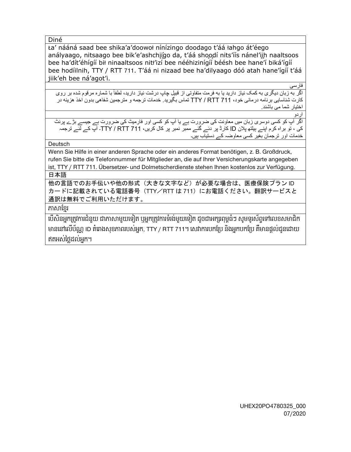Diné

Ła' nááná saad bee shika'a'doowoł nínízingo doodago t'áá łahgo át'éego anályaago, nitsaago bee bik'e'ashchiigo da, t'áá shoodí nits'iis nánel'iih naaltsoos bee ha'dít'éhígíí bił ninaaltsoos nitł'izí bee nééhizinígíí béésh bee hane'í biká'ígíí bee hodíilnih, TTY / RTT 711. T'áá ni nizaad bee ha'dilyaago dóó atah hane'ígíí t'áá jiik'eh bee ná'agot'i.

فارسی

اگر به زبان ديگري به كمک نياز داريد يا به فرمت متفاوتي از قبيل چاپ درشت نياز داريد، لطفاً با شماره مرقوم شده بر روي کارت شناسايی برنامه درمانی خود، 711 RTT / TTY تماس بگيريد. خدمات ترجمه و مترجمين شفاھی بدون اخذ ھزينه در اختيار شما می باشند.

اردو

اگر آپ کو کسی دوسری زبان ميں معاونت کی ضرورت ہے يا آپ کو کسی اور فارميٹ کی ضرورت ہے جيسے بڑے پرنٹ کی ، تو براه کرم اپنے ہيلتھ پالن ID کارڈ پر دئے گئے ممبر نمبر پر کال کريں، 711 RTT / TTY۔ آپ کے لئے ترجمہ خدمات اور ترجمان بغير کسی معاوضہ کے دستياب ہيں۔

**Deutsch** 

Wenn Sie Hilfe in einer anderen Sprache oder ein anderes Format benötigen, z. B. Großdruck, rufen Sie bitte die Telefonnummer für Mitglieder an, die auf Ihrer Versicherungskarte angegeben ist, TTY / RTT 711. Übersetzer- und Dolmetscherdienste stehen Ihnen kostenlos zur Verfügung.

日本語

他の言語でのお手伝いや他の形式(大きな文字など)が必要な場合は、医療保険プラン ID カードに記載されている電話番号 (TTY/RTT は 711) にお電話ください。翻訳サービスと 通訳は無料でご利用いただけます。

ភាសាែខ្មរ

េបើសិនអ្នក្រតូវការជំនួយ ជាភាសាមួយេទៀត ឬអ្នក្រតូវការទំរង់មួយេទៀត ដូចជាអក្សរពុម្ពធំៗ សូមទូរស័ព្ទេទៅេលខសមាជិក មានេនៅេលើប័ណ្ណID គំេរាងសុខភាពរបស់អ្នក, TTY / RTT 711។ េសវាការបកែ្រប និងអ្នកបកែ្រប គឺមានផ្ដល់ជូនេដាយ ឥតអស់ៃថ្លដល់អ្នក។